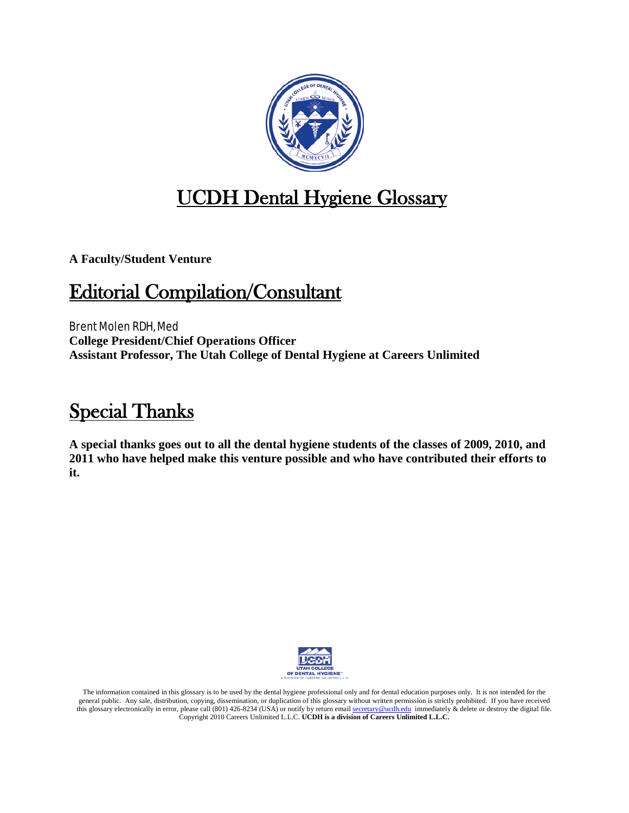

## UCDH Dental Hygiene Glossary

**A Faculty/Student Venture**

## Editorial Compilation/Consultant

Brent Molen RDH, Med **College President/Chief Operations Officer Assistant Professor, The Utah College of Dental Hygiene at Careers Unlimited**

## Special Thanks

**A special thanks goes out to all the dental hygiene students of the classes of 2009, 2010, and 2011 who have helped make this venture possible and who have contributed their efforts to it.**



The information contained in this glossary is to be used by the dental hygiene professional only and for dental education purposes only. It is not intended for the general public. Any sale, distribution, copying, dissemination, or duplication of this glossary without written permission is strictly prohibited. If you have received this glossary electronically in error, please call (801) 426-8234 (USA) or notify by return email [secretary@ucdh.edu](mailto:secretary@ucdh.edu) immediately & delete or destroy the digital file. Copyright 2010 Careers Unlimited L.L.C. **UCDH is a division of Careers Unlimited L.L.C.**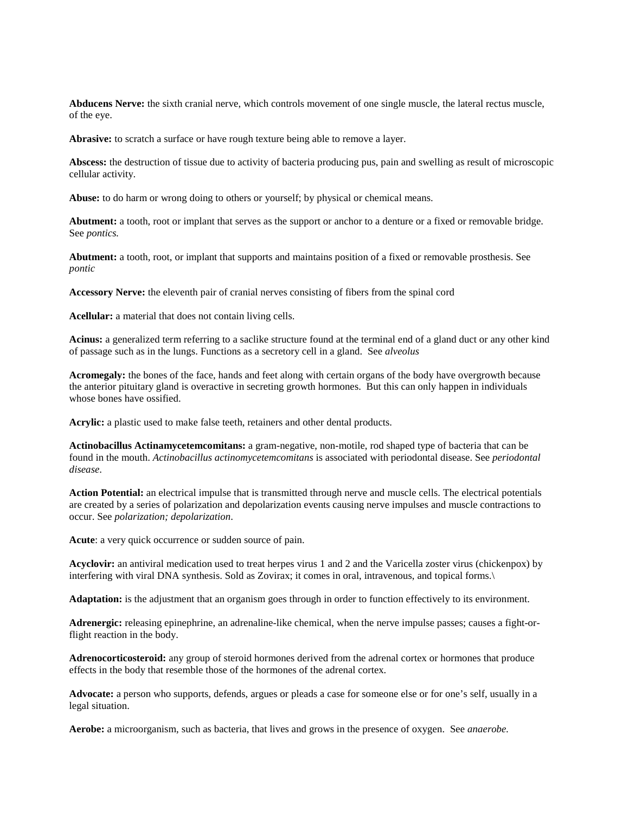**Abducens Nerve:** the sixth cranial nerve, which controls movement of one single muscle, the lateral rectus muscle, of the eye.

**Abrasive:** to scratch a surface or have rough texture being able to remove a layer.

**Abscess:** the destruction of tissue due to activity of bacteria producing pus, pain and swelling as result of microscopic cellular activity.

**Abuse:** to do harm or wrong doing to others or yourself; by physical or chemical means.

**Abutment:** a tooth, root or implant that serves as the support or anchor to a denture or a fixed or removable bridge. See *pontics.*

**Abutment:** a tooth, root, or implant that supports and maintains position of a fixed or removable prosthesis. See *pontic*

**Accessory Nerve:** the eleventh pair of cranial nerves consisting of fibers from the spinal cord

**Acellular:** a material that does not contain living cells.

**Acinus:** a generalized term referring to a saclike structure found at the terminal end of a gland duct or any other kind of passage such as in the lungs. Functions as a secretory cell in a gland. See *alveolus*

**Acromegaly:** the bones of the face, hands and feet along with certain organs of the body have overgrowth because the anterior pituitary gland is overactive in secreting growth hormones. But this can only happen in individuals whose bones have ossified.

**Acrylic:** a plastic used to make false teeth, retainers and other dental products.

**Actinobacillus Actinamycetemcomitans:** a gram-negative, non-motile, rod shaped type of bacteria that can be found in the mouth. *Actinobacillus actinomycetemcomitans* is associated with periodontal disease. See *periodontal disease*.

**Action Potential:** an electrical impulse that is transmitted through nerve and muscle cells. The electrical potentials are created by a series of polarization and depolarization events causing nerve impulses and muscle contractions to occur. See *polarization; depolarization*.

**Acute**: a very quick occurrence or sudden source of pain.

**Acyclovir:** an antiviral medication used to treat herpes virus 1 and 2 and the Varicella zoster virus (chickenpox) by interfering with viral DNA synthesis. Sold as Zovirax; it comes in oral, intravenous, and topical forms.\

**Adaptation:** is the adjustment that an organism goes through in order to function effectively to its environment.

**Adrenergic:** releasing epinephrine, an adrenaline-like chemical, when the nerve impulse passes; causes a fight-orflight reaction in the body.

**Adrenocorticosteroid:** any group of steroid hormones derived from the adrenal cortex or hormones that produce effects in the body that resemble those of the hormones of the adrenal cortex.

**Advocate:** a person who supports, defends, argues or pleads a case for someone else or for one's self, usually in a legal situation.

**Aerobe:** a microorganism, such as bacteria, that lives and grows in the presence of oxygen. See *anaerobe.*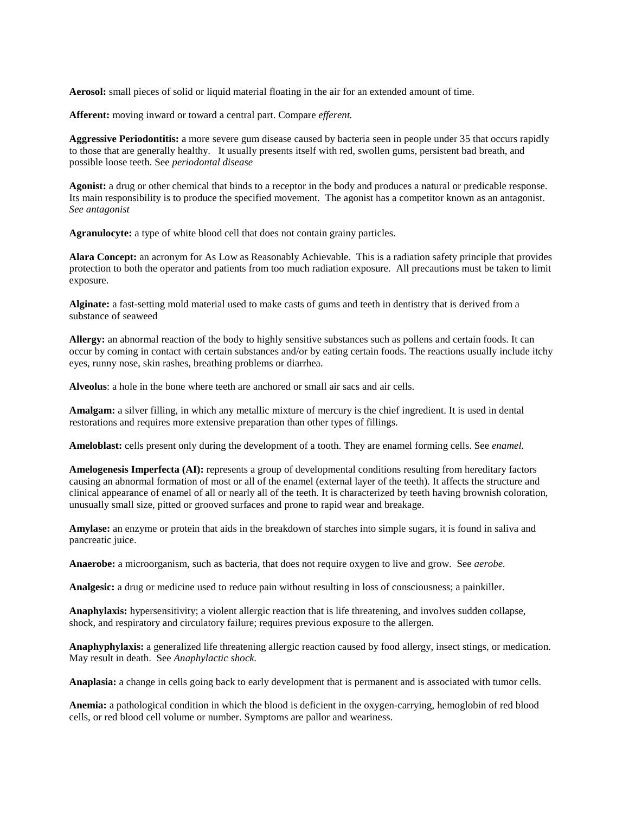**Aerosol:** small pieces of solid or liquid material floating in the air for an extended amount of time.

**Afferent:** moving inward or toward a central part. Compare *efferent.*

**Aggressive Periodontitis:** a more severe gum disease caused by bacteria seen in people under 35 that occurs rapidly to those that are generally healthy. It usually presents itself with red, swollen gums, persistent bad breath, and possible loose teeth. See *periodontal disease*

**Agonist:** a drug or other chemical that binds to a receptor in the body and produces a natural or predicable response. Its main responsibility is to produce the specified movement. The agonist has a competitor known as an antagonist. *See antagonist*

**Agranulocyte:** a type of white blood cell that does not contain grainy particles.

**Alara Concept:** an acronym for As Low as Reasonably Achievable. This is a radiation safety principle that provides protection to both the operator and patients from too much radiation exposure. All precautions must be taken to limit exposure.

**Alginate:** a fast-setting mold material used to make casts of gums and teeth in dentistry that is derived from a substance of seaweed

**Allergy:** an abnormal reaction of the body to highly sensitive substances such as pollens and certain foods. It can occur by coming in contact with certain substances and/or by eating certain foods. The reactions usually include itchy eyes, runny nose, skin rashes, breathing problems or diarrhea.

**Alveolus**: a hole in the bone where teeth are anchored or small air sacs and air cells.

**Amalgam:** a silver filling, in which any metallic mixture of mercury is the chief ingredient. It is used in dental restorations and requires more extensive preparation than other types of fillings.

**Ameloblast:** cells present only during the development of a tooth. They are enamel forming cells. See *enamel.*

**Amelogenesis Imperfecta (AI):** represents a group of developmental conditions resulting from hereditary factors causing an abnormal formation of most or all of the enamel (external layer of the teeth). It affects the structure and clinical appearance of enamel of all or nearly all of the teeth. It is characterized by teeth having brownish coloration, unusually small size, pitted or grooved surfaces and prone to rapid wear and breakage.

**Amylase:** an enzyme or protein that aids in the breakdown of starches into simple sugars, it is found in saliva and pancreatic juice.

**Anaerobe:** a microorganism, such as bacteria, that does not require oxygen to live and grow. See *aerobe.*

**Analgesic:** a drug or medicine used to reduce pain without resulting in loss of consciousness; a painkiller.

**Anaphylaxis:** hypersensitivity; a violent allergic reaction that is life threatening, and involves sudden collapse, shock, and respiratory and circulatory failure; requires previous exposure to the allergen.

**Anaphyphylaxis:** a generalized life threatening allergic reaction caused by food allergy, insect stings, or medication. May result in death. See *Anaphylactic shock.*

**Anaplasia:** a change in cells going back to early development that is permanent and is associated with tumor cells.

**Anemia:** a pathological condition in which the blood is deficient in the oxygen-carrying, hemoglobin of red blood cells, or red blood cell volume or number. Symptoms are pallor and weariness.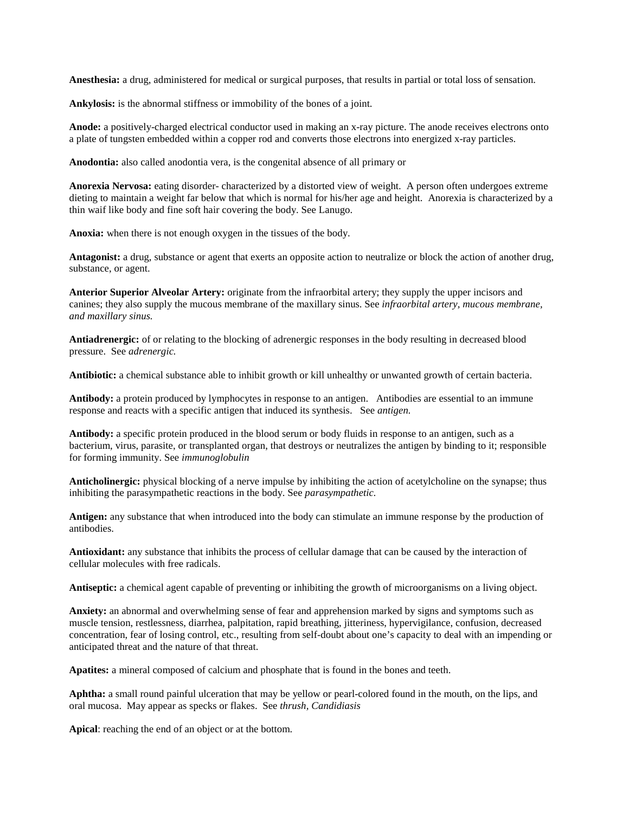**Anesthesia:** a drug, administered for medical or surgical purposes, that results in partial or total loss of sensation.

**Ankylosis:** is the abnormal stiffness or immobility of the bones of a joint.

**Anode:** a positively-charged electrical conductor used in making an x-ray picture. The anode receives electrons onto a plate of tungsten embedded within a copper rod and converts those electrons into energized x-ray particles.

**Anodontia:** also called anodontia vera, is the congenital absence of all primary or

**Anorexia Nervosa:** eating disorder- characterized by a distorted view of weight. A person often undergoes extreme dieting to maintain a weight far below that which is normal for his/her age and height. Anorexia is characterized by a thin waif like body and fine soft hair covering the body. See Lanugo.

**Anoxia:** when there is not enough oxygen in the tissues of the body.

**Antagonist:** a drug, substance or agent that exerts an opposite action to neutralize or block the action of another drug, substance, or agent.

**Anterior Superior Alveolar Artery:** originate from the infraorbital artery; they supply the upper incisors and canines; they also supply the mucous membrane of the maxillary sinus. See *infraorbital artery, mucous membrane, and maxillary sinus.*

**Antiadrenergic:** of or relating to the blocking of adrenergic responses in the body resulting in decreased blood pressure. See *adrenergic.*

**Antibiotic:** a chemical substance able to inhibit growth or kill unhealthy or unwanted growth of certain bacteria.

**Antibody:** a protein produced by lymphocytes in response to an antigen. Antibodies are essential to an immune response and reacts with a specific antigen that induced its synthesis. See *antigen.*

**Antibody:** a specific protein produced in the blood serum or body fluids in response to an antigen, such as a bacterium, virus, parasite, or transplanted organ, that destroys or neutralizes the antigen by binding to it; responsible for forming immunity. See *immunoglobulin*

**Anticholinergic:** physical blocking of a nerve impulse by inhibiting the action of acetylcholine on the synapse; thus inhibiting the parasympathetic reactions in the body. See *parasympathetic.*

**Antigen:** any substance that when introduced into the body can stimulate an immune response by the production of antibodies.

**Antioxidant:** any substance that inhibits the process of cellular damage that can be caused by the interaction of cellular molecules with free radicals.

**Antiseptic:** a chemical agent capable of preventing or inhibiting the growth of microorganisms on a living object.

**Anxiety:** an abnormal and overwhelming sense of fear and apprehension marked by signs and symptoms such as muscle tension, restlessness, diarrhea, palpitation, rapid breathing, jitteriness, hypervigilance, confusion, decreased concentration, fear of losing control, etc., resulting from self-doubt about one's capacity to deal with an impending or anticipated threat and the nature of that threat.

**Apatites:** a mineral composed of calcium and phosphate that is found in the bones and teeth.

**Aphtha:** a small round painful ulceration that may be yellow or pearl-colored found in the mouth, on the lips, and oral mucosa. May appear as specks or flakes. See *thrush, Candidiasis*

**Apical**: reaching the end of an object or at the bottom.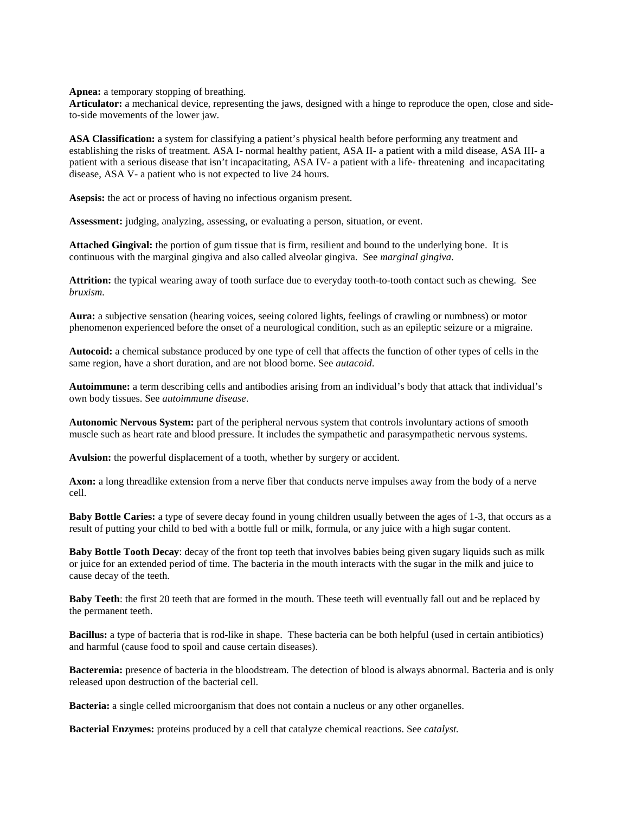**Apnea:** a temporary stopping of breathing.

**Articulator:** a mechanical device, representing the jaws, designed with a hinge to reproduce the open, close and sideto-side movements of the lower jaw.

**ASA Classification:** a system for classifying a patient's physical health before performing any treatment and establishing the risks of treatment. ASA I- normal healthy patient, ASA II- a patient with a mild disease, ASA III- a patient with a serious disease that isn't incapacitating, ASA IV- a patient with a life- threatening and incapacitating disease, ASA V- a patient who is not expected to live 24 hours.

**Asepsis:** the act or process of having no infectious organism present.

**Assessment:** judging, analyzing, assessing, or evaluating a person, situation, or event.

**Attached Gingival:** the portion of gum tissue that is firm, resilient and bound to the underlying bone. It is continuous with the marginal gingiva and also called alveolar gingiva. See *marginal gingiva*.

**Attrition:** the typical wearing away of tooth surface due to everyday tooth-to-tooth contact such as chewing. See *bruxism.*

**Aura:** a subjective sensation (hearing voices, seeing colored lights, feelings of crawling or numbness) or motor phenomenon experienced before the onset of a neurological condition, such as an epileptic seizure or a migraine.

**Autocoid:** a chemical substance produced by one type of cell that affects the function of other types of cells in the same region, have a short duration, and are not blood borne. See *autacoid*.

**Autoimmune:** a term describing cells and antibodies arising from an individual's body that attack that individual's own body tissues. See *autoimmune disease*.

**Autonomic Nervous System:** part of the peripheral nervous system that controls involuntary actions of smooth muscle such as heart rate and blood pressure. It includes the sympathetic and parasympathetic nervous systems.

**Avulsion:** the powerful displacement of a tooth, whether by surgery or accident.

**Axon:** a long threadlike extension from a nerve fiber that conducts nerve impulses away from the body of a nerve cell.

**Baby Bottle Caries:** a type of severe decay found in young children usually between the ages of 1-3, that occurs as a result of putting your child to bed with a bottle full or milk, formula, or any juice with a high sugar content.

**Baby Bottle Tooth Decay**: decay of the front top teeth that involves babies being given sugary liquids such as milk or juice for an extended period of time. The bacteria in the mouth interacts with the sugar in the milk and juice to cause decay of the teeth.

**Baby Teeth**: the first 20 teeth that are formed in the mouth. These teeth will eventually fall out and be replaced by the permanent teeth.

**Bacillus:** a type of bacteria that is rod-like in shape. These bacteria can be both helpful (used in certain antibiotics) and harmful (cause food to spoil and cause certain diseases).

**Bacteremia:** presence of bacteria in the bloodstream. The detection of blood is always abnormal. Bacteria and is only released upon destruction of the bacterial cell.

**Bacteria:** a single celled microorganism that does not contain a nucleus or any other organelles.

**Bacterial Enzymes:** proteins produced by a cell that catalyze chemical reactions. See *catalyst.*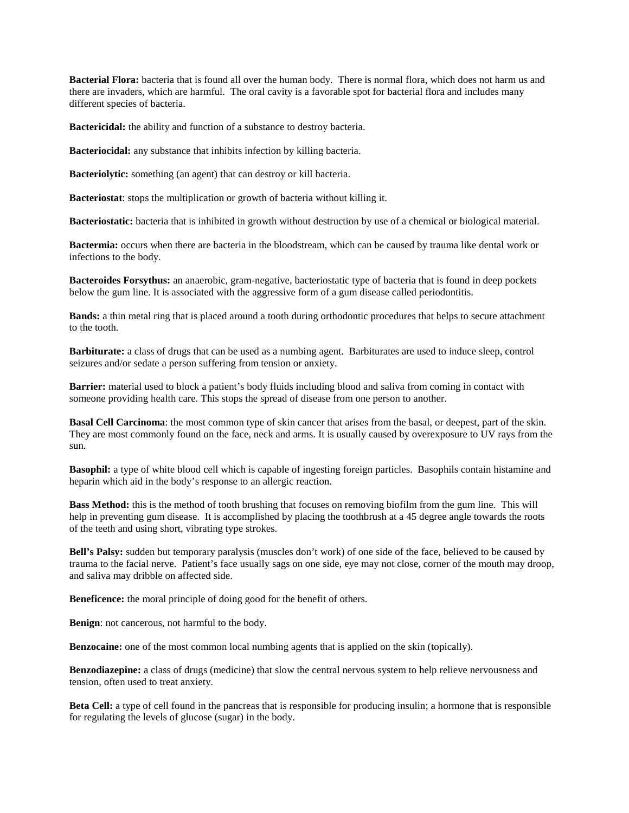**Bacterial Flora:** bacteria that is found all over the human body. There is normal flora, which does not harm us and there are invaders, which are harmful. The oral cavity is a favorable spot for bacterial flora and includes many different species of bacteria.

**Bactericidal:** the ability and function of a substance to destroy bacteria.

**Bacteriocidal:** any substance that inhibits infection by killing bacteria.

**Bacteriolytic:** something (an agent) that can destroy or kill bacteria.

**Bacteriostat**: stops the multiplication or growth of bacteria without killing it.

**Bacteriostatic:** bacteria that is inhibited in growth without destruction by use of a chemical or biological material.

**Bactermia:** occurs when there are bacteria in the bloodstream, which can be caused by trauma like dental work or infections to the body.

**Bacteroides Forsythus:** an anaerobic, gram-negative, bacteriostatic type of bacteria that is found in deep pockets below the gum line. It is associated with the aggressive form of a gum disease called periodontitis.

**Bands:** a thin metal ring that is placed around a tooth during orthodontic procedures that helps to secure attachment to the tooth.

**Barbiturate:** a class of drugs that can be used as a numbing agent. Barbiturates are used to induce sleep, control seizures and/or sedate a person suffering from tension or anxiety.

**Barrier:** material used to block a patient's body fluids including blood and saliva from coming in contact with someone providing health care. This stops the spread of disease from one person to another.

**Basal Cell Carcinoma**: the most common type of skin cancer that arises from the basal, or deepest, part of the skin. They are most commonly found on the face, neck and arms. It is usually caused by overexposure to UV rays from the sun.

**Basophil:** a type of white blood cell which is capable of ingesting foreign particles. Basophils contain histamine and heparin which aid in the body's response to an allergic reaction.

**Bass Method:** this is the method of tooth brushing that focuses on removing biofilm from the gum line. This will help in preventing gum disease. It is accomplished by placing the toothbrush at a 45 degree angle towards the roots of the teeth and using short, vibrating type strokes.

**Bell's Palsy:** sudden but temporary paralysis (muscles don't work) of one side of the face, believed to be caused by trauma to the facial nerve. Patient's face usually sags on one side, eye may not close, corner of the mouth may droop, and saliva may dribble on affected side.

**Beneficence:** the moral principle of doing good for the benefit of others.

**Benign**: not cancerous, not harmful to the body.

**Benzocaine:** one of the most common local numbing agents that is applied on the skin (topically).

**Benzodiazepine:** a class of drugs (medicine) that slow the central nervous system to help relieve nervousness and tension, often used to treat anxiety.

**Beta Cell:** a type of cell found in the pancreas that is responsible for producing insulin; a hormone that is responsible for regulating the levels of glucose (sugar) in the body.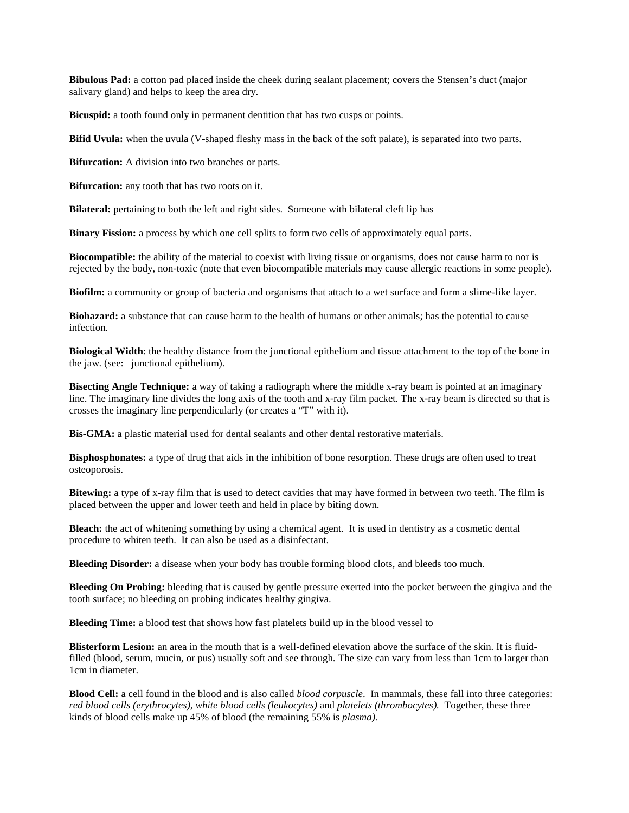**Bibulous Pad:** a cotton pad placed inside the cheek during sealant placement; covers the Stensen's duct (major salivary gland) and helps to keep the area dry.

**Bicuspid:** a tooth found only in permanent dentition that has two cusps or points.

**Bifid Uvula:** when the uvula (V-shaped fleshy mass in the back of the soft palate), is separated into two parts.

**Bifurcation:** A division into two branches or parts.

**Bifurcation:** any tooth that has two roots on it.

**Bilateral:** pertaining to both the left and right sides. Someone with bilateral cleft lip has

**Binary Fission:** a process by which one cell splits to form two cells of approximately equal parts.

**Biocompatible:** the ability of the material to coexist with living tissue or organisms, does not cause harm to nor is rejected by the body, non-toxic (note that even biocompatible materials may cause allergic reactions in some people).

**Biofilm:** a community or group of bacteria and organisms that attach to a wet surface and form a slime-like layer.

**Biohazard:** a substance that can cause harm to the health of humans or other animals; has the potential to cause infection.

**Biological Width**: the healthy distance from the junctional epithelium and tissue attachment to the top of the bone in the jaw. (see: junctional epithelium).

**Bisecting Angle Technique:** a way of taking a radiograph where the middle x-ray beam is pointed at an imaginary line. The imaginary line divides the long axis of the tooth and x-ray film packet. The x-ray beam is directed so that is crosses the imaginary line perpendicularly (or creates a "T" with it).

**Bis-GMA:** a plastic material used for dental sealants and other dental restorative materials.

**Bisphosphonates:** a type of drug that aids in the inhibition of bone resorption. These drugs are often used to treat osteoporosis.

**Bitewing:** a type of x-ray film that is used to detect cavities that may have formed in between two teeth. The film is placed between the upper and lower teeth and held in place by biting down.

**Bleach:** the act of whitening something by using a chemical agent. It is used in dentistry as a cosmetic dental procedure to whiten teeth. It can also be used as a disinfectant.

**Bleeding Disorder:** a disease when your body has trouble forming blood clots, and bleeds too much.

**Bleeding On Probing:** bleeding that is caused by gentle pressure exerted into the pocket between the gingiva and the tooth surface; no bleeding on probing indicates healthy gingiva.

**Bleeding Time:** a blood test that shows how fast platelets build up in the blood vessel to

**Blisterform Lesion:** an area in the mouth that is a well-defined elevation above the surface of the skin. It is fluidfilled (blood, serum, mucin, or pus) usually soft and see through. The size can vary from less than 1cm to larger than 1cm in diameter.

**Blood Cell:** a cell found in the blood and is also called *blood corpuscle*. In mammals, these fall into three categories: *red blood cells (erythrocytes), white blood cells (leukocytes)* and *platelets (thrombocytes).* Together, these three kinds of blood cells make up 45% of blood (the remaining 55% is *plasma)*.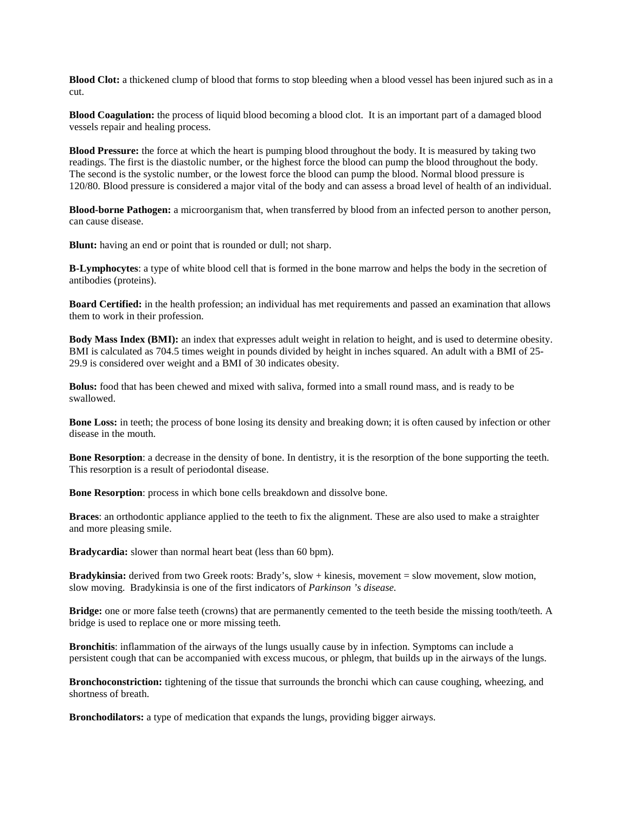**Blood Clot:** a thickened clump of blood that forms to stop bleeding when a blood vessel has been injured such as in a cut.

**Blood Coagulation:** the process of liquid blood becoming a blood clot. It is an important part of a damaged blood vessels repair and healing process.

**Blood Pressure:** the force at which the heart is pumping blood throughout the body. It is measured by taking two readings. The first is the diastolic number, or the highest force the blood can pump the blood throughout the body. The second is the systolic number, or the lowest force the blood can pump the blood. Normal blood pressure is 120/80. Blood pressure is considered a major vital of the body and can assess a broad level of health of an individual.

**Blood-borne Pathogen:** a microorganism that, when transferred by blood from an infected person to another person, can cause disease.

**Blunt:** having an end or point that is rounded or dull; not sharp.

**B-Lymphocytes**: a type of white blood cell that is formed in the bone marrow and helps the body in the secretion of antibodies (proteins).

**Board Certified:** in the health profession; an individual has met requirements and passed an examination that allows them to work in their profession.

**Body Mass Index (BMI):** an index that expresses adult weight in relation to height, and is used to determine obesity. BMI is calculated as 704.5 times weight in pounds divided by height in inches squared. An adult with a BMI of 25- 29.9 is considered over weight and a BMI of 30 indicates obesity.

**Bolus:** food that has been chewed and mixed with saliva, formed into a small round mass, and is ready to be swallowed.

**Bone Loss:** in teeth; the process of bone losing its density and breaking down; it is often caused by infection or other disease in the mouth.

**Bone Resorption**: a decrease in the density of bone. In dentistry, it is the resorption of the bone supporting the teeth. This resorption is a result of periodontal disease.

**Bone Resorption**: process in which bone cells breakdown and dissolve bone.

**Braces**: an orthodontic appliance applied to the teeth to fix the alignment. These are also used to make a straighter and more pleasing smile.

**Bradycardia:** slower than normal heart beat (less than 60 bpm).

**Bradykinsia:** derived from two Greek roots: Brady's, slow + kinesis, movement = slow movement, slow motion, slow moving. Bradykinsia is one of the first indicators of *Parkinson 's disease.*

**Bridge:** one or more false teeth (crowns) that are permanently cemented to the teeth beside the missing tooth/teeth. A bridge is used to replace one or more missing teeth.

**Bronchitis**: inflammation of the airways of the lungs usually cause by in infection. Symptoms can include a persistent cough that can be accompanied with excess mucous, or phlegm, that builds up in the airways of the lungs.

**Bronchoconstriction:** tightening of the tissue that surrounds the bronchi which can cause coughing, wheezing, and shortness of breath.

**Bronchodilators:** a type of medication that expands the lungs, providing bigger airways.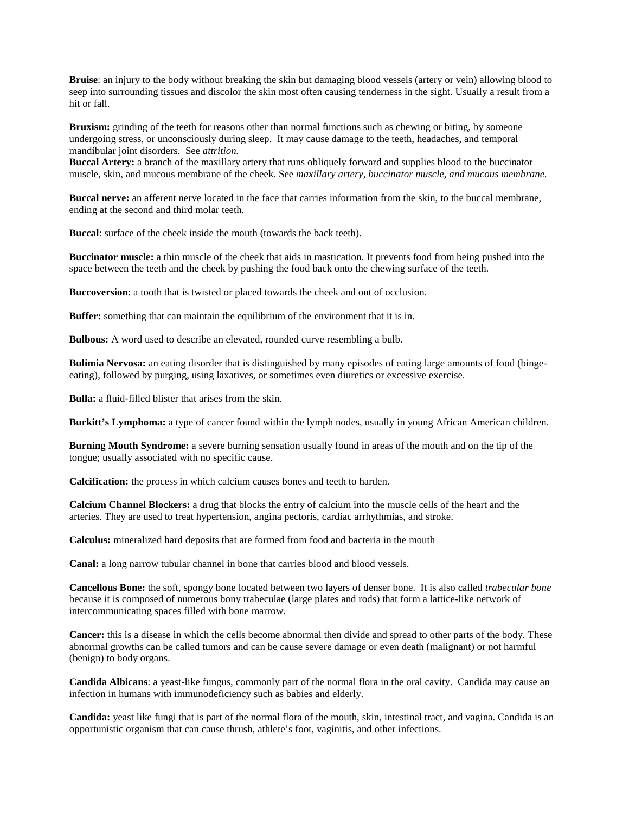**Bruise**: an injury to the body without breaking the skin but damaging blood vessels (artery or vein) allowing blood to seep into surrounding tissues and discolor the skin most often causing tenderness in the sight. Usually a result from a hit or fall.

**Bruxism:** grinding of the teeth for reasons other than normal functions such as chewing or biting, by someone undergoing stress, or unconsciously during sleep. It may cause damage to the teeth, headaches, and temporal mandibular joint disorders. See *attrition.*

**Buccal Artery:** a branch of the maxillary artery that runs obliquely forward and supplies blood to the buccinator muscle, skin, and mucous membrane of the cheek. See *maxillary artery, buccinator muscle, and mucous membrane.*

**Buccal nerve:** an afferent nerve located in the face that carries information from the skin, to the buccal membrane, ending at the second and third molar teeth.

**Buccal:** surface of the cheek inside the mouth (towards the back teeth).

**Buccinator muscle:** a thin muscle of the cheek that aids in mastication. It prevents food from being pushed into the space between the teeth and the cheek by pushing the food back onto the chewing surface of the teeth.

**Buccoversion**: a tooth that is twisted or placed towards the cheek and out of occlusion.

**Buffer:** something that can maintain the equilibrium of the environment that it is in.

**Bulbous:** A word used to describe an elevated, rounded curve resembling a bulb.

**Bulimia Nervosa:** an eating disorder that is distinguished by many episodes of eating large amounts of food (bingeeating), followed by purging, using laxatives, or sometimes even diuretics or excessive exercise.

**Bulla:** a fluid-filled blister that arises from the skin.

**Burkitt's Lymphoma:** a type of cancer found within the lymph nodes, usually in young African American children.

**Burning Mouth Syndrome:** a severe burning sensation usually found in areas of the mouth and on the tip of the tongue; usually associated with no specific cause.

**Calcification:** the process in which calcium causes bones and teeth to harden.

**Calcium Channel Blockers:** a drug that blocks the entry of calcium into the muscle cells of the heart and the arteries. They are used to treat hypertension, angina pectoris, cardiac arrhythmias, and stroke.

**Calculus:** mineralized hard deposits that are formed from food and bacteria in the mouth

**Canal:** a long narrow tubular channel in bone that carries blood and blood vessels.

**Cancellous Bone:** the soft, spongy bone located between two layers of denser bone. It is also called *trabecular bone* because it is composed of numerous bony trabeculae (large plates and rods) that form a lattice-like network of intercommunicating spaces filled with bone marrow.

**Cancer:** this is a disease in which the cells become abnormal then divide and spread to other parts of the body. These abnormal growths can be called tumors and can be cause severe damage or even death (malignant) or not harmful (benign) to body organs.

**Candida Albicans**: a yeast-like fungus, commonly part of the normal flora in the oral cavity. Candida may cause an infection in humans with immunodeficiency such as babies and elderly.

**Candida:** yeast like fungi that is part of the normal flora of the mouth, skin, intestinal tract, and vagina. Candida is an opportunistic organism that can cause thrush, athlete's foot, vaginitis, and other infections.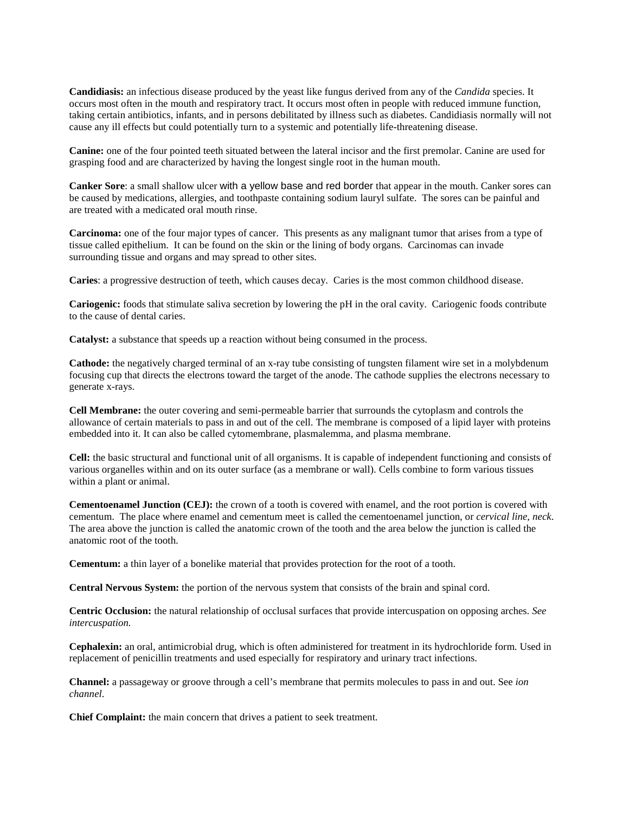**Candidiasis:** an infectious disease produced by the yeast like fungus derived from any of the *Candida* species. It occurs most often in the mouth and respiratory tract. It occurs most often in people with reduced immune function, taking certain antibiotics, infants, and in persons debilitated by illness such as diabetes. Candidiasis normally will not cause any ill effects but could potentially turn to a systemic and potentially life-threatening disease.

**Canine:** one of the four pointed teeth situated between the lateral incisor and the first premolar. Canine are used for grasping food and are characterized by having the longest single root in the human mouth.

**Canker Sore**: a small shallow ulcer with a yellow base and red border that appear in the mouth. Canker sores can be caused by medications, allergies, and toothpaste containing sodium lauryl sulfate. The sores can be painful and are treated with a medicated oral mouth rinse.

**Carcinoma:** one of the four major types of cancer. This presents as any malignant tumor that arises from a type of tissue called epithelium. It can be found on the skin or the lining of body organs. Carcinomas can invade surrounding tissue and organs and may spread to other sites.

**Caries**: a progressive destruction of teeth, which causes decay. Caries is the most common childhood disease.

**Cariogenic:** foods that stimulate saliva secretion by lowering the pH in the oral cavity. Cariogenic foods contribute to the cause of dental caries.

**Catalyst:** a substance that speeds up a reaction without being consumed in the process.

**Cathode:** the negatively charged terminal of an x-ray tube consisting of tungsten filament wire set in a molybdenum focusing cup that directs the electrons toward the target of the anode. The cathode supplies the electrons necessary to generate x-rays.

**Cell Membrane:** the outer covering and semi-permeable barrier that surrounds the cytoplasm and controls the allowance of certain materials to pass in and out of the cell. The membrane is composed of a lipid layer with proteins embedded into it. It can also be called cytomembrane, plasmalemma, and plasma membrane.

**Cell:** the basic structural and functional unit of all organisms. It is capable of independent functioning and consists of various organelles within and on its outer surface (as a membrane or wall). Cells combine to form various tissues within a plant or animal.

**Cementoenamel Junction (CEJ):** the crown of a tooth is covered with enamel, and the root portion is covered with cementum. The place where enamel and cementum meet is called the cementoenamel junction, or *cervical line, neck*. The area above the junction is called the anatomic crown of the tooth and the area below the junction is called the anatomic root of the tooth.

**Cementum:** a thin layer of a bonelike material that provides protection for the root of a tooth.

**Central Nervous System:** the portion of the nervous system that consists of the brain and spinal cord.

**Centric Occlusion:** the natural relationship of occlusal surfaces that provide intercuspation on opposing arches. *See intercuspation.*

**Cephalexin:** an oral, antimicrobial drug, which is often administered for treatment in its hydrochloride form. Used in replacement of penicillin treatments and used especially for respiratory and urinary tract infections.

**Channel:** a passageway or groove through a cell's membrane that permits molecules to pass in and out. See *ion channel*.

**Chief Complaint:** the main concern that drives a patient to seek treatment.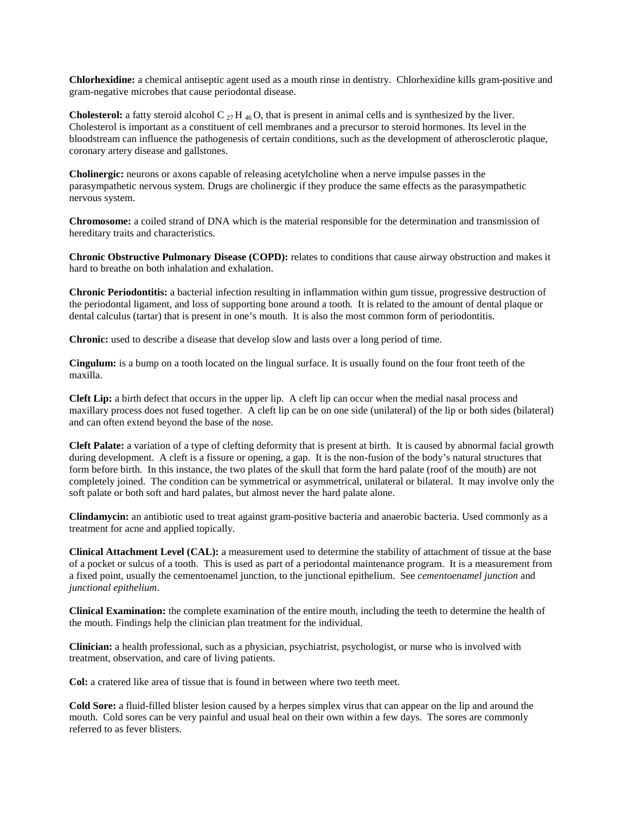**Chlorhexidine:** a chemical [antiseptic](http://en.wikipedia.org/wiki/Antiseptic) agent used as a mouth rinse in dentistry. Chlorhexidine kills [gram-positive](http://en.wikipedia.org/wiki/Gram-positive) and [gram-negative](http://en.wikipedia.org/wiki/Gram-negative) [microbes](http://en.wikipedia.org/wiki/Microbe) that cause periodontal disease.

**Cholesterol:** a fatty steroid alcohol C  $_{27}$  H  $_{46}$ O, that is present in animal cells and is synthesized by the liver. Cholesterol is important as a constituent of cell membranes and a precursor to steroid hormones. Its level in the bloodstream can influence the pathogenesis of certain conditions, such as the development of atherosclerotic plaque, coronary artery disease and gallstones.

**Cholinergic:** neurons or axons capable of releasing acetylcholine when a nerve impulse passes in the parasympathetic nervous system. Drugs are cholinergic if they produce the same effects as the parasympathetic nervous system.

**Chromosome:** a coiled strand of DNA which is the material responsible for the determination and transmission of hereditary traits and characteristics.

**Chronic Obstructive Pulmonary Disease (COPD):** relates to conditions that cause airway obstruction and makes it hard to breathe on both inhalation and exhalation.

**Chronic Periodontitis:** a bacterial infection resulting in inflammation within gum tissue, progressive destruction of the periodontal ligament, and loss of supporting bone around a tooth. It is related to the amount of dental plaque or dental calculus (tartar) that is present in one's mouth. It is also the most common form of periodontitis.

**Chronic:** used to describe a disease that develop slow and lasts over a long period of time.

**Cingulum:** is a bump on a tooth located on the lingual surface. It is usually found on the four front teeth of the maxilla.

**Cleft Lip:** a birth defect that occurs in the upper lip. A cleft lip can occur when the medial nasal process and maxillary process does not fused together. A cleft lip can be on one side (unilateral) of the lip or both sides (bilateral) and can often extend beyond the base of the nose.

**Cleft Palate:** a variation of a type of clefting deformity that is present at birth. It is caused by abnormal facial growth during development. A cleft is a fissure or opening, a gap. It is the non-fusion of the body's natural structures that form before birth. In this instance, the two plates of the skull that form the hard palate (roof of the mouth) are not completely joined. The condition can be symmetrical or asymmetrical, unilateral or bilateral. It may involve only the soft palate or both soft and hard palates, but almost never the hard palate alone.

**Clindamycin:** an antibiotic used to treat against gram-positive bacteria and anaerobic bacteria. Used commonly as a treatment for acne and applied topically.

**Clinical Attachment Level (CAL):** a measurement used to determine the stability of attachment of tissue at the base of a pocket or sulcus of a tooth. This is used as part of a periodontal maintenance program. It is a measurement from a fixed point, usually the cementoenamel junction, to the junctional epithelium. See *cementoenamel junction* and *junctional epithelium*.

**Clinical Examination:** the complete examination of the entire mouth, including the teeth to determine the health of the mouth. Findings help the clinician plan treatment for the individual.

**Clinician:** a health professional, such as a physician, psychiatrist, psychologist, or nurse who is involved with treatment, observation, and care of living patients.

**Col:** a cratered like area of tissue that is found in between where two teeth meet.

**Cold Sore:** a fluid-filled blister lesion caused by a herpes simplex virus that can appear on the lip and around the mouth. Cold sores can be very painful and usual heal on their own within a few days. The sores are commonly referred to as fever blisters.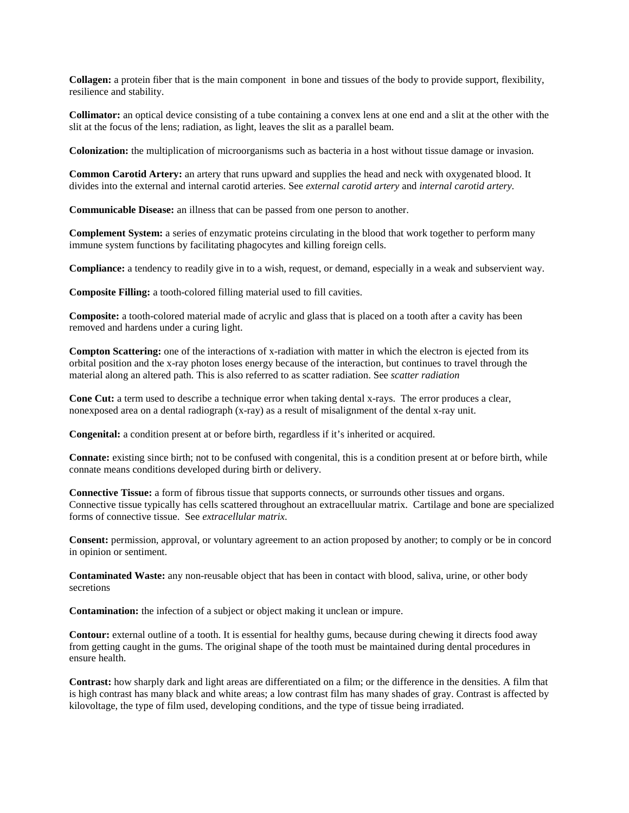**Collagen:** a protein fiber that is the main component in bone and tissues of the body to provide support, flexibility, resilience and stability.

**Collimator:** an optical device consisting of a tube containing a convex lens at one end and a slit at the other with the slit at the focus of the lens; radiation, as light, leaves the slit as a parallel beam.

**Colonization:** the multiplication of microorganisms such as bacteria in a host without tissue damage or invasion.

**Common Carotid Artery:** an artery that runs upward and supplies the head and neck with oxygenated blood. It divides into the external and internal carotid arteries. See *external carotid artery* and *internal carotid artery.*

**Communicable Disease:** an illness that can be passed from one person to another.

**Complement System:** a series of enzymatic proteins circulating in the blood that work together to perform many immune system functions by facilitating phagocytes and killing foreign cells.

**Compliance:** a tendency to readily give in to a wish, request, or demand, especially in a weak and subservient way.

**Composite Filling:** a tooth-colored filling material used to fill cavities.

**Composite:** a tooth-colored material made of acrylic and glass that is placed on a tooth after a cavity has been removed and hardens under a curing light.

**Compton Scattering:** one of the interactions of x-radiation with matter in which the electron is ejected from its orbital position and the x-ray photon loses energy because of the interaction, but continues to travel through the material along an altered path. This is also referred to as scatter radiation. See *scatter radiation*

**Cone Cut:** a term used to describe a technique error when taking dental x-rays. The error produces a clear, nonexposed area on a dental radiograph (x-ray) as a result of misalignment of the dental x-ray unit.

**Congenital:** a condition present at or before birth, regardless if it's inherited or acquired.

**Connate:** existing since birth; not to be confused with congenital, this is a condition present at or before birth, while connate means conditions developed during birth or delivery.

**Connective Tissue:** a form of fibrous tissue that supports connects, or surrounds other tissues and organs. Connective tissue typically has cells scattered throughout an extracelluular matrix. Cartilage and bone are specialized forms of connective tissue. See *extracellular matrix*.

**Consent:** permission, approval, or voluntary agreement to an action proposed by another; to comply or be in concord in opinion or sentiment.

**Contaminated Waste:** any non-reusable object that has been in contact with blood, saliva, urine, or other body secretions

**Contamination:** the infection of a subject or object making it unclean or impure.

**Contour:** external outline of a tooth. It is essential for healthy gums, because during chewing it directs food away from getting caught in the gums. The original shape of the tooth must be maintained during dental procedures in ensure health.

**Contrast:** how sharply dark and light areas are differentiated on a film; or the difference in the densities. A film that is high contrast has many black and white areas; a low contrast film has many shades of gray. Contrast is affected by kilovoltage, the type of film used, developing conditions, and the type of tissue being irradiated.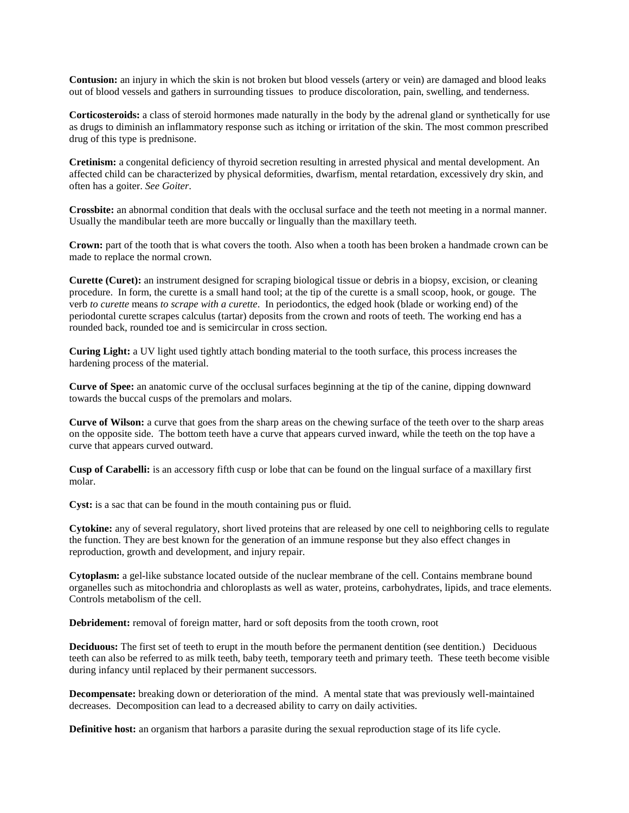**Contusion:** an injury in which the skin is not broken but blood vessels (artery or vein) are damaged and blood leaks out of blood vessels and gathers in surrounding tissues to produce discoloration, pain, swelling, and tenderness.

**Corticosteroids:** a class of steroid hormones made naturally in the body by the adrenal gland or synthetically for use as drugs to diminish an inflammatory response such as itching or irritation of the skin. The most common prescribed drug of this type is prednisone.

**Cretinism:** a congenital deficiency of thyroid secretion resulting in arrested physical and mental development. An affected child can be characterized by physical deformities, dwarfism, mental retardation, excessively dry skin, and often has a goiter. *See Goiter*.

**Crossbite:** an abnormal condition that deals with the occlusal surface and the teeth not meeting in a normal manner. Usually the mandibular teeth are more buccally or lingually than the maxillary teeth.

**Crown:** part of the tooth that is what covers the tooth. Also when a tooth has been broken a handmade crown can be made to replace the normal crown.

**Curette (Curet):** an instrument designed for scraping biological tissue or debris in a biopsy, excision, or cleaning procedure. In form, the curette is a small hand tool; at the tip of the curette is a small scoop, hook, or gouge. The verb *to curette* means *to scrape with a curette*. In periodontics, the edged hook (blade or working end) of the periodontal curette scrapes calculus (tartar) deposits from the crown and roots of teeth. The working end has a rounded back, rounded toe and is semicircular in cross section.

**Curing Light:** a UV light used tightly attach bonding material to the tooth surface, this process increases the hardening process of the material.

**Curve of Spee:** an anatomic curve of the occlusal surfaces beginning at the tip of the canine, dipping downward towards the buccal cusps of the premolars and molars.

**Curve of Wilson:** a curve that goes from the sharp areas on the chewing surface of the teeth over to the sharp areas on the opposite side. The bottom teeth have a curve that appears curved inward, while the teeth on the top have a curve that appears curved outward.

**Cusp of Carabelli:** is an accessory fifth cusp or lobe that can be found on the lingual surface of a maxillary first molar.

Cyst: is a sac that can be found in the mouth containing pus or fluid.

**Cytokine:** any of several regulatory, short lived proteins that are released by one cell to neighboring cells to regulate the function. They are best known for the generation of an immune response but they also effect changes in reproduction, growth and development, and injury repair.

**Cytoplasm:** a gel-like substance located outside of the nuclear membrane of the cell. Contains membrane bound organelles such as mitochondria and chloroplasts as well as water, proteins, carbohydrates, lipids, and trace elements. Controls metabolism of the cell.

**Debridement:** removal of foreign matter, hard or soft deposits from the tooth crown, root

**Deciduous:** The first set of teeth to erupt in the mouth before the permanent dentition (see dentition.) Deciduous teeth can also be referred to as milk teeth, baby teeth, temporary teeth and primary teeth. These teeth become visible during infancy until replaced by their permanent successors.

**Decompensate:** breaking down or deterioration of the mind. A mental state that was previously well-maintained decreases. Decomposition can lead to a decreased ability to carry on daily activities.

**Definitive host:** an organism that harbors a parasite during the sexual reproduction stage of its life cycle.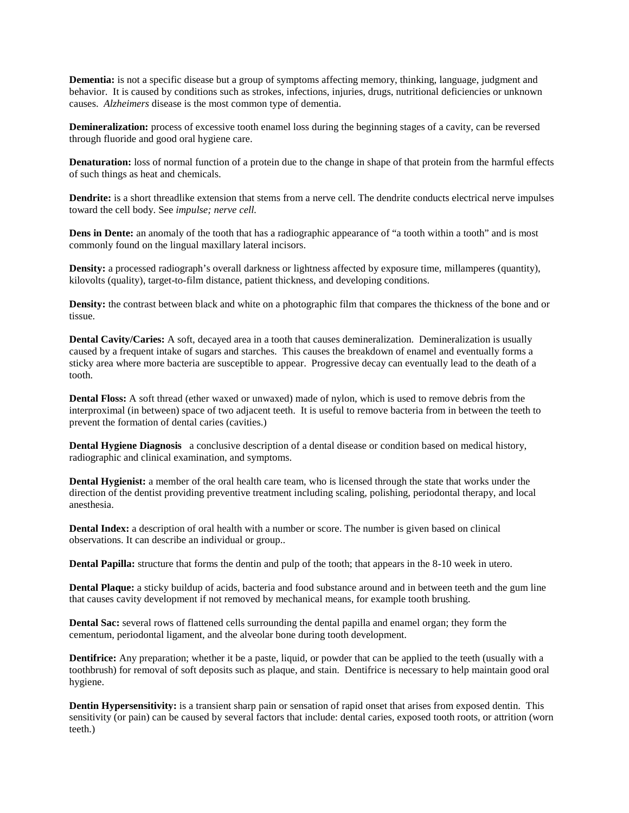**Dementia:** is not a specific disease but a group of symptoms affecting memory, thinking, language, judgment and behavior. It is caused by conditions such as strokes, infections, injuries, drugs, nutritional deficiencies or unknown causes. *Alzheimers* disease is the most common type of dementia.

**Demineralization:** process of excessive tooth enamel loss during the beginning stages of a cavity, can be reversed through fluoride and good oral hygiene care.

**Denaturation:** loss of normal function of a protein due to the change in shape of that protein from the harmful effects of such things as heat and chemicals.

**Dendrite:** is a short threadlike extension that stems from a nerve cell. The dendrite conducts electrical nerve impulses toward the cell body. See *impulse; nerve cell.*

**Dens in Dente:** an anomaly of the tooth that has a radiographic appearance of "a tooth within a tooth" and is most commonly found on the lingual maxillary lateral incisors.

**Density:** a processed radiograph's overall darkness or lightness affected by exposure time, millamperes (quantity), kilovolts (quality), target-to-film distance, patient thickness, and developing conditions.

**Density:** the contrast between black and white on a photographic film that compares the thickness of the bone and or tissue.

**Dental Cavity/Caries:** A soft, decayed area in a tooth that causes demineralization. Demineralization is usually caused by a frequent intake of sugars and starches. This causes the breakdown of enamel and eventually forms a sticky area where more bacteria are susceptible to appear. Progressive decay can eventually lead to the death of a tooth.

**Dental Floss:** A soft thread (ether waxed or unwaxed) made of nylon, which is used to remove debris from the interproximal (in between) space of two adjacent teeth. It is useful to remove bacteria from in between the teeth to prevent the formation of dental caries (cavities.)

**Dental Hygiene Diagnosis** a conclusive description of a dental disease or condition based on medical history, radiographic and clinical examination, and symptoms.

**Dental Hygienist:** a member of the oral health care team, who is licensed through the state that works under the direction of the dentist providing preventive treatment including scaling, polishing, periodontal therapy, and local anesthesia.

**Dental Index:** a description of oral health with a number or score. The number is given based on clinical observations. It can describe an individual or group..

**Dental Papilla:** structure that forms the dentin and pulp of the tooth; that appears in the 8-10 week in utero.

**Dental Plaque:** a sticky buildup of acids, bacteria and food substance around and in between teeth and the gum line that causes cavity development if not removed by mechanical means, for example tooth brushing.

**Dental Sac:** several rows of flattened cells surrounding the dental papilla and enamel organ; they form the cementum, periodontal ligament, and the alveolar bone during tooth development.

**Dentifrice:** Any preparation; whether it be a paste, liquid, or powder that can be applied to the teeth (usually with a toothbrush) for removal of soft deposits such as plaque, and stain. Dentifrice is necessary to help maintain good oral hygiene.

**Dentin Hypersensitivity:** is a transient sharp pain or sensation of rapid onset that arises from exposed dentin. This sensitivity (or pain) can be caused by several factors that include: dental caries, exposed tooth roots, or attrition (worn teeth.)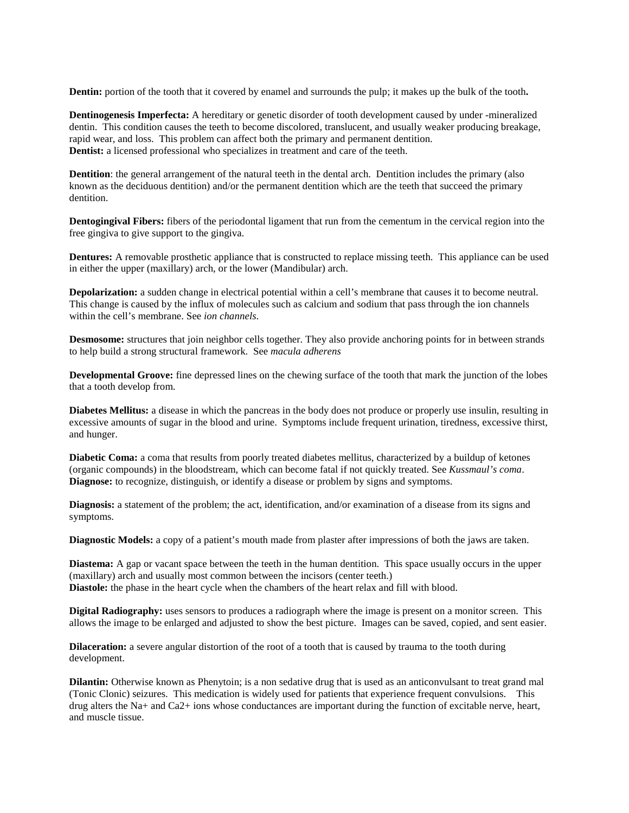**Dentin:** portion of the tooth that it covered by enamel and surrounds the pulp; it makes up the bulk of the tooth**.**

**Dentinogenesis Imperfecta:** A hereditary or genetic disorder of tooth development caused by under -mineralized dentin. This condition causes the teeth to become discolored, translucent, and usually weaker producing breakage, rapid wear, and loss. This problem can affect both the primary and permanent dentition. **Dentist:** a licensed professional who specializes in treatment and care of the teeth.

**Dentition**: the general arrangement of the natural teeth in the dental arch. Dentition includes the primary (also known as the deciduous dentition) and/or the permanent dentition which are the teeth that succeed the primary dentition.

**Dentogingival Fibers:** fibers of the periodontal ligament that run from the cementum in the cervical region into the free gingiva to give support to the gingiva.

**Dentures:** A removable prosthetic appliance that is constructed to replace missing teeth. This appliance can be used in either the upper (maxillary) arch, or the lower (Mandibular) arch.

**Depolarization:** a sudden change in electrical potential within a cell's membrane that causes it to become neutral. This change is caused by the influx of molecules such as calcium and sodium that pass through the ion channels within the cell's membrane. See *ion channels*.

**Desmosome:** structures that join neighbor cells together. They also provide anchoring points for in between strands to help build a strong structural framework. See *macula adherens*

**Developmental Groove:** fine depressed lines on the chewing surface of the tooth that mark the junction of the lobes that a tooth develop from.

**Diabetes Mellitus:** a disease in which the pancreas in the body does not produce or properly use insulin, resulting in excessive amounts of sugar in the blood and urine. Symptoms include frequent urination, tiredness, excessive thirst, and hunger.

**Diabetic Coma:** a coma that results from poorly treated diabetes mellitus, characterized by a buildup of ketones (organic compounds) in the bloodstream, which can become fatal if not quickly treated. See *Kussmaul's coma*. **Diagnose:** to recognize, distinguish, or identify a disease or problem by signs and symptoms.

**Diagnosis:** a statement of the problem; the act, identification, and/or examination of a disease from its signs and symptoms.

**Diagnostic Models:** a copy of a patient's mouth made from plaster after impressions of both the jaws are taken.

**Diastema:** A gap or vacant space between the teeth in the human dentition. This space usually occurs in the upper (maxillary) arch and usually most common between the incisors (center teeth.) **Diastole:** the phase in the heart cycle when the chambers of the heart relax and fill with blood.

**Digital Radiography:** uses sensors to produces a radiograph where the image is present on a monitor screen. This allows the image to be enlarged and adjusted to show the best picture. Images can be saved, copied, and sent easier.

**Dilaceration:** a severe angular distortion of the root of a tooth that is caused by trauma to the tooth during development.

**Dilantin:** Otherwise known as Phenytoin; is a non sedative drug that is used as an anticonvulsant to treat grand mal (Tonic Clonic) seizures. This medication is widely used for patients that experience frequent convulsions. This drug alters the Na+ and Ca2+ ions whose conductances are important during the function of excitable nerve, heart, and muscle tissue.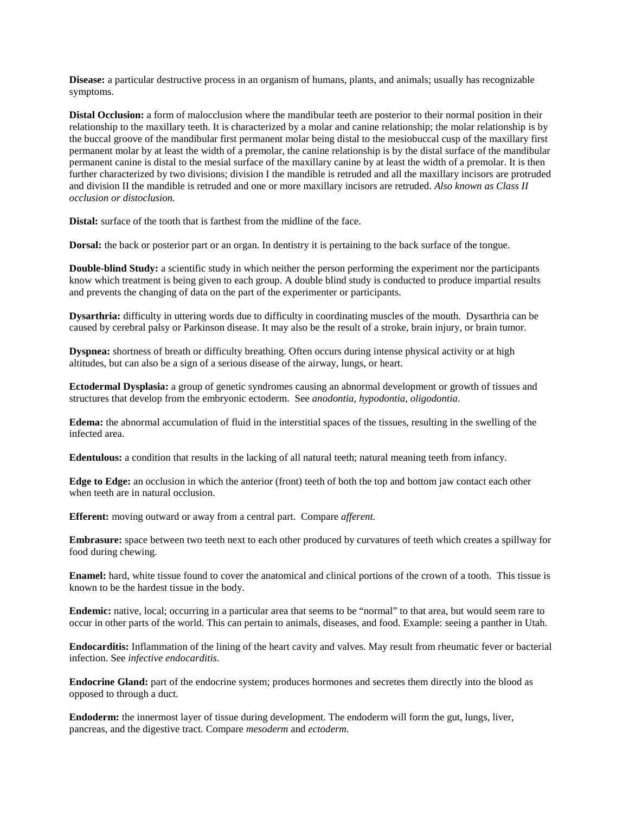**Disease:** a particular destructive process in an organism of humans, plants, and animals; usually has recognizable symptoms.

**Distal Occlusion:** a form of malocclusion where the mandibular teeth are posterior to their normal position in their relationship to the maxillary teeth. It is characterized by a molar and canine relationship; the molar relationship is by the buccal groove of the mandibular first permanent molar being distal to the mesiobuccal cusp of the maxillary first permanent molar by at least the width of a premolar, the canine relationship is by the distal surface of the mandibular permanent canine is distal to the mesial surface of the maxillary canine by at least the width of a premolar. It is then further characterized by two divisions; division I the mandible is retruded and all the maxillary incisors are protruded and division II the mandible is retruded and one or more maxillary incisors are retruded. *Also known as Class II occlusion or distoclusion.*

**Distal:** surface of the tooth that is farthest from the midline of the face.

**Dorsal:** the back or posterior part or an organ. In dentistry it is pertaining to the back surface of the tongue.

**Double-blind Study:** a scientific study in which neither the person performing the experiment nor the participants know which treatment is being given to each group. A double blind study is conducted to produce impartial results and prevents the changing of data on the part of the experimenter or participants.

**Dysarthria:** difficulty in uttering words due to difficulty in coordinating muscles of the mouth. Dysarthria can be caused by cerebral palsy or Parkinson disease. It may also be the result of a stroke, brain injury, or brain tumor.

**Dyspnea:** shortness of breath or difficulty breathing. Often occurs during intense physical activity or at high altitudes, but can also be a sign of a serious disease of the airway, lungs, or heart.

**Ectodermal Dysplasia:** a group of genetic syndromes causing an abnormal development or growth of tissues and structures that develop from the embryonic ectoderm. See *anodontia, hypodontia, oligodontia*.

**Edema:** the abnormal accumulation of fluid in the interstitial spaces of the tissues, resulting in the swelling of the infected area.

**Edentulous:** a condition that results in the lacking of all natural teeth; natural meaning teeth from infancy.

**Edge to Edge:** an occlusion in which the anterior (front) teeth of both the top and bottom jaw contact each other when teeth are in natural occlusion.

**Efferent:** moving outward or away from a central part. Compare *afferent.*

**Embrasure:** space between two teeth next to each other produced by curvatures of teeth which creates a spillway for food during chewing.

**Enamel:** hard, white tissue found to cover the anatomical and clinical portions of the crown of a tooth. This tissue is known to be the hardest tissue in the body.

**Endemic:** native, local; occurring in a particular area that seems to be "normal" to that area, but would seem rare to occur in other parts of the world. This can pertain to animals, diseases, and food. Example: seeing a panther in Utah.

**Endocarditis:** Inflammation of the lining of the heart cavity and valves. May result from rheumatic fever or bacterial infection. See *infective endocarditis.*

**Endocrine Gland:** part of the endocrine system; produces hormones and secretes them directly into the blood as opposed to through a duct.

**Endoderm:** the innermost layer of tissue during development. The endoderm will form the gut, lungs, liver, pancreas, and the digestive tract. Compare *mesoderm* and *ectoderm.*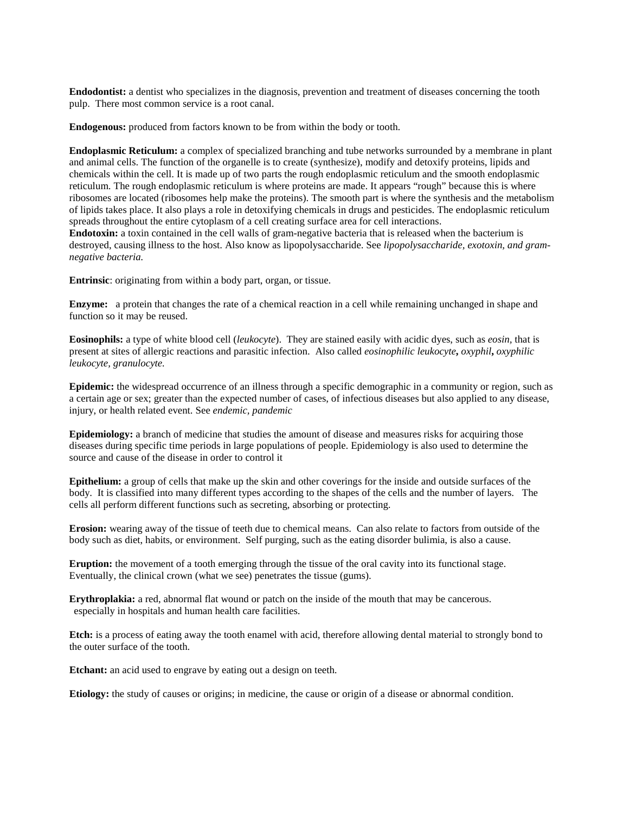**Endodontist:** a dentist who specializes in the diagnosis, prevention and treatment of diseases concerning the tooth pulp. There most common service is a root canal.

**Endogenous:** produced from factors known to be from within the body or tooth.

**Endoplasmic Reticulum:** a complex of specialized branching and tube networks surrounded by a membrane in plant and animal cells. The function of the organelle is to create (synthesize), modify and detoxify proteins, lipids and chemicals within the cell. It is made up of two parts the rough endoplasmic reticulum and the smooth endoplasmic reticulum. The rough endoplasmic reticulum is where proteins are made. It appears "rough" because this is where ribosomes are located (ribosomes help make the proteins). The smooth part is where the synthesis and the metabolism of lipids takes place. It also plays a role in detoxifying chemicals in drugs and pesticides. The endoplasmic reticulum spreads throughout the entire cytoplasm of a cell creating surface area for cell interactions.

**Endotoxin:** a toxin contained in the cell walls of gram-negative bacteria that is released when the bacterium is destroyed, causing illness to the host. Also know as lipopolysaccharide. See *lipopolysaccharide, exotoxin, and gramnegative bacteria.*

**Entrinsic**: originating from within a body part, organ, or tissue.

**Enzyme:** a protein that changes the rate of a chemical reaction in a cell while remaining unchanged in shape and function so it may be reused.

**Eosinophils:** a type of white blood cell (*leukocyte*). They are stained easily with acidic dyes, such as *eosin,* that is present at sites of allergic reactions and parasitic infection. Also called *eosinophilic leukocyte***,** *oxyphil***,** *oxyphilic leukocyte, granulocyte.*

**Epidemic:** the widespread occurrence of an illness through a specific demographic in a community or region, such as a certain age or sex; greater than the expected number of cases, of infectious diseases but also applied to any disease, injury, or health related event. See *endemic, pandemic*

**Epidemiology:** a branch of medicine that studies the amount of disease and measures risks for acquiring those diseases during specific time periods in large populations of people. Epidemiology is also used to determine the source and cause of the disease in order to control it

**Epithelium:** a group of cells that make up the skin and other coverings for the inside and outside surfaces of the body. It is classified into many different types according to the shapes of the cells and the number of layers. The cells all perform different functions such as secreting, absorbing or protecting.

**Erosion:** wearing away of the tissue of teeth due to chemical means. Can also relate to factors from outside of the body such as diet, habits, or environment. Self purging, such as the eating disorder bulimia, is also a cause.

**Eruption:** the movement of a tooth emerging through the tissue of the oral cavity into its functional stage. Eventually, the clinical crown (what we see) penetrates the tissue (gums).

**Erythroplakia:** a red, abnormal flat wound or patch on the inside of the mouth that may be cancerous. especially in hospitals and human health care facilities.

**Etch:** is a process of eating away the tooth enamel with acid, therefore allowing dental material to strongly bond to the outer surface of the tooth.

**Etchant:** an acid used to engrave by eating out a design on teeth.

**Etiology:** the study of causes or origins; in medicine, the cause or origin of a disease or abnormal condition.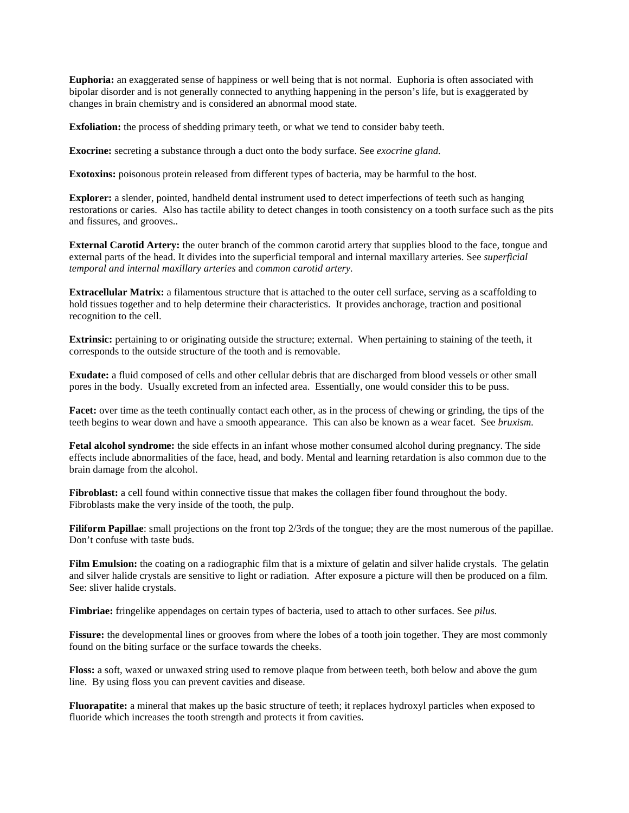**Euphoria:** an exaggerated sense of happiness or well being that is not normal. Euphoria is often associated with bipolar disorder and is not generally connected to anything happening in the person's life, but is exaggerated by changes in brain chemistry and is considered an abnormal mood state.

**Exfoliation:** the process of shedding primary teeth, or what we tend to consider baby teeth.

**Exocrine:** secreting a substance through a duct onto the body surface. See *exocrine gland.*

**Exotoxins:** poisonous protein released from different types of bacteria, may be harmful to the host.

**Explorer:** a slender, pointed, handheld dental instrument used to detect imperfections of teeth such as hanging restorations or caries. Also has tactile ability to detect changes in tooth consistency on a tooth surface such as the pits and fissures, and grooves..

**External Carotid Artery:** the outer branch of the common carotid artery that supplies blood to the face, tongue and external parts of the head. It divides into the superficial temporal and internal maxillary arteries. See *superficial temporal and internal maxillary arteries* and *common carotid artery.*

**Extracellular Matrix:** a filamentous structure that is attached to the outer cell surface, serving as a scaffolding to hold tissues together and to help determine their characteristics. It provides anchorage, traction and positional recognition to the cell.

**Extrinsic:** pertaining to or originating outside the structure; external. When pertaining to staining of the teeth, it corresponds to the outside structure of the tooth and is removable.

**Exudate:** a fluid composed of cells and other cellular debris that are discharged from blood vessels or other small pores in the body. Usually excreted from an infected area. Essentially, one would consider this to be puss.

**Facet:** over time as the teeth continually contact each other, as in the process of chewing or grinding, the tips of the teeth begins to wear down and have a smooth appearance. This can also be known as a wear facet. See *bruxism.* 

Fetal alcohol syndrome: the side effects in an infant whose mother consumed alcohol during pregnancy. The side effects include abnormalities of the face, head, and body. Mental and learning retardation is also common due to the brain damage from the alcohol.

Fibroblast: a cell found within connective tissue that makes the collagen fiber found throughout the body. Fibroblasts make the very inside of the tooth, the pulp.

**Filiform Papillae**: small projections on the front top 2/3rds of the tongue; they are the most numerous of the papillae. Don't confuse with taste buds.

Film Emulsion: the coating on a radiographic film that is a mixture of gelatin and silver halide crystals. The gelatin and silver halide crystals are sensitive to light or radiation. After exposure a picture will then be produced on a film. See: sliver halide crystals.

**Fimbriae:** fringelike appendages on certain types of bacteria, used to attach to other surfaces. See *pilus.*

Fissure: the developmental lines or grooves from where the lobes of a tooth join together. They are most commonly found on the biting surface or the surface towards the cheeks.

**Floss:** a soft, waxed or unwaxed string used to remove plaque from between teeth, both below and above the gum line. By using floss you can prevent cavities and disease.

**Fluorapatite:** a mineral that makes up the basic structure of teeth; it replaces hydroxyl particles when exposed to fluoride which increases the tooth strength and protects it from cavities.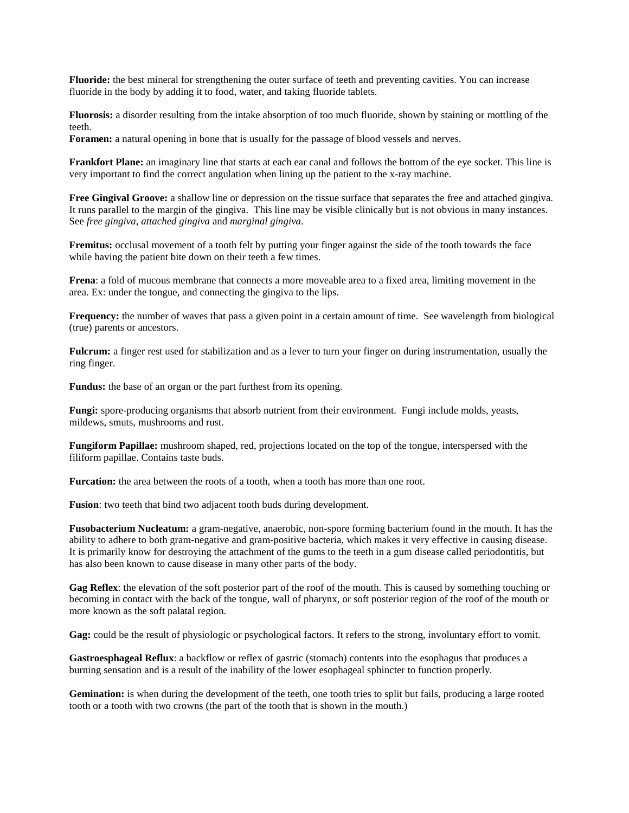**Fluoride:** the best mineral for strengthening the outer surface of teeth and preventing cavities. You can increase fluoride in the body by adding it to food, water, and taking fluoride tablets.

**Fluorosis:** a disorder resulting from the intake absorption of too much fluoride, shown by staining or mottling of the teeth.

**Foramen:** a natural opening in bone that is usually for the passage of blood vessels and nerves.

**Frankfort Plane:** an imaginary line that starts at each ear canal and follows the bottom of the eye socket. This line is very important to find the correct angulation when lining up the patient to the x-ray machine.

**Free Gingival Groove:** a shallow line or depression on the tissue surface that separates the free and attached gingiva. It runs parallel to the margin of the gingiva. This line may be visible clinically but is not obvious in many instances. See *free gingiva*, *attached gingiva* and *marginal gingiva*.

**Fremitus:** occlusal movement of a tooth felt by putting your finger against the side of the tooth towards the face while having the patient bite down on their teeth a few times.

**Frena**: a fold of mucous membrane that connects a more moveable area to a fixed area, limiting movement in the area. Ex: under the tongue, and connecting the gingiva to the lips.

**Frequency:** the number of waves that pass a given point in a certain amount of time. See wavelength from biological (true) parents or ancestors.

**Fulcrum:** a finger rest used for stabilization and as a lever to turn your finger on during instrumentation, usually the ring finger.

**Fundus:** the base of an organ or the part furthest from its opening.

**Fungi:** spore-producing organisms that absorb nutrient from their environment. Fungi include molds, yeasts, mildews, smuts, mushrooms and rust.

**Fungiform Papillae:** mushroom shaped, red, projections located on the top of the tongue, interspersed with the filiform papillae. Contains taste buds.

**Furcation:** the area between the roots of a tooth, when a tooth has more than one root.

**Fusion**: two teeth that bind two adjacent tooth buds during development.

**Fusobacterium Nucleatum:** a gram-negative, anaerobic, non-spore forming bacterium found in the mouth. It has the ability to adhere to both gram-negative and gram-positive bacteria, which makes it very effective in causing disease. It is primarily know for destroying the attachment of the gums to the teeth in a gum disease called periodontitis, but has also been known to cause disease in many other parts of the body.

**Gag Reflex**: the elevation of the soft posterior part of the roof of the mouth. This is caused by something touching or becoming in contact with the back of the tongue, wall of pharynx, or soft posterior region of the roof of the mouth or more known as the soft palatal region.

**Gag:** could be the result of physiologic or psychological factors. It refers to the strong, involuntary effort to vomit.

**Gastroesphageal Reflux**: a backflow or reflex of gastric (stomach) contents into the esophagus that produces a burning sensation and is a result of the inability of the lower esophageal sphincter to function properly.

Gemination: is when during the development of the teeth, one tooth tries to split but fails, producing a large rooted tooth or a tooth with two crowns (the part of the tooth that is shown in the mouth.)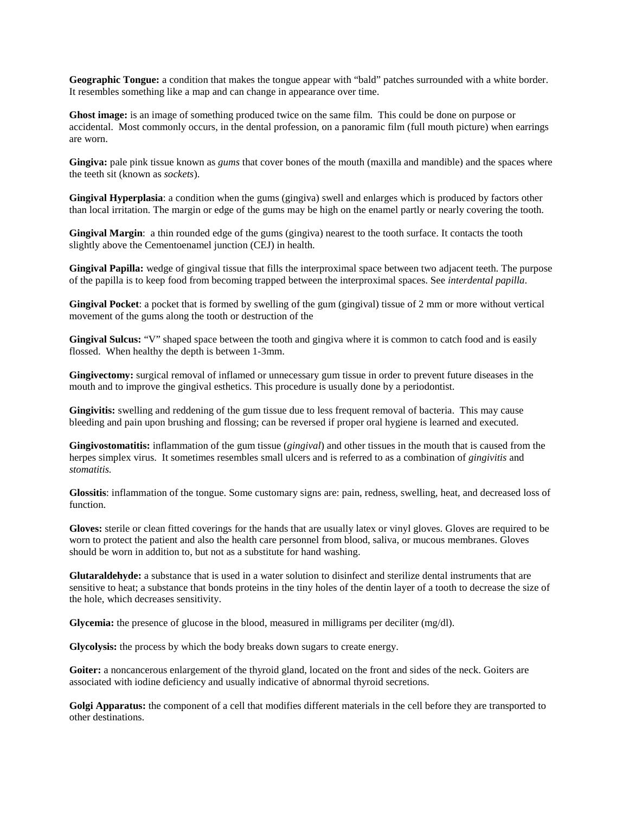**Geographic Tongue:** a condition that makes the tongue appear with "bald" patches surrounded with a white border. It resembles something like a map and can change in appearance over time.

**Ghost image:** is an image of something produced twice on the same film. This could be done on purpose or accidental. Most commonly occurs, in the dental profession, on a panoramic film (full mouth picture) when earrings are worn.

**Gingiva:** pale pink tissue known as *gums* that cover bones of the mouth (maxilla and mandible) and the spaces where the teeth sit (known as *sockets*).

**Gingival Hyperplasia**: a condition when the gums (gingiva) swell and enlarges which is produced by factors other than local irritation. The margin or edge of the gums may be high on the enamel partly or nearly covering the tooth.

**Gingival Margin:** a thin rounded edge of the gums (gingiva) nearest to the tooth surface. It contacts the tooth slightly above the Cementoenamel junction (CEJ) in health.

**Gingival Papilla:** wedge of gingival tissue that fills the interproximal space between two adjacent teeth. The purpose of the papilla is to keep food from becoming trapped between the interproximal spaces. See *interdental papilla*.

**Gingival Pocket**: a pocket that is formed by swelling of the gum (gingival) tissue of 2 mm or more without vertical movement of the gums along the tooth or destruction of the

Gingival Sulcus: "V" shaped space between the tooth and gingiva where it is common to catch food and is easily flossed. When healthy the depth is between 1-3mm.

**Gingivectomy:** surgical removal of inflamed or unnecessary gum tissue in order to prevent future diseases in the mouth and to improve the gingival esthetics. This procedure is usually done by a periodontist.

**Gingivitis:** swelling and reddening of the gum tissue due to less frequent removal of bacteria. This may cause bleeding and pain upon brushing and flossing; can be reversed if proper oral hygiene is learned and executed.

**Gingivostomatitis:** inflammation of the gum tissue (*gingival*) and other tissues in the mouth that is caused from the herpes simplex virus. It sometimes resembles small ulcers and is referred to as a combination of *gingivitis* and *stomatitis.*

**Glossitis**: inflammation of the tongue. Some customary signs are: pain, redness, swelling, heat, and decreased loss of function.

**Gloves:** sterile or clean fitted coverings for the hands that are usually latex or vinyl gloves. Gloves are required to be worn to protect the patient and also the health care personnel from blood, saliva, or mucous membranes. Gloves should be worn in addition to, but not as a substitute for hand washing.

**Glutaraldehyde:** a substance that is used in a water solution to disinfect and sterilize dental instruments that are sensitive to heat; a substance that bonds proteins in the tiny holes of the dentin layer of a tooth to decrease the size of the hole, which decreases sensitivity.

**Glycemia:** the presence of glucose in the blood, measured in milligrams per deciliter (mg/dl).

**Glycolysis:** the process by which the body breaks down sugars to create energy.

**Goiter:** a noncancerous enlargement of the thyroid gland, located on the front and sides of the neck. Goiters are associated with iodine deficiency and usually indicative of abnormal thyroid secretions.

**Golgi Apparatus:** the component of a cell that modifies different materials in the cell before they are transported to other destinations.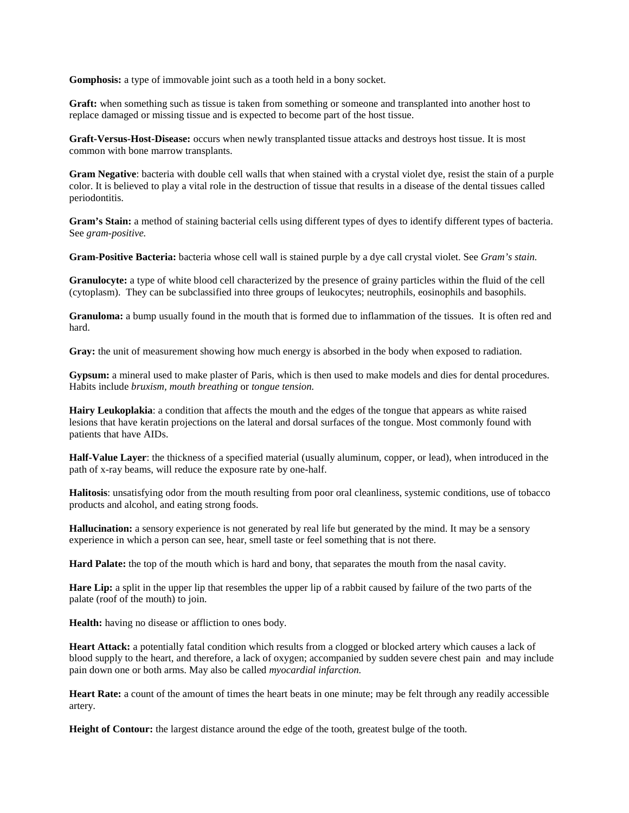**Gomphosis:** a type of immovable joint such as a tooth held in a bony socket.

**Graft:** when something such as tissue is taken from something or someone and transplanted into another host to replace damaged or missing tissue and is expected to become part of the host tissue.

**Graft-Versus-Host-Disease:** occurs when newly transplanted tissue attacks and destroys host tissue. It is most common with bone marrow transplants.

**Gram Negative**: bacteria with double cell walls that when stained with a crystal violet dye, resist the stain of a purple color. It is believed to play a vital role in the destruction of tissue that results in a disease of the dental tissues called periodontitis.

**Gram's Stain:** a method of staining bacterial cells using different types of dyes to identify different types of bacteria. See *gram-positive.* 

**Gram-Positive Bacteria:** bacteria whose cell wall is stained purple by a dye call crystal violet. See *Gram's stain.*

**Granulocyte:** a type of white blood cell characterized by the presence of grainy particles within the fluid of the cell (cytoplasm). They can be subclassified into three groups of leukocytes; neutrophils, eosinophils and basophils.

**Granuloma:** a bump usually found in the mouth that is formed due to inflammation of the tissues. It is often red and hard.

**Gray:** the unit of measurement showing how much energy is absorbed in the body when exposed to radiation.

**Gypsum:** a mineral used to make plaster of Paris, which is then used to make models and dies for dental procedures. Habits include *bruxism, mouth breathing* or *tongue tension.*

**Hairy Leukoplakia**: a condition that affects the mouth and the edges of the tongue that appears as white raised lesions that have keratin projections on the lateral and dorsal surfaces of the tongue. Most commonly found with patients that have AIDs.

**Half-Value Layer**: the thickness of a specified material (usually aluminum, copper, or lead), when introduced in the path of x-ray beams, will reduce the exposure rate by one-half.

**Halitosis**: unsatisfying odor from the mouth resulting from poor oral cleanliness, systemic conditions, use of tobacco products and alcohol, and eating strong foods.

**Hallucination:** a sensory experience is not generated by real life but generated by the mind. It may be a sensory experience in which a person can see, hear, smell taste or feel something that is not there.

**Hard Palate:** the top of the mouth which is hard and bony, that separates the mouth from the nasal cavity.

**Hare Lip:** a split in the upper lip that resembles the upper lip of a rabbit caused by failure of the two parts of the palate (roof of the mouth) to join.

Health: having no disease or affliction to ones body.

**Heart Attack:** a potentially fatal condition which results from a clogged or blocked artery which causes a lack of blood supply to the heart, and therefore, a lack of oxygen; accompanied by sudden severe chest pain and may include pain down one or both arms. May also be called *myocardial infarction.*

**Heart Rate:** a count of the amount of times the heart beats in one minute; may be felt through any readily accessible artery.

**Height of Contour:** the largest distance around the edge of the tooth, greatest bulge of the tooth.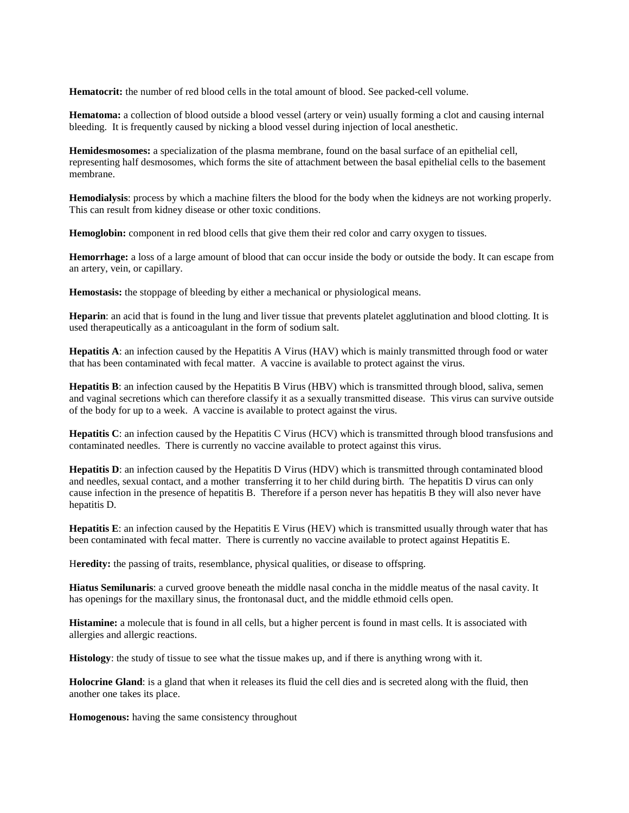**Hematocrit:** the number of red blood cells in the total amount of blood. See packed-cell volume.

**Hematoma:** a collection of blood outside a blood vessel (artery or vein) usually forming a clot and causing internal bleeding. It is frequently caused by nicking a blood vessel during injection of local anesthetic.

**Hemidesmosomes:** a specialization of the plasma membrane, found on the basal surface of an epithelial cell, representing half desmosomes, which forms the site of attachment between the basal epithelial cells to the basement membrane.

**Hemodialysis**: process by which a machine filters the blood for the body when the kidneys are not working properly. This can result from kidney disease or other toxic conditions.

**Hemoglobin:** component in red blood cells that give them their red color and carry oxygen to tissues.

**Hemorrhage:** a loss of a large amount of blood that can occur inside the body or outside the body. It can escape from an artery, vein, or capillary.

**Hemostasis:** the stoppage of bleeding by either a mechanical or physiological means.

**Heparin**: an acid that is found in the lung and liver tissue that prevents platelet agglutination and blood clotting. It is used therapeutically as a anticoagulant in the form of sodium salt.

**Hepatitis A**: an infection caused by the Hepatitis A Virus (HAV) which is mainly transmitted through food or water that has been contaminated with fecal matter. A vaccine is available to protect against the virus.

**Hepatitis B**: an infection caused by the Hepatitis B Virus (HBV) which is transmitted through blood, saliva, semen and vaginal secretions which can therefore classify it as a sexually transmitted disease. This virus can survive outside of the body for up to a week. A vaccine is available to protect against the virus.

**Hepatitis C**: an infection caused by the Hepatitis C Virus (HCV) which is transmitted through blood transfusions and contaminated needles. There is currently no vaccine available to protect against this virus.

**Hepatitis D**: an infection caused by the Hepatitis D Virus (HDV) which is transmitted through contaminated blood and needles, sexual contact, and a mother transferring it to her child during birth. The hepatitis D virus can only cause infection in the presence of hepatitis B. Therefore if a person never has hepatitis B they will also never have hepatitis D.

**Hepatitis E**: an infection caused by the Hepatitis E Virus (HEV) which is transmitted usually through water that has been contaminated with fecal matter. There is currently no vaccine available to protect against Hepatitis E.

Heredity: the passing of traits, resemblance, physical qualities, or disease to offspring.

**Hiatus Semilunaris**: a curved groove beneath the middle nasal concha in the middle meatus of the nasal cavity. It has openings for the maxillary sinus, the frontonasal duct, and the middle ethmoid cells open.

**Histamine:** a molecule that is found in all cells, but a higher percent is found in mast cells. It is associated with allergies and allergic reactions.

**Histology**: the study of tissue to see what the tissue makes up, and if there is anything wrong with it.

**Holocrine Gland**: is a gland that when it releases its fluid the cell dies and is secreted along with the fluid, then another one takes its place.

**Homogenous:** having the same consistency throughout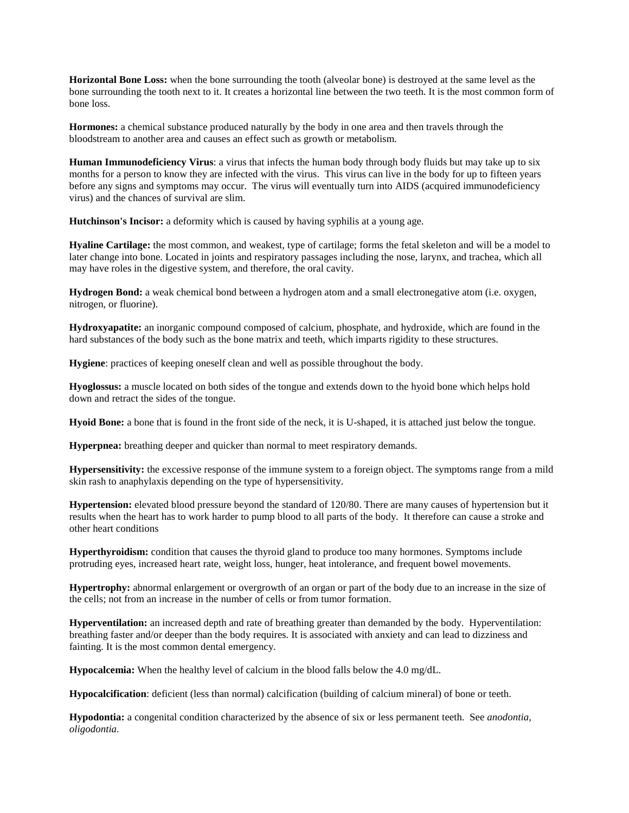**Horizontal Bone Loss:** when the bone surrounding the tooth (alveolar bone) is destroyed at the same level as the bone surrounding the tooth next to it. It creates a horizontal line between the two teeth. It is the most common form of bone loss.

**Hormones:** a chemical substance produced naturally by the body in one area and then travels through the bloodstream to another area and causes an effect such as growth or metabolism.

**Human Immunodeficiency Virus**: a virus that infects the human body through body fluids but may take up to six months for a person to know they are infected with the virus. This virus can live in the body for up to fifteen years before any signs and symptoms may occur. The virus will eventually turn into AIDS (acquired immunodeficiency virus) and the chances of survival are slim.

**Hutchinson's Incisor:** a deformity which is caused by having syphilis at a young age.

**Hyaline Cartilage:** the most common, and weakest, type of cartilage; forms the fetal skeleton and will be a model to later change into bone. Located in joints and respiratory passages including the nose, larynx, and trachea, which all may have roles in the digestive system, and therefore, the oral cavity.

**Hydrogen Bond:** a weak chemical bond between a hydrogen atom and a small electronegative atom (i.e. oxygen, nitrogen, or fluorine).

**Hydroxyapatite:** an inorganic compound composed of calcium, phosphate, and hydroxide, which are found in the hard substances of the body such as the bone matrix and teeth, which imparts rigidity to these structures.

**Hygiene**: practices of keeping oneself clean and well as possible throughout the body.

**Hyoglossus:** a muscle located on both sides of the tongue and extends down to the hyoid bone which helps hold down and retract the sides of the tongue.

**Hyoid Bone:** a bone that is found in the front side of the neck, it is U-shaped, it is attached just below the tongue.

**Hyperpnea:** breathing deeper and quicker than normal to meet respiratory demands.

**Hypersensitivity:** the excessive response of the immune system to a foreign object. The symptoms range from a mild skin rash to anaphylaxis depending on the type of hypersensitivity.

**Hypertension:** elevated blood pressure beyond the standard of 120/80. There are many causes of hypertension but it results when the heart has to work harder to pump blood to all parts of the body. It therefore can cause a stroke and other heart conditions

**Hyperthyroidism:** condition that causes the thyroid gland to produce too many hormones. Symptoms include protruding eyes, increased heart rate, weight loss, hunger, heat intolerance, and frequent bowel movements.

**Hypertrophy:** abnormal enlargement or overgrowth of an organ or part of the body due to an increase in the size of the cells; not from an increase in the number of cells or from tumor formation.

**Hyperventilation:** an increased depth and rate of breathing greater than demanded by the body. Hyperventilation: breathing faster and/or deeper than the body requires. It is associated with anxiety and can lead to dizziness and fainting. It is the most common dental emergency.

**Hypocalcemia:** When the healthy level of calcium in the blood falls below the 4.0 mg/dL.

**Hypocalcification**: deficient (less than normal) calcification (building of calcium mineral) of bone or teeth.

**Hypodontia:** a congenital condition characterized by the absence of six or less permanent teeth. See *anodontia, oligodontia.*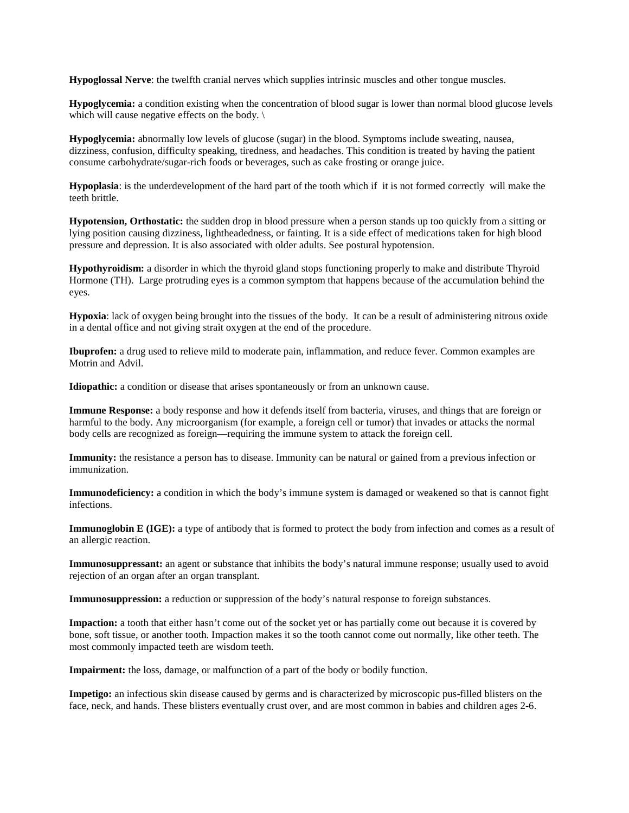**Hypoglossal Nerve**: the twelfth cranial nerves which supplies intrinsic muscles and other tongue muscles.

**Hypoglycemia:** a condition existing when the concentration of blood sugar is lower than normal blood glucose levels which will cause negative effects on the body. \

**Hypoglycemia:** abnormally low levels of glucose (sugar) in the blood. Symptoms include sweating, nausea, dizziness, confusion, difficulty speaking, tiredness, and headaches. This condition is treated by having the patient consume carbohydrate/sugar-rich foods or beverages, such as cake frosting or orange juice.

**Hypoplasia**: is the underdevelopment of the hard part of the tooth which if it is not formed correctly will make the teeth brittle.

**Hypotension, Orthostatic:** the sudden drop in blood pressure when a person stands up too quickly from a sitting or lying position causing dizziness, lightheadedness, or fainting. It is a side effect of medications taken for high blood pressure and depression. It is also associated with older adults. See postural hypotension.

**Hypothyroidism:** a disorder in which the thyroid gland stops functioning properly to make and distribute Thyroid Hormone (TH). Large protruding eyes is a common symptom that happens because of the accumulation behind the eyes.

**Hypoxia**: lack of oxygen being brought into the tissues of the body. It can be a result of administering nitrous oxide in a dental office and not giving strait oxygen at the end of the procedure.

**Ibuprofen:** a drug used to relieve mild to moderate pain, inflammation, and reduce fever. Common examples are Motrin and Advil.

**Idiopathic:** a condition or disease that arises spontaneously or from an unknown cause.

**Immune Response:** a body response and how it defends itself from bacteria, viruses, and things that are foreign or harmful to the body. Any microorganism (for example, a foreign cell or tumor) that invades or attacks the normal body cells are recognized as foreign—requiring the immune system to attack the foreign cell.

**Immunity:** the resistance a person has to disease. Immunity can be natural or gained from a previous infection or immunization.

**Immunodeficiency:** a condition in which the body's immune system is damaged or weakened so that is cannot fight infections.

**Immunoglobin E (IGE):** a type of antibody that is formed to protect the body from infection and comes as a result of an allergic reaction.

**Immunosuppressant:** an agent or substance that inhibits the body's natural immune response; usually used to avoid rejection of an organ after an organ transplant.

**Immunosuppression:** a reduction or suppression of the body's natural response to foreign substances.

**Impaction:** a tooth that either hasn't come out of the socket yet or has partially come out because it is covered by bone, soft tissue, or another tooth. Impaction makes it so the tooth cannot come out normally, like other teeth. The most commonly impacted teeth are wisdom teeth.

**Impairment:** the loss, damage, or malfunction of a part of the body or bodily function.

**Impetigo:** an infectious skin disease caused by germs and is characterized by microscopic pus-filled blisters on the face, neck, and hands. These blisters eventually crust over, and are most common in babies and children ages 2-6.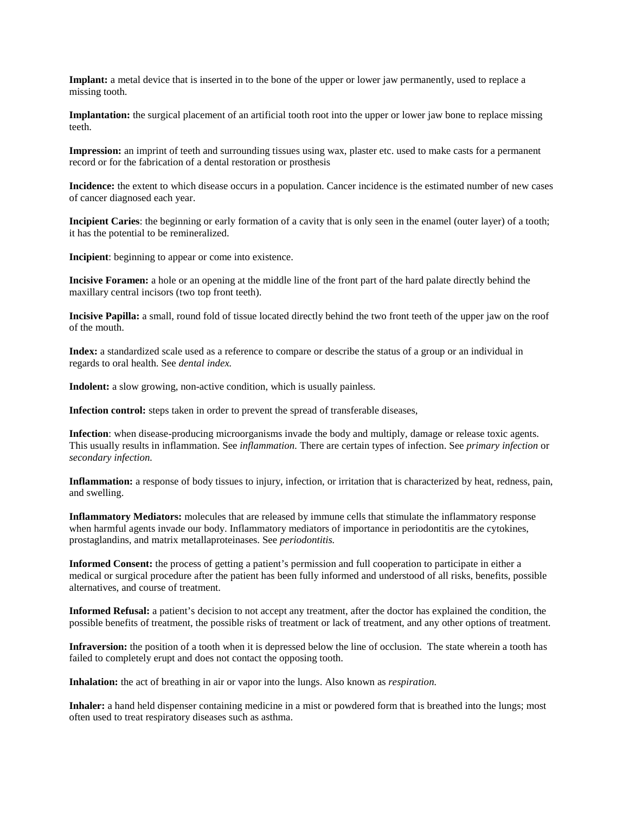**Implant:** a metal device that is inserted in to the bone of the upper or lower jaw permanently, used to replace a missing tooth.

**Implantation:** the surgical placement of an artificial tooth root into the upper or lower jaw bone to replace missing teeth.

**Impression:** an imprint of teeth and surrounding tissues using wax, plaster etc. used to make casts for a permanent record or for the fabrication of a dental restoration or prosthesis

**Incidence:** the extent to which disease occurs in a population. Cancer incidence is the estimated number of new cases of cancer diagnosed each year.

**Incipient Caries**: the beginning or early formation of a cavity that is only seen in the enamel (outer layer) of a tooth; it has the potential to be remineralized.

**Incipient**: beginning to appear or come into existence.

**Incisive Foramen:** a hole or an opening at the middle line of the front part of the hard palate directly behind the maxillary central incisors (two top front teeth).

**Incisive Papilla:** a small, round fold of tissue located directly behind the two front teeth of the upper jaw on the roof of the mouth.

**Index:** a standardized scale used as a reference to compare or describe the status of a group or an individual in regards to oral health. See *dental index.*

**Indolent:** a slow growing, non-active condition, which is usually painless.

**Infection control:** steps taken in order to prevent the spread of transferable diseases,

**Infection**: when disease-producing microorganisms invade the body and multiply, damage or release toxic agents. This usually results in inflammation. See *inflammation.* There are certain types of infection. See *primary infection* or *secondary infection.* 

**Inflammation:** a response of body tissues to injury, infection, or irritation that is characterized by heat, redness, pain, and swelling.

**Inflammatory Mediators:** molecules that are released by immune cells that stimulate the inflammatory response when harmful agents invade our body. Inflammatory mediators of importance in periodontitis are the cytokines, prostaglandins, and matrix metallaproteinases. See *periodontitis.*

**Informed Consent:** the process of getting a patient's permission and full cooperation to participate in either a medical or surgical procedure after the patient has been fully informed and understood of all risks, benefits, possible alternatives, and course of treatment.

**Informed Refusal:** a patient's decision to not accept any treatment, after the doctor has explained the condition, the possible benefits of treatment, the possible risks of treatment or lack of treatment, and any other options of treatment.

**Infraversion:** the position of a tooth when it is depressed below the line of occlusion. The state wherein a tooth has failed to completely erupt and does not contact the opposing tooth.

**Inhalation:** the act of breathing in air or vapor into the lungs. Also known as *respiration.*

**Inhaler:** a hand held dispenser containing medicine in a mist or powdered form that is breathed into the lungs; most often used to treat respiratory diseases such as asthma.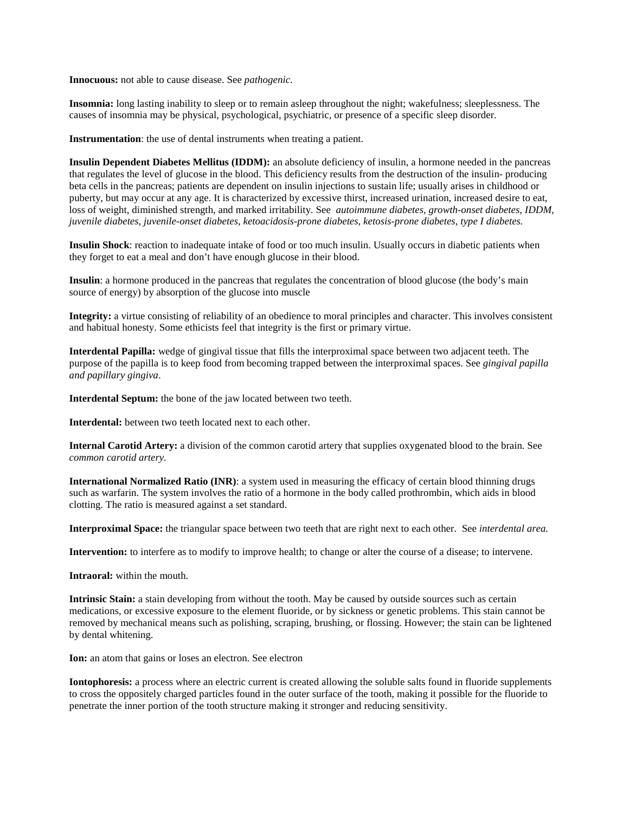**Innocuous:** not able to cause disease. See *pathogenic.*

**Insomnia:** long lasting inability to sleep or to remain asleep throughout the night; wakefulness; sleeplessness. The causes of insomnia may be physical, psychological, psychiatric, or presence of a specific sleep disorder.

**Instrumentation**: the use of dental instruments when treating a patient.

**Insulin Dependent Diabetes Mellitus (IDDM):** an absolute deficiency of insulin, a hormone needed in the pancreas that regulates the level of glucose in the blood. This deficiency results from the destruction of the insulin- producing beta cells in the pancreas; patients are dependent on insulin injections to sustain life; usually arises in childhood or puberty, but may occur at any age. It is characterized by excessive thirst, increased urination, increased desire to eat, loss of weight, diminished strength, and marked irritability. See *autoimmune diabetes, growth-onset diabetes, IDDM, juvenile diabetes, juvenile-onset diabetes, ketoacidosis-prone diabetes, ketosis-prone diabetes, type I diabetes.*

**Insulin Shock**: reaction to inadequate intake of food or too much insulin. Usually occurs in diabetic patients when they forget to eat a meal and don't have enough glucose in their blood.

**Insulin**: a hormone produced in the pancreas that regulates the concentration of blood glucose (the body's main source of energy) by absorption of the glucose into muscle

**Integrity:** a virtue consisting of reliability of an obedience to moral principles and character. This involves consistent and habitual honesty. Some ethicists feel that integrity is the first or primary virtue.

**Interdental Papilla:** wedge of gingival tissue that fills the interproximal space between two adjacent teeth. The purpose of the papilla is to keep food from becoming trapped between the interproximal spaces. See *gingival papilla and papillary gingiva*.

**Interdental Septum:** the bone of the jaw located between two teeth.

**Interdental:** between two teeth located next to each other.

**Internal Carotid Artery:** a division of the common carotid artery that supplies oxygenated blood to the brain. See *common carotid artery.*

**International Normalized Ratio (INR)**: a system used in measuring the efficacy of certain blood thinning drugs such as warfarin. The system involves the ratio of a hormone in the body called prothrombin, which aids in blood clotting. The ratio is measured against a set standard.

**Interproximal Space:** the triangular space between two teeth that are right next to each other. See *interdental area.*

**Intervention:** to interfere as to modify to improve health; to change or alter the course of a disease; to intervene.

**Intraoral:** within the mouth.

**Intrinsic Stain:** a stain developing from without the tooth. May be caused by outside sources such as certain medications, or excessive exposure to the element fluoride, or by sickness or genetic problems. This stain cannot be removed by mechanical means such as polishing, scraping, brushing, or flossing. However; the stain can be lightened by dental whitening.

**Ion:** an atom that gains or loses an electron. See electron

**Iontophoresis:** a process where an electric current is created allowing the soluble salts found in fluoride supplements to cross the oppositely charged particles found in the outer surface of the tooth, making it possible for the fluoride to penetrate the inner portion of the tooth structure making it stronger and reducing sensitivity.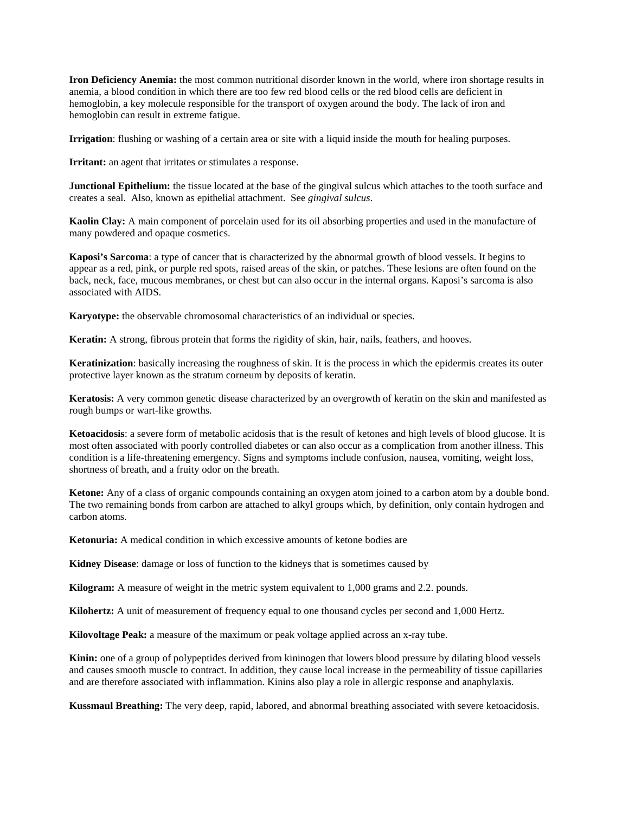**Iron Deficiency Anemia:** the most common nutritional disorder known in the world, where iron shortage results in anemia, a blood condition in which there are too few red blood cells or the red blood cells are deficient in hemoglobin, a key molecule responsible for the transport of oxygen around the body. The lack of iron and hemoglobin can result in extreme fatigue.

**Irrigation**: flushing or washing of a certain area or site with a liquid inside the mouth for healing purposes.

**Irritant:** an agent that irritates or stimulates a response.

**Junctional Epithelium:** the tissue located at the base of the gingival sulcus which attaches to the tooth surface and creates a seal. Also, known as epithelial attachment. See *gingival sulcus*.

**Kaolin Clay:** A main component of porcelain used for its oil absorbing properties and used in the manufacture of many powdered and opaque cosmetics.

**Kaposi's Sarcoma**: a type of cancer that is characterized by the abnormal growth of blood vessels. It begins to appear as a red, pink, or purple red spots, raised areas of the skin, or patches. These lesions are often found on the back, neck, face, mucous membranes, or chest but can also occur in the internal organs. Kaposi's sarcoma is also associated with AIDS.

**Karyotype:** the observable chromosomal characteristics of an individual or species.

**Keratin:** A strong, fibrous protein that forms the rigidity of skin, hair, nails, feathers, and hooves.

**Keratinization**: basically increasing the roughness of skin. It is the process in which the epidermis creates its outer protective layer known as the stratum corneum by deposits of keratin.

**Keratosis:** A very common genetic disease characterized by an overgrowth of keratin on the skin and manifested as rough bumps or wart-like growths.

**Ketoacidosis**: a severe form of metabolic acidosis that is the result of ketones and high levels of blood glucose. It is most often associated with poorly controlled diabetes or can also occur as a complication from another illness. This condition is a life-threatening emergency. Signs and symptoms include confusion, nausea, vomiting, weight loss, shortness of breath, and a fruity odor on the breath.

**Ketone:** Any of a class of organic compounds containing an oxygen atom joined to a carbon atom by a double bond. The two remaining bonds from carbon are attached to alkyl groups which, by definition, only contain hydrogen and carbon atoms.

**Ketonuria:** A medical condition in which excessive amounts of ketone bodies are

**Kidney Disease**: damage or loss of function to the kidneys that is sometimes caused by

**Kilogram:** A measure of weight in the metric system equivalent to 1,000 grams and 2.2. pounds.

**Kilohertz:** A unit of measurement of frequency equal to one thousand cycles per second and 1,000 Hertz.

**Kilovoltage Peak:** a measure of the maximum or peak voltage applied across an x-ray tube.

**Kinin:** one of a group of polypeptides derived from kininogen that lowers blood pressure by dilating blood vessels and causes smooth muscle to contract. In addition, they cause local increase in the permeability of tissue capillaries and are therefore associated with inflammation. Kinins also play a role in allergic response and anaphylaxis.

**Kussmaul Breathing:** The very deep, rapid, labored, and abnormal breathing associated with severe ketoacidosis.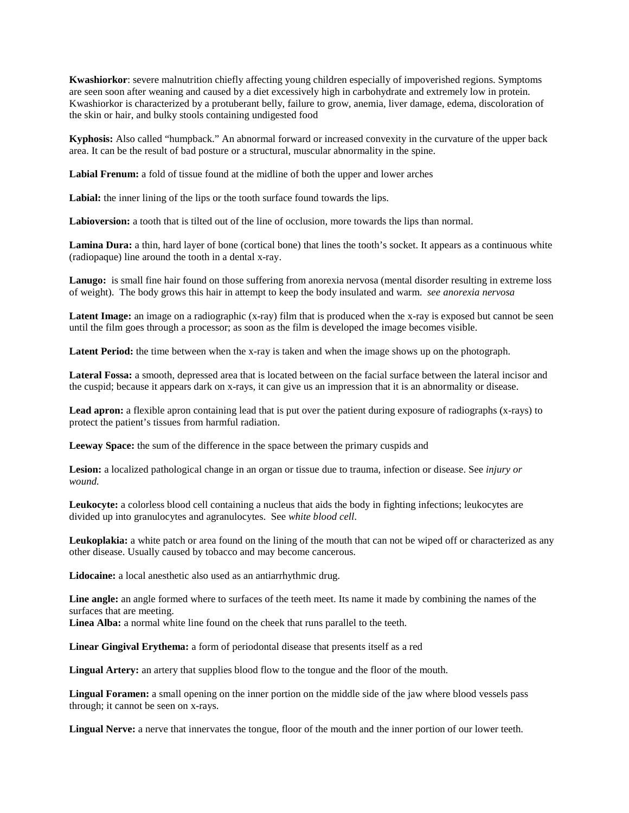**Kwashiorkor**: severe malnutrition chiefly affecting young children especially of impoverished regions. Symptoms are seen soon after weaning and caused by a diet excessively high in carbohydrate and extremely low in protein. Kwashiorkor is characterized by a protuberant belly, failure to grow, anemia, liver damage, edema, discoloration of the skin or hair, and bulky stools containing undigested food

**Kyphosis:** Also called "humpback." An abnormal forward or increased convexity in the curvature of the upper back area. It can be the result of bad posture or a structural, muscular abnormality in the spine.

**Labial Frenum:** a fold of tissue found at the midline of both the upper and lower arches

Labial: the inner lining of the lips or the tooth surface found towards the lips.

**Labioversion:** a tooth that is tilted out of the line of occlusion, more towards the lips than normal.

Lamina Dura: a thin, hard layer of bone (cortical bone) that lines the tooth's socket. It appears as a continuous white (radiopaque) line around the tooth in a dental x-ray.

**Lanugo:** is small fine hair found on those suffering from anorexia nervosa (mental disorder resulting in extreme loss of weight). The body grows this hair in attempt to keep the body insulated and warm. *see anorexia nervosa*

Latent Image: an image on a radiographic (x-ray) film that is produced when the x-ray is exposed but cannot be seen until the film goes through a processor; as soon as the film is developed the image becomes visible.

Latent Period: the time between when the x-ray is taken and when the image shows up on the photograph.

**Lateral Fossa:** a smooth, depressed area that is located between on the facial surface between the lateral incisor and the cuspid; because it appears dark on x-rays, it can give us an impression that it is an abnormality or disease.

Lead apron: a flexible apron containing lead that is put over the patient during exposure of radiographs (x-rays) to protect the patient's tissues from harmful radiation.

**Leeway Space:** the sum of the difference in the space between the primary cuspids and

**Lesion:** a localized pathological change in an organ or tissue due to trauma, infection or disease. See *injury or wound.*

**Leukocyte:** a colorless blood cell containing a nucleus that aids the body in fighting infections; leukocytes are divided up into granulocytes and agranulocytes. See *white blood cell*.

**Leukoplakia:** a white patch or area found on the lining of the mouth that can not be wiped off or characterized as any other disease. Usually caused by tobacco and may become cancerous.

**Lidocaine:** a local anesthetic also used as an antiarrhythmic drug.

**Line angle:** an angle formed where to surfaces of the teeth meet. Its name it made by combining the names of the surfaces that are meeting.

**Linea Alba:** a normal white line found on the cheek that runs parallel to the teeth.

**Linear Gingival Erythema:** a form of periodontal disease that presents itself as a red

**Lingual Artery:** an artery that supplies blood flow to the tongue and the floor of the mouth.

**Lingual Foramen:** a small opening on the inner portion on the middle side of the jaw where blood vessels pass through; it cannot be seen on x-rays.

**Lingual Nerve:** a nerve that innervates the tongue, floor of the mouth and the inner portion of our lower teeth.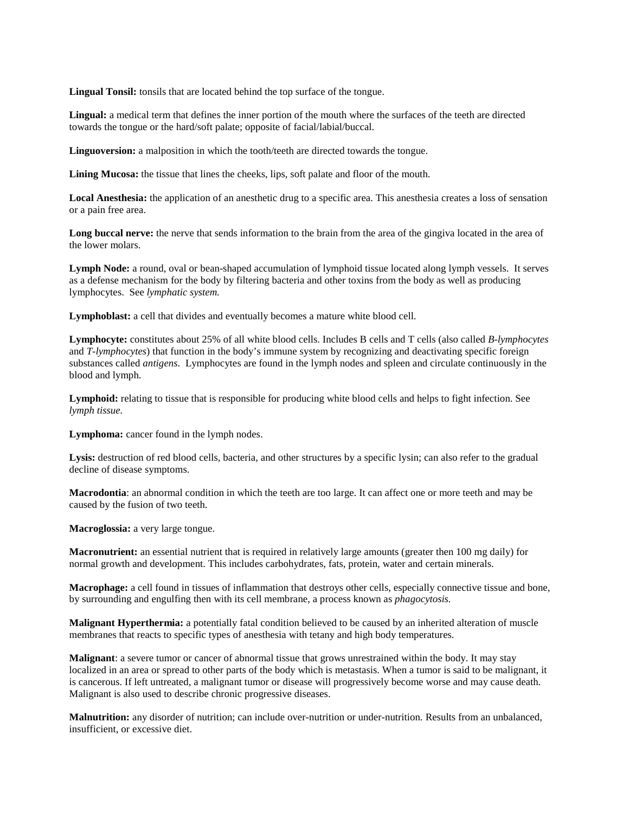Lingual Tonsil: tonsils that are located behind the top surface of the tongue.

**Lingual:** a medical term that defines the inner portion of the mouth where the surfaces of the teeth are directed towards the tongue or the hard/soft palate; opposite of facial/labial/buccal.

**Linguoversion:** a malposition in which the tooth/teeth are directed towards the tongue.

**Lining Mucosa:** the tissue that lines the cheeks, lips, soft palate and floor of the mouth.

**Local Anesthesia:** the application of an anesthetic drug to a specific area. This anesthesia creates a loss of sensation or a pain free area.

Long buccal nerve: the nerve that sends information to the brain from the area of the gingiva located in the area of the lower molars.

**Lymph Node:** a round, oval or bean-shaped accumulation of lymphoid tissue located along lymph vessels. It serves as a defense mechanism for the body by filtering bacteria and other toxins from the body as well as producing lymphocytes. See *lymphatic system.*

**Lymphoblast:** a cell that divides and eventually becomes a mature white blood cell.

**Lymphocyte:** constitutes about 25% of all white blood cells. Includes B cells and T cells (also called *B-lymphocytes* and *T-lymphocytes*) that function in the body's immune system by recognizing and deactivating specific foreign substances called *antigens*. Lymphocytes are found in the lymph nodes and spleen and circulate continuously in the blood and lymph.

Lymphoid: relating to tissue that is responsible for producing white blood cells and helps to fight infection. See *lymph tissue.*

Lymphoma: cancer found in the lymph nodes.

Lysis: destruction of red blood cells, bacteria, and other structures by a specific lysin; can also refer to the gradual decline of disease symptoms.

**Macrodontia**: an abnormal condition in which the teeth are too large. It can affect one or more teeth and may be caused by the fusion of two teeth.

**Macroglossia:** a very large tongue.

**Macronutrient:** an essential nutrient that is required in relatively large amounts (greater then 100 mg daily) for normal growth and development. This includes carbohydrates, fats, protein, water and certain minerals.

**Macrophage:** a cell found in tissues of inflammation that destroys other cells, especially connective tissue and bone, by surrounding and engulfing then with its cell membrane, a process known as *phagocytosis.*

**Malignant Hyperthermia:** a potentially fatal condition believed to be caused by an inherited alteration of muscle membranes that reacts to specific types of anesthesia with tetany and high body temperatures.

**Malignant**: a severe tumor or cancer of abnormal tissue that grows unrestrained within the body. It may stay localized in an area or spread to other parts of the body which is metastasis. When a tumor is said to be malignant, it is cancerous. If left untreated, a malignant tumor or disease will progressively become worse and may cause death. Malignant is also used to describe chronic progressive diseases.

**Malnutrition:** any disorder of nutrition; can include over-nutrition or under-nutrition. Results from an unbalanced, insufficient, or excessive diet.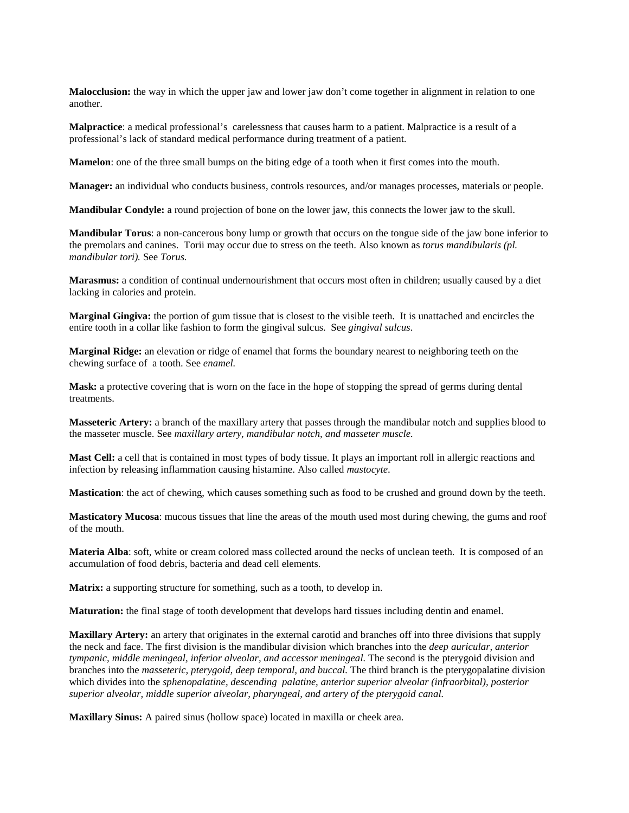**Malocclusion:** the way in which the upper jaw and lower jaw don't come together in alignment in relation to one another.

**Malpractice**: a medical professional's carelessness that causes harm to a patient. Malpractice is a result of a professional's lack of standard medical performance during treatment of a patient.

**Mamelon**: one of the three small bumps on the biting edge of a tooth when it first comes into the mouth.

**Manager:** an individual who conducts business, controls resources, and/or manages processes, materials or people.

**Mandibular Condyle:** a round projection of bone on the lower jaw, this connects the lower jaw to the skull.

**Mandibular Torus**: a non-cancerous bony lump or growth that occurs on the tongue side of the jaw bone inferior to the premolars and canines. Torii may occur due to stress on the teeth. Also known as *torus mandibularis (pl. mandibular tori).* See *Torus.*

**Marasmus:** a condition of continual undernourishment that occurs most often in children; usually caused by a diet lacking in calories and protein.

**Marginal Gingiva:** the portion of gum tissue that is closest to the visible teeth. It is unattached and encircles the entire tooth in a collar like fashion to form the gingival sulcus. See *gingival sulcus*.

**Marginal Ridge:** an elevation or ridge of enamel that forms the boundary nearest to neighboring teeth on the chewing surface of a tooth. See *enamel.*

**Mask:** a protective covering that is worn on the face in the hope of stopping the spread of germs during dental treatments.

**Masseteric Artery:** a branch of the maxillary artery that passes through the mandibular notch and supplies blood to the masseter muscle. See *maxillary artery, mandibular notch, and masseter muscle.*

**Mast Cell:** a cell that is contained in most types of body tissue. It plays an important roll in allergic reactions and infection by releasing inflammation causing histamine. Also called *mastocyte*.

**Mastication**: the act of chewing, which causes something such as food to be crushed and ground down by the teeth.

**Masticatory Mucosa**: mucous tissues that line the areas of the mouth used most during chewing, the gums and roof of the mouth.

**Materia Alba**: soft, white or cream colored mass collected around the necks of unclean teeth. It is composed of an accumulation of food debris, bacteria and dead cell elements.

**Matrix:** a supporting structure for something, such as a tooth, to develop in.

**Maturation:** the final stage of tooth development that develops hard tissues including dentin and enamel.

**Maxillary Artery:** an artery that originates in the external carotid and branches off into three divisions that supply the neck and face. The first division is the mandibular division which branches into the *deep auricular, anterior tympanic, middle meningeal, inferior alveolar, and accessor meningeal. The second is the pterygoid division and* branches into the *masseteric, pterygoid, deep temporal, and buccal.* The third branch is the pterygopalatine division which divides into the *sphenopalatine, descending palatine, anterior superior alveolar (infraorbital), posterior superior alveolar, middle superior alveolar, pharyngeal, and artery of the pterygoid canal.*

**Maxillary Sinus:** A paired sinus (hollow space) located in maxilla or cheek area.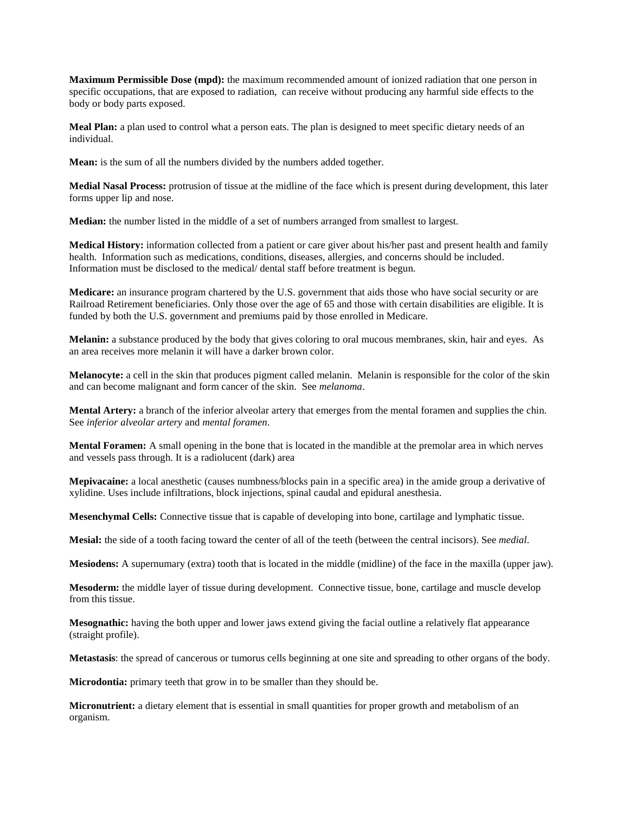**Maximum Permissible Dose (mpd):** the maximum recommended amount of ionized radiation that one person in specific occupations, that are exposed to radiation, can receive without producing any harmful side effects to the body or body parts exposed.

**Meal Plan:** a plan used to control what a person eats. The plan is designed to meet specific dietary needs of an individual.

**Mean:** is the sum of all the numbers divided by the numbers added together.

**Medial Nasal Process:** protrusion of tissue at the midline of the face which is present during development, this later forms upper lip and nose.

**Median:** the number listed in the middle of a set of numbers arranged from smallest to largest.

**Medical History:** information collected from a patient or care giver about his/her past and present health and family health. Information such as medications, conditions, diseases, allergies, and concerns should be included. Information must be disclosed to the medical/ dental staff before treatment is begun.

**Medicare:** an insurance program chartered by the U.S. government that aids those who have social security or are Railroad Retirement beneficiaries. Only those over the age of 65 and those with certain disabilities are eligible. It is funded by both the U.S. government and premiums paid by those enrolled in Medicare.

**Melanin:** a substance produced by the body that gives coloring to oral mucous membranes, skin, hair and eyes. As an area receives more melanin it will have a darker brown color.

**Melanocyte:** a cell in the skin that produces pigment called melanin. Melanin is responsible for the color of the skin and can become malignant and form cancer of the skin. See *melanoma*.

**Mental Artery:** a branch of the inferior alveolar artery that emerges from the mental foramen and supplies the chin. See *inferior alveolar artery* and *mental foramen*.

**Mental Foramen:** A small opening in the bone that is located in the mandible at the premolar area in which nerves and vessels pass through. It is a radiolucent (dark) area

**Mepivacaine:** a local anesthetic (causes numbness/blocks pain in a specific area) in the amide group a derivative of xylidine. Uses include infiltrations, block injections, spinal caudal and epidural anesthesia.

**Mesenchymal Cells:** Connective tissue that is capable of developing into bone, cartilage and lymphatic tissue.

**Mesial:** the side of a tooth facing toward the center of all of the teeth (between the central incisors). See *medial*.

**Mesiodens:** A supernumary (extra) tooth that is located in the middle (midline) of the face in the maxilla (upper jaw).

**Mesoderm:** the middle layer of tissue during development. Connective tissue, bone, cartilage and muscle develop from this tissue.

**Mesognathic:** having the both upper and lower jaws extend giving the facial outline a relatively flat appearance (straight profile).

**Metastasis**: the spread of cancerous or tumorus cells beginning at one site and spreading to other organs of the body.

**Microdontia:** primary teeth that grow in to be smaller than they should be.

**Micronutrient:** a dietary element that is essential in small quantities for proper growth and metabolism of an organism.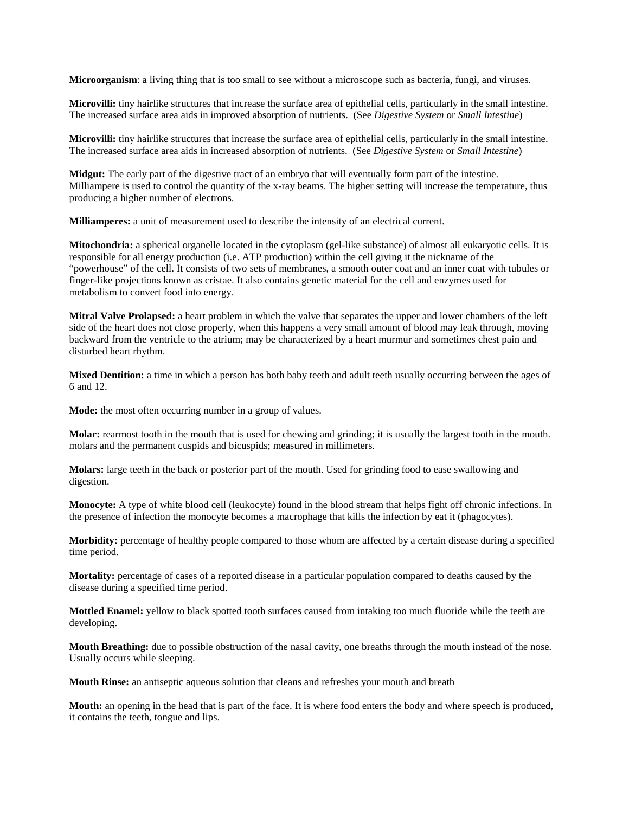**Microorganism**: a living thing that is too small to see without a microscope such as bacteria, fungi, and viruses.

**Microvilli:** tiny hairlike structures that increase the surface area of epithelial cells, particularly in the small intestine. The increased surface area aids in improved absorption of nutrients. (See *Digestive System* or *Small Intestine*)

**Microvilli:** tiny hairlike structures that increase the surface area of epithelial cells, particularly in the small intestine. The increased surface area aids in increased absorption of nutrients. (See *Digestive System* or *Small Intestine*)

**Midgut:** The early part of the digestive tract of an embryo that will eventually form part of the intestine. Milliampere is used to control the quantity of the x-ray beams. The higher setting will increase the temperature, thus producing a higher number of electrons.

**Milliamperes:** a unit of measurement used to describe the intensity of an electrical current.

**Mitochondria:** a spherical organelle located in the cytoplasm (gel-like substance) of almost all eukaryotic cells. It is responsible for all energy production (i.e. ATP production) within the cell giving it the nickname of the "powerhouse" of the cell. It consists of two sets of membranes, a smooth outer coat and an inner coat with tubules or finger-like projections known as cristae. It also contains genetic material for the cell and enzymes used for metabolism to convert food into energy.

**Mitral Valve Prolapsed:** a heart problem in which the valve that separates the upper and lower chambers of the left side of the heart does not close properly, when this happens a very small amount of blood may leak through, moving backward from the ventricle to the atrium; may be characterized by a heart murmur and sometimes chest pain and disturbed heart rhythm.

**Mixed Dentition:** a time in which a person has both baby teeth and adult teeth usually occurring between the ages of 6 and 12.

**Mode:** the most often occurring number in a group of values.

**Molar:** rearmost tooth in the mouth that is used for chewing and grinding; it is usually the largest tooth in the mouth. molars and the permanent cuspids and bicuspids; measured in millimeters.

**Molars:** large teeth in the back or posterior part of the mouth. Used for grinding food to ease swallowing and digestion.

**Monocyte:** A type of white blood cell (leukocyte) found in the blood stream that helps fight off chronic infections. In the presence of infection the monocyte becomes a macrophage that kills the infection by eat it (phagocytes).

**Morbidity:** percentage of healthy people compared to those whom are affected by a certain disease during a specified time period.

**Mortality:** percentage of cases of a reported disease in a particular population compared to deaths caused by the disease during a specified time period.

**Mottled Enamel:** yellow to black spotted tooth surfaces caused from intaking too much fluoride while the teeth are developing.

**Mouth Breathing:** due to possible obstruction of the nasal cavity, one breaths through the mouth instead of the nose. Usually occurs while sleeping.

**Mouth Rinse:** an antiseptic aqueous solution that cleans and refreshes your mouth and breath

**Mouth:** an opening in the head that is part of the face. It is where food enters the body and where speech is produced, it contains the teeth, tongue and lips.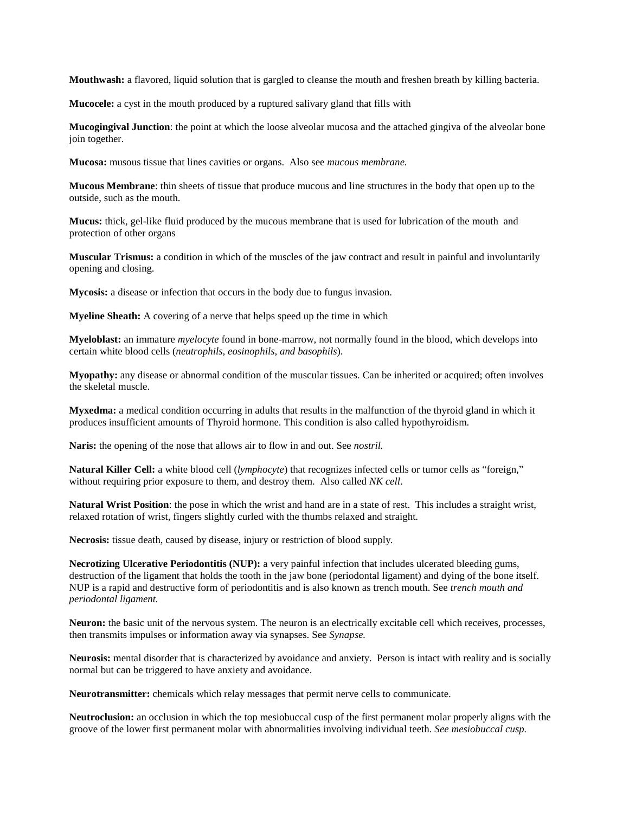**Mouthwash:** a flavored, liquid solution that is gargled to cleanse the mouth and freshen breath by killing bacteria.

**Mucocele:** a cyst in the mouth produced by a ruptured salivary gland that fills with

**Mucogingival Junction**: the point at which the loose alveolar mucosa and the attached gingiva of the alveolar bone join together.

**Mucosa:** musous tissue that lines cavities or organs. Also see *mucous membrane.*

**Mucous Membrane**: thin sheets of tissue that produce mucous and line structures in the body that open up to the outside, such as the mouth.

**Mucus:** thick, gel-like fluid produced by the mucous membrane that is used for lubrication of the mouth and protection of other organs

**Muscular Trismus:** a condition in which of the muscles of the jaw contract and result in painful and involuntarily opening and closing.

**Mycosis:** a disease or infection that occurs in the body due to fungus invasion.

**Myeline Sheath:** A covering of a nerve that helps speed up the time in which

**Myeloblast:** an immature *myelocyte* found in bone-marrow, not normally found in the blood, which develops into certain white blood cells (*neutrophils, eosinophils, and basophils*).

**Myopathy:** any disease or abnormal condition of the muscular tissues. Can be inherited or acquired; often involves the skeletal muscle.

**Myxedma:** a medical condition occurring in adults that results in the malfunction of the thyroid gland in which it produces insufficient amounts of Thyroid hormone. This condition is also called hypothyroidism.

**Naris:** the opening of the nose that allows air to flow in and out. See *nostril.*

**Natural Killer Cell:** a white blood cell (*lymphocyte*) that recognizes infected cells or tumor cells as "foreign," without requiring prior exposure to them, and destroy them. Also called *NK cell*.

**Natural Wrist Position**: the pose in which the wrist and hand are in a state of rest. This includes a straight wrist, relaxed rotation of wrist, fingers slightly curled with the thumbs relaxed and straight.

**Necrosis:** tissue death, caused by disease, injury or restriction of blood supply*.*

**Necrotizing Ulcerative Periodontitis (NUP):** a very painful infection that includes ulcerated bleeding gums, destruction of the ligament that holds the tooth in the jaw bone (periodontal ligament) and dying of the bone itself. NUP is a rapid and destructive form of periodontitis and is also known as trench mouth. See *trench mouth and periodontal ligament.*

**Neuron:** the basic unit of the nervous system. The neuron is an electrically excitable cell which receives, processes, then transmits impulses or information away via synapses. See *Synapse.*

**Neurosis:** mental disorder that is characterized by avoidance and anxiety. Person is intact with reality and is socially normal but can be triggered to have anxiety and avoidance.

**Neurotransmitter:** chemicals which relay messages that permit nerve cells to communicate.

**Neutroclusion:** an occlusion in which the top mesiobuccal cusp of the first permanent molar properly aligns with the groove of the lower first permanent molar with abnormalities involving individual teeth. *See mesiobuccal cusp.*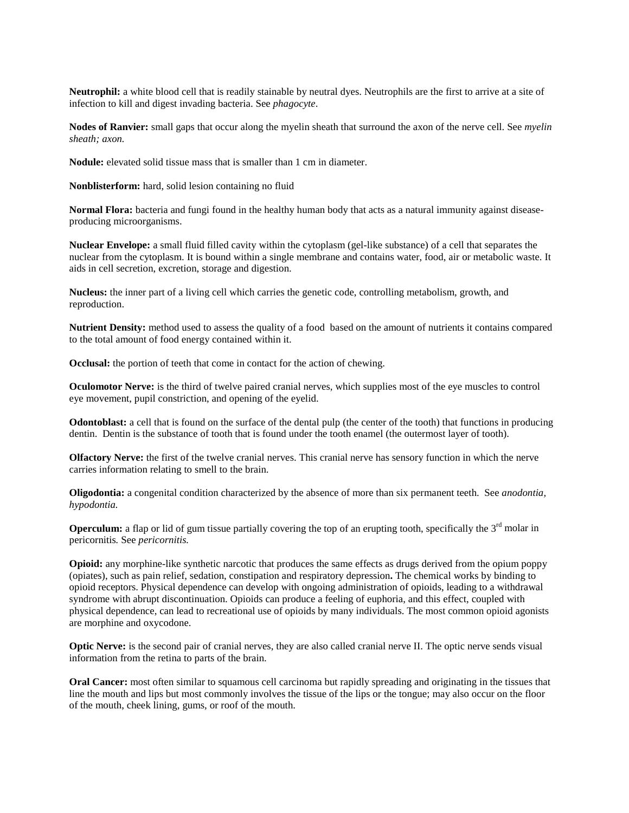**Neutrophil:** a white blood cell that is readily stainable by neutral dyes. Neutrophils are the first to arrive at a site of infection to kill and digest invading bacteria. See *phagocyte*.

**Nodes of Ranvier:** small gaps that occur along the myelin sheath that surround the axon of the nerve cell. See *myelin sheath; axon.*

**Nodule:** elevated solid tissue mass that is smaller than 1 cm in diameter.

**Nonblisterform:** hard, solid lesion containing no fluid

**Normal Flora:** bacteria and fungi found in the healthy human body that acts as a natural immunity against diseaseproducing microorganisms.

**Nuclear Envelope:** a small fluid filled cavity within the cytoplasm (gel-like substance) of a cell that separates the nuclear from the cytoplasm. It is bound within a single membrane and contains water, food, air or metabolic waste. It aids in cell secretion, excretion, storage and digestion.

**Nucleus:** the inner part of a living cell which carries the genetic code, controlling metabolism, growth, and reproduction.

**Nutrient Density:** method used to assess the quality of a food based on the amount of nutrients it contains compared to the total amount of food energy contained within it.

**Occlusal:** the portion of teeth that come in contact for the action of chewing.

**Oculomotor Nerve:** is the third of twelve paired cranial nerves, which supplies most of the eye muscles to control eye movement, pupil constriction, and opening of the eyelid.

**Odontoblast:** a cell that is found on the surface of the dental pulp (the center of the tooth) that functions in producing dentin. Dentin is the substance of tooth that is found under the tooth enamel (the outermost layer of tooth).

**Olfactory Nerve:** the first of the twelve cranial nerves. This cranial nerve has sensory function in which the nerve carries information relating to smell to the brain.

**Oligodontia:** a congenital condition characterized by the absence of more than six permanent teeth. See *anodontia, hypodontia.*

**Operculum:** a flap or lid of gum tissue partially covering the top of an erupting tooth, specifically the  $3<sup>rd</sup>$  molar in pericornitis*.* See *pericornitis.*

**Opioid:** any morphine-like synthetic narcotic that produces the same effects as drugs derived from the opium poppy (opiates), such as pain relief, sedation, constipation and respiratory depression**.** The chemical works by binding to opioid receptors. Physical [dependence](http://en.wikipedia.org/wiki/Dependence) can develop with ongoing administration of opioids, leading to a [withdrawal](http://en.wikipedia.org/wiki/Withdrawal_syndrome)  [syndrome](http://en.wikipedia.org/wiki/Withdrawal_syndrome) with abrupt discontinuation. Opioids can produce a feeling of euphoria, and this effect, coupled with physical dependence, can lead to [recreational use](http://en.wikipedia.org/wiki/Recreational_drug_use) of opioids by many individuals. The most common opioid agonists are morphine and oxycodone.

**Optic Nerve:** is the second pair of cranial nerves, they are also called cranial nerve II. The optic nerve sends visual information from the retina to parts of the brain.

**Oral Cancer:** most often similar to squamous cell carcinoma but rapidly spreading and originating in the tissues that line the mouth and lips but most commonly involves the tissue of the lips or the tongue; may also occur on the floor of the mouth, cheek lining, gums, or roof of the mouth.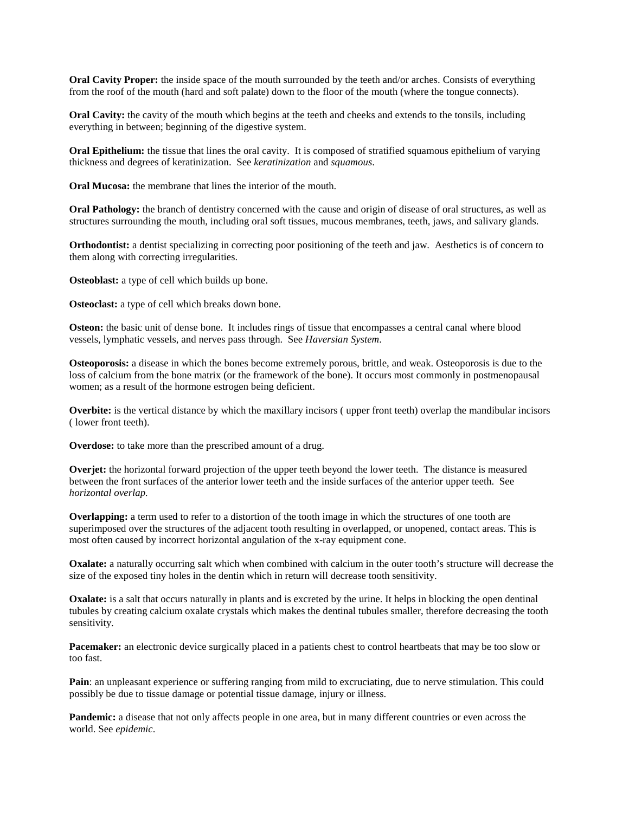**Oral Cavity Proper:** the inside space of the mouth surrounded by the teeth and/or arches. Consists of everything from the roof of the mouth (hard and soft palate) down to the floor of the mouth (where the tongue connects).

**Oral Cavity:** the cavity of the mouth which begins at the teeth and cheeks and extends to the tonsils, including everything in between; beginning of the digestive system.

**Oral Epithelium:** the tissue that lines the oral cavity. It is composed of stratified squamous epithelium of varying thickness and degrees of keratinization. See *keratinization* and *squamous*.

**Oral Mucosa:** the membrane that lines the interior of the mouth.

**Oral Pathology:** the branch of dentistry concerned with the cause and origin of disease of oral structures, as well as structures surrounding the mouth, including oral soft tissues, mucous membranes, teeth, jaws, and salivary glands.

**Orthodontist:** a dentist specializing in correcting poor positioning of the teeth and jaw. Aesthetics is of concern to them along with correcting irregularities.

**Osteoblast:** a type of cell which builds up bone.

**Osteoclast:** a type of cell which breaks down bone.

**Osteon:** the basic unit of dense bone. It includes rings of tissue that encompasses a central canal where blood vessels, lymphatic vessels, and nerves pass through. See *Haversian System*.

**Osteoporosis:** a disease in which the bones become extremely porous, brittle, and weak. Osteoporosis is due to the loss of calcium from the bone matrix (or the framework of the bone). It occurs most commonly in postmenopausal women; as a result of the hormone estrogen being deficient.

**Overbite:** is the vertical distance by which the maxillary incisors ( upper front teeth) overlap the mandibular incisors ( lower front teeth).

**Overdose:** to take more than the prescribed amount of a drug.

**Overjet:** the horizontal forward projection of the upper teeth beyond the lower teeth. The distance is measured between the front surfaces of the anterior lower teeth and the inside surfaces of the anterior upper teeth. See *horizontal overlap.* 

**Overlapping:** a term used to refer to a distortion of the tooth image in which the structures of one tooth are superimposed over the structures of the adjacent tooth resulting in overlapped, or unopened, contact areas. This is most often caused by incorrect horizontal angulation of the x-ray equipment cone.

**Oxalate:** a naturally occurring salt which when combined with calcium in the outer tooth's structure will decrease the size of the exposed tiny holes in the dentin which in return will decrease tooth sensitivity.

**Oxalate:** is a salt that occurs naturally in plants and is excreted by the urine. It helps in blocking the open dentinal tubules by creating calcium oxalate crystals which makes the dentinal tubules smaller, therefore decreasing the tooth sensitivity.

Pacemaker: an electronic device surgically placed in a patients chest to control heartbeats that may be too slow or too fast.

**Pain**: an unpleasant experience or suffering ranging from mild to excruciating, due to nerve stimulation. This could possibly be due to tissue damage or potential tissue damage, injury or illness.

**Pandemic:** a disease that not only affects people in one area, but in many different countries or even across the world. See *epidemic*.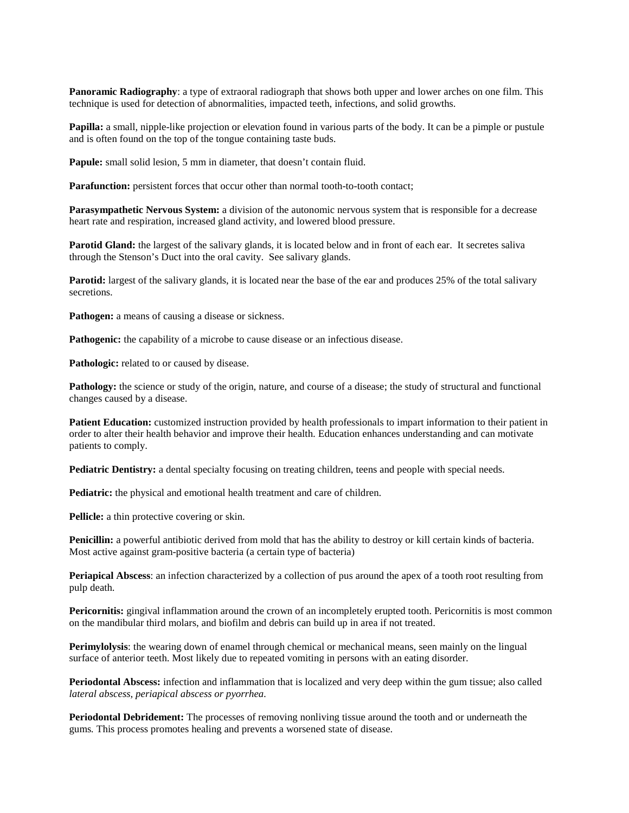**Panoramic Radiography**: a type of extraoral radiograph that shows both upper and lower arches on one film. This technique is used for detection of abnormalities, impacted teeth, infections, and solid growths.

**Papilla:** a small, nipple-like projection or elevation found in various parts of the body. It can be a pimple or pustule and is often found on the top of the tongue containing taste buds.

Papule: small solid lesion, 5 mm in diameter, that doesn't contain fluid.

Parafunction: persistent forces that occur other than normal tooth-to-tooth contact;

**Parasympathetic Nervous System:** a division of the autonomic nervous system that is responsible for a decrease heart rate and respiration, increased gland activity, and lowered blood pressure.

**Parotid Gland:** the largest of the [salivary glands,](http://en.wikipedia.org/wiki/Salivary_gland) it is located below and in front of each ear. It secretes saliva through the Stenson's Duct into the oral cavity. See salivary glands.

**Parotid:** largest of the salivary glands, it is located near the base of the ear and produces 25% of the total salivary secretions.

**Pathogen:** a means of causing a disease or sickness.

Pathogenic: the capability of a microbe to cause disease or an infectious disease.

Pathologic: related to or caused by disease.

**Pathology:** the science or study of the origin, nature, and course of a disease; the study of structural and functional changes caused by a disease.

**Patient Education:** customized instruction provided by health professionals to impart information to their patient in order to alter their health behavior and improve their health. Education enhances understanding and can motivate patients to comply.

**Pediatric Dentistry:** a dental specialty focusing on treating children, teens and people with special needs.

**Pediatric:** the physical and emotional health treatment and care of children.

**Pellicle:** a thin protective covering or skin.

**Penicillin:** a powerful antibiotic derived from mold that has the ability to destroy or kill certain kinds of bacteria. Most active against gram-positive bacteria (a certain type of bacteria)

**Periapical Abscess**: an infection characterized by a collection of pus around the apex of a tooth root resulting from pulp death.

**Pericornitis:** gingival inflammation around the crown of an incompletely erupted tooth. Pericornitis is most common on the mandibular third molars, and biofilm and debris can build up in area if not treated.

**Perimylolysis**: the wearing down of enamel through chemical or mechanical means, seen mainly on the lingual surface of anterior teeth. Most likely due to repeated vomiting in persons with an eating disorder.

**Periodontal Abscess:** infection and inflammation that is localized and very deep within the gum tissue; also called *lateral abscess, periapical abscess or pyorrhea.*

**Periodontal Debridement:** The processes of removing nonliving tissue around the tooth and or underneath the gums*.* This process promotes healing and prevents a worsened state of disease.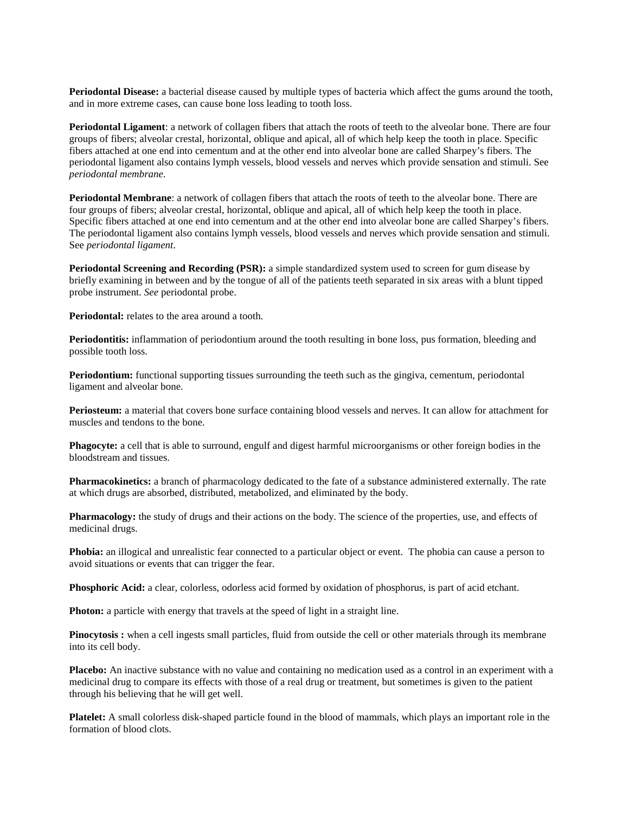**Periodontal Disease:** a bacterial disease caused by multiple types of bacteria which affect the gums around the tooth, and in more extreme cases, can cause bone loss leading to tooth loss.

**Periodontal Ligament**: a network of collagen fibers that attach the roots of teeth to the alveolar bone. There are four groups of fibers; alveolar crestal, horizontal, oblique and apical, all of which help keep the tooth in place. Specific fibers attached at one end into cementum and at the other end into alveolar bone are called Sharpey's fibers. The periodontal ligament also contains lymph vessels, blood vessels and nerves which provide sensation and stimuli. See *periodontal membrane*.

**Periodontal Membrane**: a network of collagen fibers that attach the roots of teeth to the alveolar bone. There are four groups of fibers; alveolar crestal, horizontal, oblique and apical, all of which help keep the tooth in place. Specific fibers attached at one end into cementum and at the other end into alveolar bone are called Sharpey's fibers. The periodontal ligament also contains lymph vessels, blood vessels and nerves which provide sensation and stimuli. See *periodontal ligament*.

**Periodontal Screening and Recording (PSR):** a simple standardized system used to screen for gum disease by briefly examining in between and by the tongue of all of the patients teeth separated in six areas with a blunt tipped probe instrument. *See* periodontal probe.

**Periodontal:** relates to the area around a tooth.

**Periodontitis:** inflammation of periodontium around the tooth resulting in bone loss, pus formation, bleeding and possible tooth loss.

**Periodontium:** functional supporting tissues surrounding the teeth such as the gingiva, cementum, periodontal ligament and alveolar bone.

**Periosteum:** a material that covers bone surface containing blood vessels and nerves. It can allow for attachment for muscles and tendons to the bone.

**Phagocyte:** a cell that is able to surround, engulf and digest harmful microorganisms or other foreign bodies in the bloodstream and tissues.

**Pharmacokinetics:** a branch of pharmacology dedicated to the fate of a substance administered externally. The rate at which drugs are absorbed, distributed, metabolized, and eliminated by the body.

**Pharmacology:** the study of drugs and their actions on the body. The science of the properties, use, and effects of medicinal drugs.

**Phobia:** an illogical and unrealistic fear connected to a particular object or event. The phobia can cause a person to avoid situations or events that can trigger the fear.

**Phosphoric Acid:** a clear, colorless, odorless acid formed by oxidation of phosphorus, is part of acid etchant.

**Photon:** a particle with energy that travels at the speed of light in a straight line.

**Pinocytosis :** when a cell ingests small particles, fluid from outside the cell or other materials through its membrane into its cell body.

**Placebo:** An inactive substance with no value and containing no medication used as a control in an experiment with a medicinal drug to compare its effects with those of a real drug or treatment, but sometimes is given to the patient through his believing that he will get well.

**Platelet:** A small colorless disk-shaped particle found in the blood of mammals, which plays an important role in the formation of blood clots.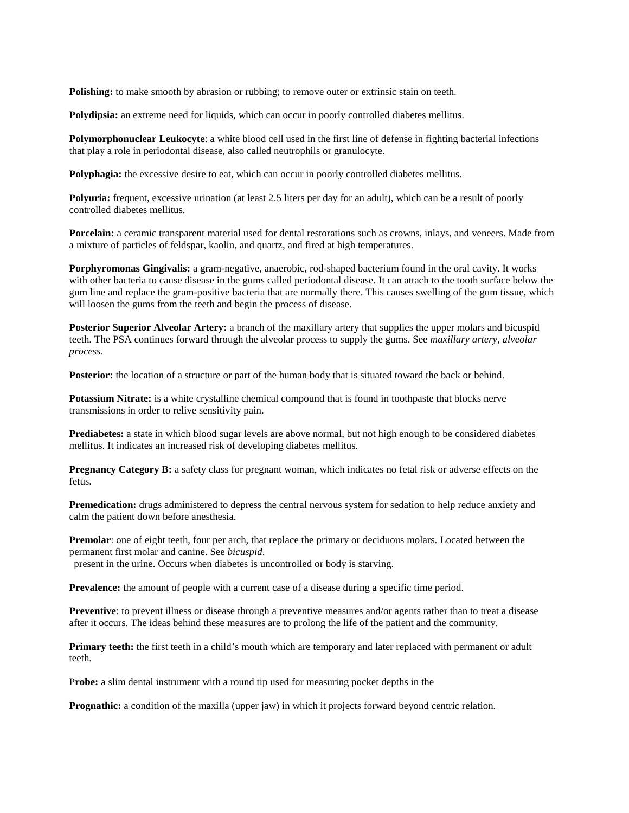**Polishing:** to make smooth by abrasion or rubbing; to remove outer or extrinsic stain on teeth.

**Polydipsia:** an extreme need for liquids, which can occur in poorly controlled diabetes mellitus.

**Polymorphonuclear Leukocyte**: a white blood cell used in the first line of defense in fighting bacterial infections that play a role in periodontal disease, also called neutrophils or granulocyte.

**Polyphagia:** the excessive desire to eat, which can occur in poorly controlled diabetes mellitus.

**Polyuria:** frequent, excessive urination (at least 2.5 liters per day for an adult), which can be a result of poorly controlled diabetes mellitus.

**Porcelain:** a ceramic transparent material used for dental restorations such as crowns, inlays, and veneers. Made from a mixture of particles of feldspar, kaolin, and quartz, and fired at high temperatures.

**Porphyromonas Gingivalis:** a gram-negative, anaerobic, rod-shaped bacterium found in the oral cavity. It works with other bacteria to cause disease in the gums called periodontal disease. It can attach to the tooth surface below the gum line and replace the gram-positive bacteria that are normally there. This causes swelling of the gum tissue, which will loosen the gums from the teeth and begin the process of disease.

**Posterior Superior Alveolar Artery:** a branch of the maxillary artery that supplies the upper molars and bicuspid teeth. The PSA continues forward through the alveolar process to supply the gums. See *maxillary artery, alveolar process.*

**Posterior:** the location of a structure or part of the human body that is situated toward the back or behind.

**Potassium Nitrate:** is a white crystalline chemical compound that is found in toothpaste that blocks nerve transmissions in order to relive sensitivity pain.

**Prediabetes:** a state in which blood sugar levels are above normal, but not high enough to be considered diabetes mellitus. It indicates an increased risk of developing diabetes mellitus.

**Pregnancy Category B:** a safety class for pregnant woman, which indicates no fetal risk or adverse effects on the fetus.

**Premedication:** drugs administered to depress the central nervous system for sedation to help reduce anxiety and calm the patient down before anesthesia.

**Premolar**: one of eight teeth, four per arch, that replace the primary or deciduous molars. Located between the permanent first molar and canine. See *bicuspid*. present in the urine. Occurs when diabetes is uncontrolled or body is starving.

**Prevalence:** the amount of people with a current case of a disease during a specific time period.

**Preventive**: to prevent illness or disease through a preventive measures and/or agents rather than to treat a disease after it occurs. The ideas behind these measures are to prolong the life of the patient and the community.

**Primary teeth:** the first teeth in a child's mouth which are temporary and later replaced with permanent or adult teeth.

P**robe:** a slim dental instrument with a round tip used for measuring pocket depths in the

**Prognathic:** a condition of the maxilla (upper jaw) in which it projects forward beyond centric relation.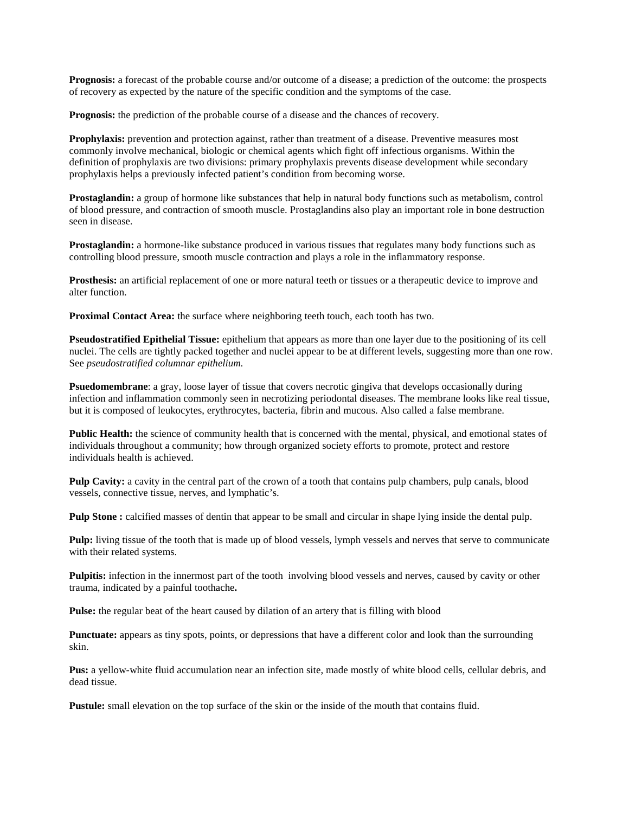**Prognosis:** a forecast of the probable course and/or outcome of a disease; a prediction of the outcome: the prospects of recovery as expected by the nature of the specific condition and the symptoms of the case.

**Prognosis:** the prediction of the probable course of a disease and the chances of recovery.

**Prophylaxis:** prevention and protection against, rather than treatment of a disease. Preventive measures most commonly involve mechanical, biologic or chemical agents which fight off infectious organisms. Within the definition of prophylaxis are two divisions: primary prophylaxis prevents disease development while secondary prophylaxis helps a previously infected patient's condition from becoming worse.

**Prostaglandin:** a group of hormone like substances that help in natural body functions such as metabolism, control of blood pressure, and contraction of smooth muscle. Prostaglandins also play an important role in bone destruction seen in disease.

**Prostaglandin:** a hormone-like substance produced in various tissues that regulates many body functions such as controlling blood pressure, smooth muscle contraction and plays a role in the inflammatory response.

**Prosthesis:** an artificial replacement of one or more natural teeth or tissues or a therapeutic device to improve and alter function.

**Proximal Contact Area:** the surface where neighboring teeth touch, each tooth has two.

**Pseudostratified Epithelial Tissue:** epithelium that appears as more than one layer due to the positioning of its cell nuclei. The cells are tightly packed together and nuclei appear to be at different levels, suggesting more than one row. See *pseudostratified columnar epithelium.*

**Psuedomembrane**: a gray, loose layer of tissue that covers necrotic gingiva that develops occasionally during infection and inflammation commonly seen in necrotizing periodontal diseases. The membrane looks like real tissue, but it is composed of leukocytes, erythrocytes, bacteria, fibrin and mucous. Also called a false membrane.

**Public Health:** the science of community health that is concerned with the mental, physical, and emotional states of individuals throughout a community; how through organized society efforts to promote, protect and restore individuals health is achieved.

**Pulp Cavity:** a cavity in the central part of the crown of a tooth that contains pulp chambers, pulp canals, blood vessels, connective tissue, nerves, and lymphatic's.

**Pulp Stone**: calcified masses of dentin that appear to be small and circular in shape lying inside the dental pulp.

**Pulp:** living tissue of the tooth that is made up of blood vessels, lymph vessels and nerves that serve to communicate with their related systems.

**Pulpitis:** infection in the innermost part of the tooth involving blood vessels and nerves, caused by cavity or other trauma, indicated by a painful toothache**.**

**Pulse:** the regular beat of the heart caused by dilation of an artery that is filling with blood

Punctuate: appears as tiny spots, points, or depressions that have a different color and look than the surrounding skin.

Pus: a yellow-white fluid accumulation near an infection site, made mostly of white blood cells, cellular debris, and dead tissue.

**Pustule:** small elevation on the top surface of the skin or the inside of the mouth that contains fluid.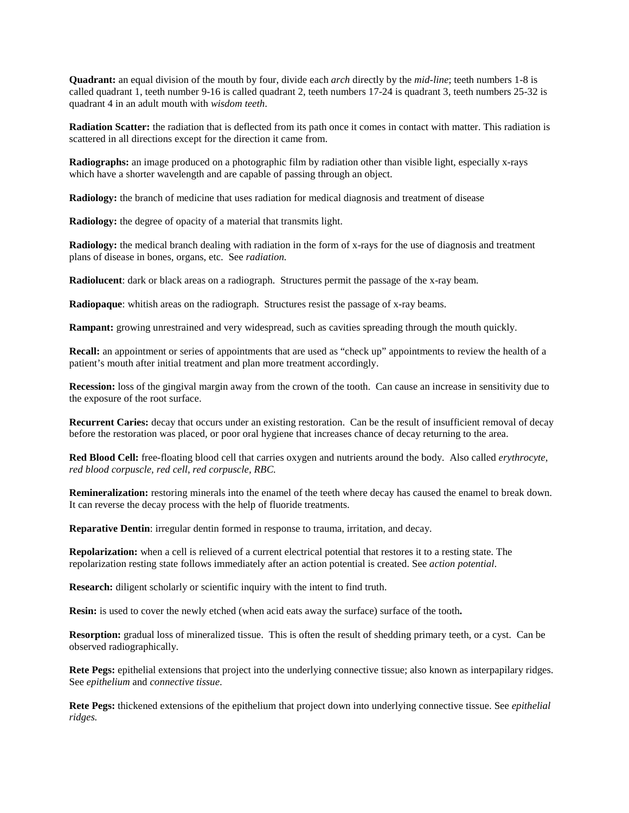**Quadrant:** an equal division of the mouth by four, divide each *arch* directly by the *mid-line*; teeth numbers 1-8 is called quadrant 1, teeth number 9-16 is called quadrant 2, teeth numbers  $17-24$  is quadrant 3, teeth numbers  $25-32$  is quadrant 4 in an adult mouth with *wisdom teeth*.

**Radiation Scatter:** the radiation that is deflected from its path once it comes in contact with matter. This radiation is scattered in all directions except for the direction it came from.

**Radiographs:** an image produced on a photographic film by radiation other than visible light, especially x-rays which have a shorter wavelength and are capable of passing through an object.

**Radiology:** the branch of medicine that uses radiation for medical diagnosis and treatment of disease

**Radiology:** the degree of opacity of a material that transmits light.

**Radiology:** the medical branch dealing with radiation in the form of x-rays for the use of diagnosis and treatment plans of disease in bones, organs, etc. See *radiation.*

**Radiolucent**: dark or black areas on a radiograph. Structures permit the passage of the x-ray beam.

**Radiopaque**: whitish areas on the radiograph. Structures resist the passage of x-ray beams.

**Rampant:** growing unrestrained and very widespread, such as cavities spreading through the mouth quickly.

**Recall:** an appointment or series of appointments that are used as "check up" appointments to review the health of a patient's mouth after initial treatment and plan more treatment accordingly.

**Recession:** loss of the gingival margin away from the crown of the tooth. Can cause an increase in sensitivity due to the exposure of the root surface.

**Recurrent Caries:** decay that occurs under an existing restoration. Can be the result of insufficient removal of decay before the restoration was placed, or poor oral hygiene that increases chance of decay returning to the area.

**Red Blood Cell:** free-floating blood cell that carries oxygen and nutrients around the body. Also called *erythrocyte, red blood corpuscle, red cell, red corpuscle, RBC.*

**Remineralization:** restoring minerals into the enamel of the teeth where decay has caused the enamel to break down. It can reverse the decay process with the help of fluoride treatments.

**Reparative Dentin**: irregular dentin formed in response to trauma, irritation, and decay.

**Repolarization:** when a cell is relieved of a current electrical potential that restores it to a resting state. The repolarization resting state follows immediately after an action potential is created. See *action potential*.

**Research:** diligent scholarly or scientific inquiry with the intent to find truth.

**Resin:** is used to cover the newly etched (when acid eats away the surface) surface of the tooth**.**

**Resorption:** gradual loss of mineralized tissue. This is often the result of shedding primary teeth, or a cyst. Can be observed radiographically.

**Rete Pegs:** epithelial extensions that project into the underlying connective tissue; also known as interpapilary ridges. See *epithelium* and *connective tissue*.

**Rete Pegs:** thickened extensions of the epithelium that project down into underlying connective tissue. See *epithelial ridges.*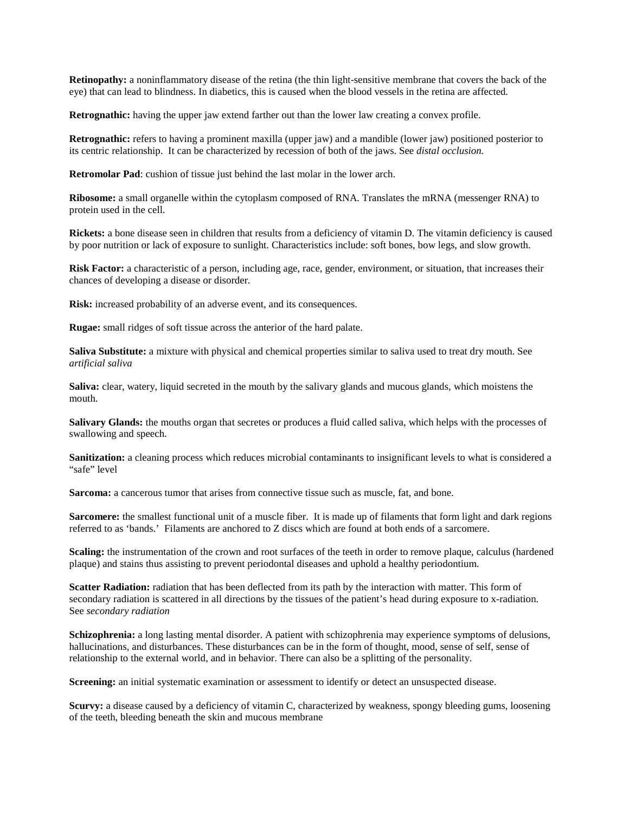**Retinopathy:** a noninflammatory disease of the retina (the thin light-sensitive membrane that covers the back of the eye) that can lead to blindness. In diabetics, this is caused when the blood vessels in the retina are affected*.*

**Retrognathic:** having the upper jaw extend farther out than the lower law creating a convex profile.

**Retrognathic:** refers to having a prominent maxilla (upper jaw) and a mandible (lower jaw) positioned posterior to its centric relationship. It can be characterized by recession of both of the jaws. See *distal occlusion.*

**Retromolar Pad**: cushion of tissue just behind the last molar in the lower arch.

**Ribosome:** a small organelle within the cytoplasm composed of RNA. Translates the mRNA (messenger RNA) to protein used in the cell.

**Rickets:** a bone disease seen in children that results from a deficiency of vitamin D. The vitamin deficiency is caused by poor nutrition or lack of exposure to sunlight. Characteristics include: soft bones, bow legs, and slow growth.

**Risk Factor:** a characteristic of a person, including age, race, gender, environment, or situation, that increases their chances of developing a disease or disorder.

**Risk:** increased probability of an adverse event, and its consequences.

**Rugae:** small ridges of soft tissue across the anterior of the hard palate.

**Saliva Substitute:** a mixture with physical and chemical properties similar to saliva used to treat dry mouth. See *artificial saliva* 

**Saliva:** clear, watery, liquid secreted in the mouth by the salivary glands and mucous glands, which moistens the mouth.

**Salivary Glands:** the mouths organ that secretes or produces a fluid called saliva, which helps with the processes of swallowing and speech.

Sanitization: a cleaning process which reduces microbial contaminants to insignificant levels to what is considered a "safe" level

**Sarcoma:** a cancerous tumor that arises from connective tissue such as muscle, fat, and bone.

**Sarcomere:** the smallest functional unit of a muscle fiber. It is made up of filaments that form light and dark regions referred to as 'bands.' Filaments are anchored to Z discs which are found at both ends of a sarcomere.

**Scaling:** the instrumentation of the crown and root surfaces of the teeth in order to remove plaque, calculus (hardened plaque) and stains thus assisting to prevent periodontal diseases and uphold a healthy periodontium.

**Scatter Radiation:** radiation that has been deflected from its path by the interaction with matter. This form of secondary radiation is scattered in all directions by the tissues of the patient's head during exposure to x-radiation. See *secondary radiation*

**Schizophrenia:** a long lasting mental disorder. A patient with schizophrenia may experience symptoms of delusions, hallucinations, and disturbances. These disturbances can be in the form of thought, mood, sense of self, sense of relationship to the external world, and in behavior. There can also be a splitting of the personality.

**Screening:** an initial systematic examination or assessment to identify or detect an unsuspected disease.

**Scurvy:** a disease caused by a deficiency of vitamin C, characterized by weakness, spongy bleeding gums, loosening of the teeth, bleeding beneath the skin and mucous membrane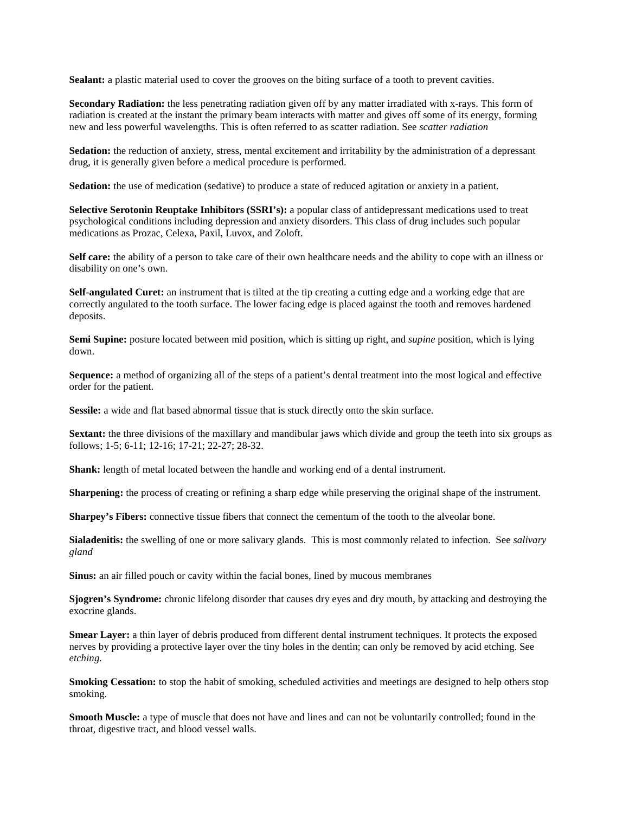Sealant: a plastic material used to cover the grooves on the biting surface of a tooth to prevent cavities.

**Secondary Radiation:** the less penetrating radiation given off by any matter irradiated with x-rays. This form of radiation is created at the instant the primary beam interacts with matter and gives off some of its energy, forming new and less powerful wavelengths. This is often referred to as scatter radiation. See *scatter radiation*

**Sedation:** the reduction of anxiety, stress, mental excitement and irritability by the administration of a depressant drug, it is generally given before a medical procedure is performed.

**Sedation:** the use of medication (sedative) to produce a state of reduced agitation or anxiety in a patient.

**Selective Serotonin Reuptake Inhibitors (SSRI's):** a popular class of antidepressant medications used to treat psychological conditions including depression and anxiety disorders. This class of drug includes such popular medications as Prozac, Celexa, Paxil, Luvox, and Zoloft.

**Self care:** the ability of a person to take care of their own healthcare needs and the ability to cope with an illness or disability on one's own.

**Self-angulated Curet:** an instrument that is tilted at the tip creating a cutting edge and a working edge that are correctly angulated to the tooth surface. The lower facing edge is placed against the tooth and removes hardened deposits.

**Semi Supine:** posture located between mid position, which is sitting up right, and *supine* position, which is lying down.

**Sequence:** a method of organizing all of the steps of a patient's dental treatment into the most logical and effective order for the patient.

**Sessile:** a wide and flat based abnormal tissue that is stuck directly onto the skin surface.

**Sextant:** the three divisions of the maxillary and mandibular jaws which divide and group the teeth into six groups as follows; 1-5; 6-11; 12-16; 17-21; 22-27; 28-32.

**Shank:** length of metal located between the handle and working end of a dental instrument.

**Sharpening:** the process of creating or refining a sharp edge while preserving the original shape of the instrument.

**Sharpey's Fibers:** connective tissue fibers that connect the cementum of the tooth to the alveolar bone.

**Sialadenitis:** the swelling of one or more salivary glands. This is most commonly related to infection. See *salivary gland*

**Sinus:** an air filled pouch or cavity within the facial bones, lined by mucous membranes

**Sjogren's Syndrome:** chronic lifelong disorder that causes dry eyes and dry mouth, by attacking and destroying the exocrine glands.

**Smear Layer:** a thin layer of debris produced from different dental instrument techniques. It protects the exposed nerves by providing a protective layer over the tiny holes in the dentin; can only be removed by acid etching. See *etching.*

**Smoking Cessation:** to stop the habit of smoking, scheduled activities and meetings are designed to help others stop smoking.

**Smooth Muscle:** a type of muscle that does not have and lines and can not be voluntarily controlled; found in the throat, digestive tract, and blood vessel walls.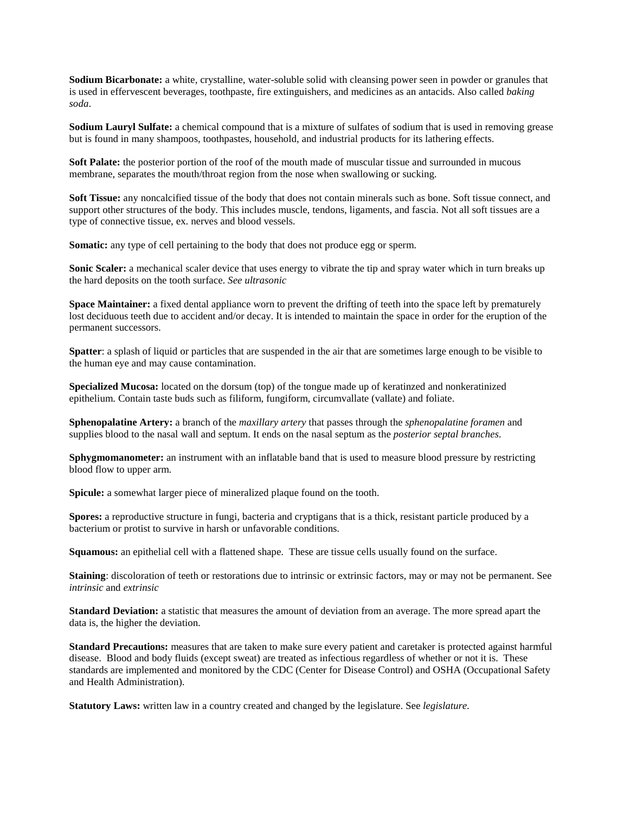**Sodium Bicarbonate:** a white, crystalline, water-soluble solid with cleansing power seen in powder or granules that is used in effervescent beverages, toothpaste, fire extinguishers, and medicines as an antacids. Also called *baking soda*.

**Sodium Lauryl Sulfate:** a chemical compound that is a mixture of sulfates of sodium that is used in removing grease but is found in many shampoos, toothpastes, household, and industrial products for its lathering effects.

**Soft Palate:** the posterior portion of the roof of the mouth made of muscular tissue and surrounded in mucous membrane, separates the mouth/throat region from the nose when swallowing or sucking.

**Soft Tissue:** any noncalcified tissue of the body that does not contain minerals such as bone. Soft tissue connect, and support other structures of the body. This includes muscle, tendons, ligaments, and fascia. Not all soft tissues are a type of connective tissue, ex. nerves and blood vessels.

**Somatic:** any type of cell pertaining to the body that does not produce egg or sperm.

**Sonic Scaler:** a mechanical scaler device that uses energy to vibrate the tip and spray water which in turn breaks up the hard deposits on the tooth surface. *See ultrasonic*

**Space Maintainer:** a fixed dental appliance worn to prevent the drifting of teeth into the space left by prematurely lost deciduous teeth due to accident and/or decay. It is intended to maintain the space in order for the eruption of the permanent successors.

**Spatter**: a splash of liquid or particles that are suspended in the air that are sometimes large enough to be visible to the human eye and may cause contamination.

**Specialized Mucosa:** located on the dorsum (top) of the tongue made up of keratinzed and nonkeratinized epithelium. Contain taste buds such as filiform, fungiform, circumvallate (vallate) and foliate.

**Sphenopalatine Artery:** a branch of the *maxillary artery* that passes through the *sphenopalatine foramen* and supplies blood to the nasal wall and septum. It ends on the nasal septum as the *posterior septal branches*.

**Sphygmomanometer:** an instrument with an inflatable band that is used to measure blood pressure by restricting blood flow to upper arm.

**Spicule:** a somewhat larger piece of mineralized plaque found on the tooth.

**Spores:** a reproductive structure in fungi, bacteria and cryptigans that is a thick, resistant particle produced by a bacterium or protist to survive in harsh or unfavorable conditions.

**Squamous:** an epithelial cell with a flattened shape. These are tissue cells usually found on the surface.

**Staining**: discoloration of teeth or restorations due to intrinsic or extrinsic factors, may or may not be permanent. See *intrinsic* and *extrinsic*

**Standard Deviation:** a statistic that measures the amount of deviation from an average. The more spread apart the data is, the higher the deviation.

**Standard Precautions:** measures that are taken to make sure every patient and caretaker is protected against harmful disease. Blood and body fluids (except sweat) are treated as infectious regardless of whether or not it is. These standards are implemented and monitored by the CDC (Center for Disease Control) and OSHA (Occupational Safety and Health Administration).

**Statutory Laws:** written law in a country created and changed by the legislature. See *legislature.*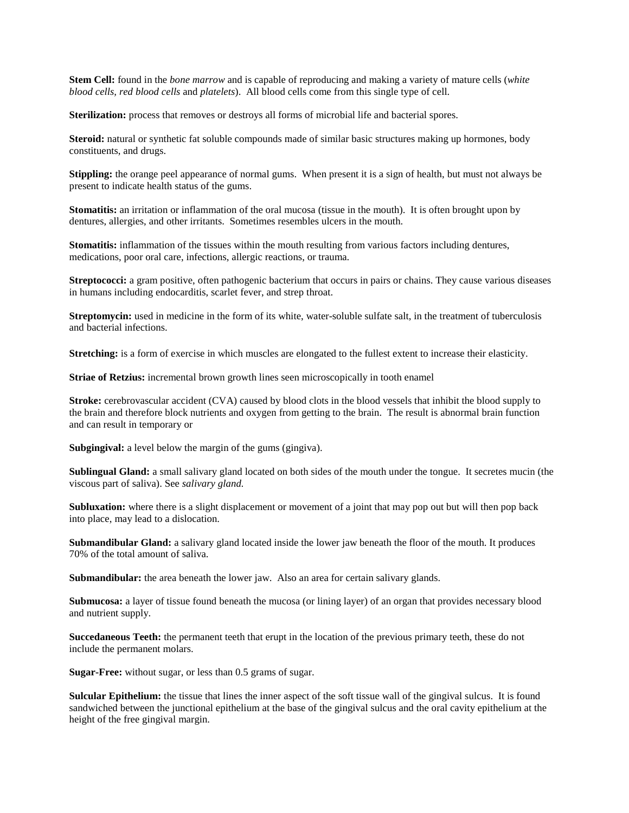**Stem Cell:** found in the *bone marrow* and is capable of reproducing and making a variety of mature cells (*white blood cells, red blood cells* and *platelets*). All blood cells come from this single type of cell.

Sterilization: process that removes or destroys all forms of microbial life and bacterial spores.

**Steroid:** natural or synthetic fat soluble compounds made of similar basic structures making up hormones, body constituents, and drugs.

**Stippling:** the orange peel appearance of normal gums. When present it is a sign of health, but must not always be present to indicate health status of the gums.

**Stomatitis:** an irritation or inflammation of the oral mucosa (tissue in the mouth). It is often brought upon by dentures, allergies, and other irritants. Sometimes resembles ulcers in the mouth.

**Stomatitis:** inflammation of the tissues within the mouth resulting from various factors including dentures, medications, poor oral care, infections, allergic reactions, or trauma.

**Streptococci:** a gram positive, often pathogenic bacterium that occurs in pairs or chains. They cause various diseases in humans including endocarditis, scarlet fever, and strep throat.

**Streptomycin:** used in medicine in the form of its white, water-soluble sulfate salt, in the treatment of tuberculosis and bacterial infections.

**Stretching:** is a form of exercise in which muscles are elongated to the fullest extent to increase their elasticity.

**Striae of Retzius:** incremental brown growth lines seen microscopically in tooth enamel

**Stroke:** cerebrovascular accident (CVA) caused by blood clots in the blood vessels that inhibit the blood supply to the brain and therefore block nutrients and oxygen from getting to the brain. The result is abnormal brain function and can result in temporary or

**Subgingival:** a level below the margin of the gums (gingiva).

**Sublingual Gland:** a small salivary gland located on both sides of the mouth under the tongue. It secretes mucin (the viscous part of saliva). See *salivary gland.*

**Subluxation:** where there is a slight displacement or movement of a joint that may pop out but will then pop back into place, may lead to a dislocation.

**Submandibular Gland:** a salivary gland located inside the lower jaw beneath the floor of the mouth. It produces 70% of the total amount of saliva.

Submandibular: the area beneath the lower jaw. Also an area for certain salivary glands.

**Submucosa:** a layer of tissue found beneath the mucosa (or lining layer) of an organ that provides necessary blood and nutrient supply.

**Succedaneous Teeth:** the permanent teeth that erupt in the location of the previous primary teeth, these do not include the permanent molars.

**Sugar-Free:** without sugar, or less than 0.5 grams of sugar.

**Sulcular Epithelium:** the tissue that lines the inner aspect of the soft tissue wall of the gingival sulcus. It is found sandwiched between the junctional epithelium at the base of the gingival sulcus and the oral cavity epithelium at the height of the free gingival margin.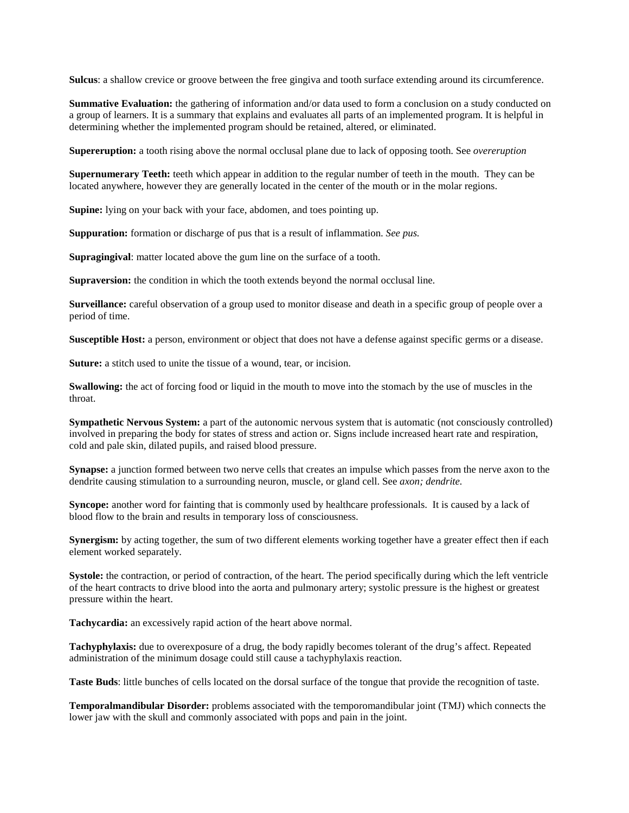**Sulcus**: a shallow crevice or groove between the free gingiva and tooth surface extending around its circumference.

**Summative Evaluation:** the gathering of information and/or data used to form a conclusion on a study conducted on a group of learners. It is a summary that explains and evaluates all parts of an implemented program. It is helpful in determining whether the implemented program should be retained, altered, or eliminated.

**Supereruption:** a tooth rising above the normal occlusal plane due to lack of opposing tooth. See *overeruption*

**Supernumerary Teeth:** teeth which appear in addition to the regular number of teeth in the mouth. They can be located anywhere, however they are generally located in the center of the mouth or in the molar regions.

**Supine:** lying on your back with your face, abdomen, and toes pointing up.

**Suppuration:** formation or discharge of pus that is a result of inflammation. *See pus.*

**Supragingival**: matter located above the gum line on the surface of a tooth.

**Supraversion:** the condition in which the tooth extends beyond the normal occlusal line.

**Surveillance:** careful observation of a group used to monitor disease and death in a specific group of people over a period of time.

**Susceptible Host:** a person, environment or object that does not have a defense against specific germs or a disease.

**Suture:** a stitch used to unite the tissue of a wound, tear, or incision.

**Swallowing:** the act of forcing food or liquid in the mouth to move into the stomach by the use of muscles in the throat.

**Sympathetic Nervous System:** a part of the autonomic nervous system that is automatic (not consciously controlled) involved in preparing the body for states of stress and action or. Signs include increased heart rate and respiration, cold and pale skin, dilated pupils, and raised blood pressure.

**Synapse:** a junction formed between two nerve cells that creates an impulse which passes from the nerve axon to the dendrite causing stimulation to a surrounding neuron, muscle, or gland cell. See *axon; dendrite.*

**Syncope:** another word for fainting that is commonly used by healthcare professionals. It is caused by a lack of blood flow to the brain and results in temporary loss of consciousness.

**Synergism:** by acting together, the sum of two different elements working together have a greater effect then if each element worked separately.

**Systole:** the contraction, or period of contraction, of the heart. The period specifically during which the left ventricle of the heart contracts to drive blood into the aorta and pulmonary artery; systolic pressure is the highest or greatest pressure within the heart.

**Tachycardia:** an excessively rapid action of the heart above normal.

**Tachyphylaxis:** due to overexposure of a drug, the body rapidly becomes tolerant of the drug's affect. Repeated administration of the minimum dosage could still cause a tachyphylaxis reaction.

**Taste Buds**: little bunches of cells located on the dorsal surface of the tongue that provide the recognition of taste.

**Temporalmandibular Disorder:** problems associated with the temporomandibular joint (TMJ) which connects the lower jaw with the skull and commonly associated with pops and pain in the joint.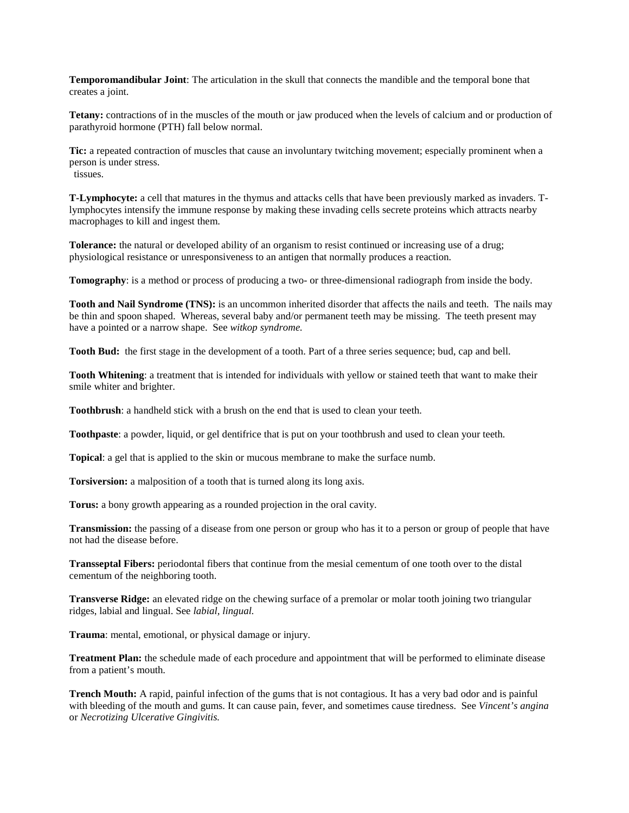**Temporomandibular Joint**: The articulation in the skull that connects the mandible and the temporal bone that creates a joint.

**Tetany:** contractions of in the muscles of the mouth or jaw produced when the levels of calcium and or production of parathyroid hormone (PTH) fall below normal.

**Tic:** a repeated contraction of muscles that cause an involuntary twitching movement; especially prominent when a person is under stress. tissues.

**T-Lymphocyte:** a cell that matures in the thymus and attacks cells that have been previously marked as invaders. Tlymphocytes intensify the immune response by making these invading cells secrete proteins which attracts nearby macrophages to kill and ingest them.

**Tolerance:** the natural or developed ability of an organism to resist continued or increasing use of a drug; physiological resistance or unresponsiveness to an antigen that normally produces a reaction.

**Tomography**: is a method or process of producing a two- or three-dimensional radiograph from inside the body.

**Tooth and Nail Syndrome (TNS):** is an uncommon inherited disorder that affects the nails and teeth. The nails may be thin and spoon shaped. Whereas, several baby and/or permanent teeth may be missing. The teeth present may have a pointed or a narrow shape. See *witkop syndrome.*

**Tooth Bud:** the first stage in the development of a tooth. Part of a three series sequence; bud, cap and bell.

**Tooth Whitening**: a treatment that is intended for individuals with yellow or stained teeth that want to make their smile whiter and brighter.

**Toothbrush**: a handheld stick with a brush on the end that is used to clean your teeth.

**Toothpaste**: a powder, liquid, or gel dentifrice that is put on your toothbrush and used to clean your teeth.

**Topical**: a gel that is applied to the skin or mucous membrane to make the surface numb.

**Torsiversion:** a malposition of a tooth that is turned along its long axis.

**Torus:** a bony growth appearing as a rounded projection in the oral cavity.

**Transmission:** the passing of a disease from one person or group who has it to a person or group of people that have not had the disease before.

**Transseptal Fibers:** periodontal fibers that continue from the mesial cementum of one tooth over to the distal cementum of the neighboring tooth.

**Transverse Ridge:** an elevated ridge on the chewing surface of a premolar or molar tooth joining two triangular ridges, labial and lingual. See *labial, lingual.*

**Trauma**: mental, emotional, or physical damage or injury.

**Treatment Plan:** the schedule made of each procedure and appointment that will be performed to eliminate disease from a patient's mouth.

**Trench Mouth:** A rapid, painful infection of the gums that is not contagious. It has a very bad odor and is painful with bleeding of the mouth and gums. It can cause pain, fever, and sometimes cause tiredness. See *Vincent's angina* or *Necrotizing Ulcerative Gingivitis.*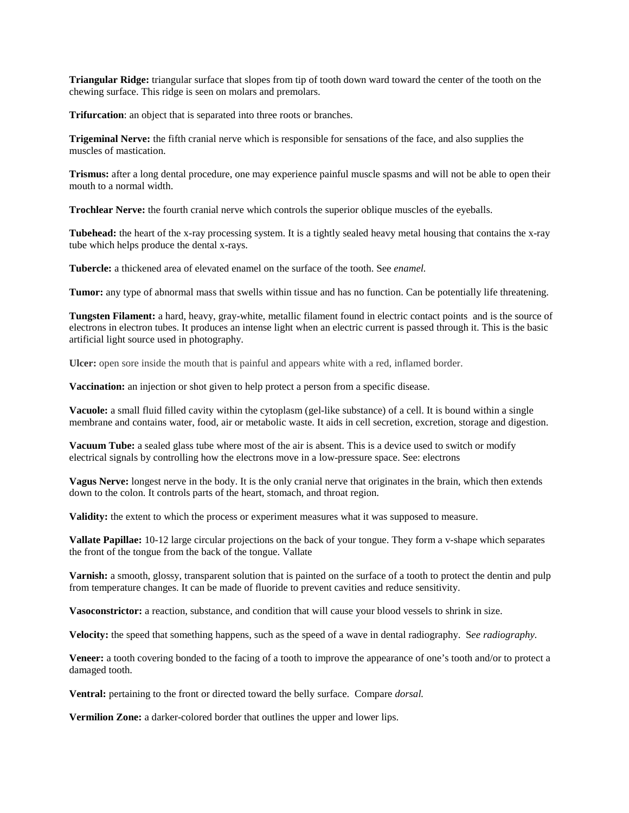**Triangular Ridge:** triangular surface that slopes from tip of tooth down ward toward the center of the tooth on the chewing surface. This ridge is seen on molars and premolars.

**Trifurcation**: an object that is separated into three roots or branches.

**Trigeminal Nerve:** the fifth cranial nerve which is responsible for sensations of the face, and also supplies the muscles of mastication.

**Trismus:** after a long dental procedure, one may experience painful muscle spasms and will not be able to open their mouth to a normal width.

**Trochlear Nerve:** the fourth cranial nerve which controls the superior oblique muscles of the eyeballs.

**Tubehead:** the heart of the x-ray processing system. It is a tightly sealed heavy metal housing that contains the x-ray tube which helps produce the dental x-rays.

**Tubercle:** a thickened area of elevated enamel on the surface of the tooth. See *enamel.*

**Tumor:** any type of abnormal mass that swells within tissue and has no function. Can be potentially life threatening.

**Tungsten Filament:** a hard, heavy, gray-white, metallic filament found in electric contact points and is the source of electrons in electron tubes. It produces an intense light when an electric current is passed through it. This is the basic artificial light source used in photography.

**Ulcer:** open sore inside the mouth that is painful and appears white with a red, inflamed border.

**Vaccination:** an injection or shot given to help protect a person from a specific disease.

**Vacuole:** a small fluid filled cavity within the cytoplasm (gel-like substance) of a cell. It is bound within a single membrane and contains water, food, air or metabolic waste. It aids in cell secretion, excretion, storage and digestion.

**Vacuum Tube:** a sealed glass tube where most of the air is absent. This is a device used to switch or modify electrical signals by controlling how the electrons move in a low-pressure space. See: electrons

**Vagus Nerve:** longest nerve in the body. It is the only cranial nerve that originates in the brain, which then extends down to the colon. It controls parts of the heart, stomach, and throat region.

**Validity:** the extent to which the process or experiment measures what it was supposed to measure.

**Vallate Papillae:** 10-12 large circular projections on the back of your tongue. They form a v-shape which separates the front of the tongue from the back of the tongue. Vallate

**Varnish:** a smooth, glossy, transparent solution that is painted on the surface of a tooth to protect the dentin and pulp from temperature changes. It can be made of fluoride to prevent cavities and reduce sensitivity.

**Vasoconstrictor:** a reaction, substance, and condition that will cause your blood vessels to shrink in size.

**Velocity:** the speed that something happens, such as the speed of a wave in dental radiography. S*ee radiography.*

**Veneer:** a tooth covering bonded to the facing of a tooth to improve the appearance of one's tooth and/or to protect a damaged tooth.

**Ventral:** pertaining to the front or directed toward the belly surface. Compare *dorsal.*

**Vermilion Zone:** a darker-colored border that outlines the upper and lower lips.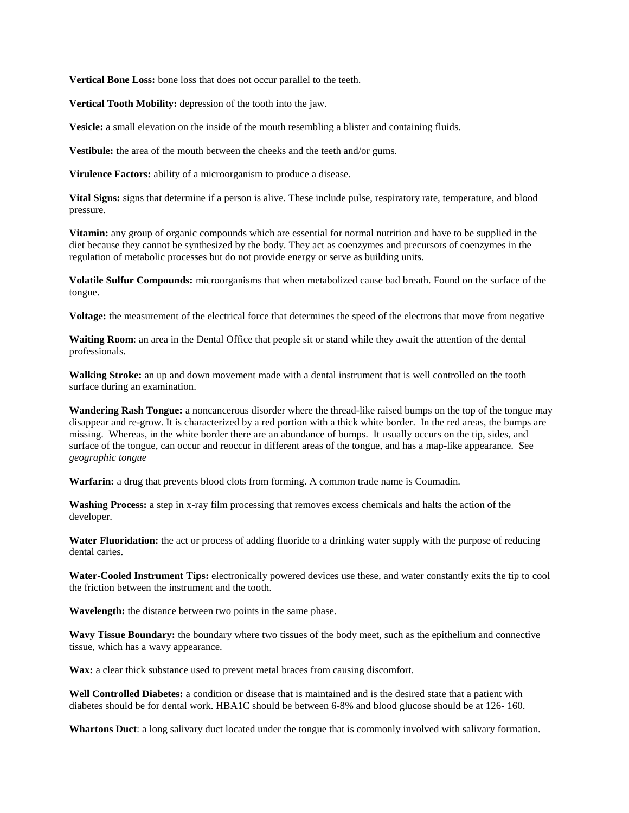**Vertical Bone Loss:** bone loss that does not occur parallel to the teeth.

**Vertical Tooth Mobility:** depression of the tooth into the jaw.

**Vesicle:** a small elevation on the inside of the mouth resembling a blister and containing fluids.

**Vestibule:** the area of the mouth between the cheeks and the teeth and/or gums.

**Virulence Factors:** ability of a microorganism to produce a disease.

**Vital Signs:** signs that determine if a person is alive. These include pulse, respiratory rate, temperature, and blood pressure.

**Vitamin:** any group of organic compounds which are essential for normal nutrition and have to be supplied in the diet because they cannot be synthesized by the body. They act as coenzymes and precursors of coenzymes in the regulation of metabolic processes but do not provide energy or serve as building units.

**Volatile Sulfur Compounds:** microorganisms that when metabolized cause bad breath. Found on the surface of the tongue.

**Voltage:** the measurement of the electrical force that determines the speed of the electrons that move from negative

Waiting Room: an area in the Dental Office that people sit or stand while they await the attention of the dental professionals.

**Walking Stroke:** an up and down movement made with a dental instrument that is well controlled on the tooth surface during an examination.

**Wandering Rash Tongue:** a noncancerous disorder where the thread-like raised bumps on the top of the tongue may disappear and re-grow. It is characterized by a red portion with a thick white border. In the red areas, the bumps are missing. Whereas, in the white border there are an abundance of bumps. It usually occurs on the tip, sides, and surface of the tongue, can occur and reoccur in different areas of the tongue, and has a map-like appearance. See *geographic tongue*

**Warfarin:** a drug that prevents blood clots from forming. A common trade name is Coumadin.

**Washing Process:** a step in x-ray film processing that removes excess chemicals and halts the action of the developer.

**Water Fluoridation:** the act or process of adding fluoride to a drinking water supply with the purpose of reducing dental caries.

**Water-Cooled Instrument Tips:** electronically powered devices use these, and water constantly exits the tip to cool the friction between the instrument and the tooth.

**Wavelength:** the distance between two points in the same phase.

**Wavy Tissue Boundary:** the boundary where two tissues of the body meet, such as the epithelium and connective tissue, which has a wavy appearance.

Wax: a clear thick substance used to prevent metal braces from causing discomfort.

**Well Controlled Diabetes:** a condition or disease that is maintained and is the desired state that a patient with diabetes should be for dental work. HBA1C should be between 6-8% and blood glucose should be at 126- 160.

**Whartons Duct**: a long salivary duct located under the tongue that is commonly involved with salivary formation.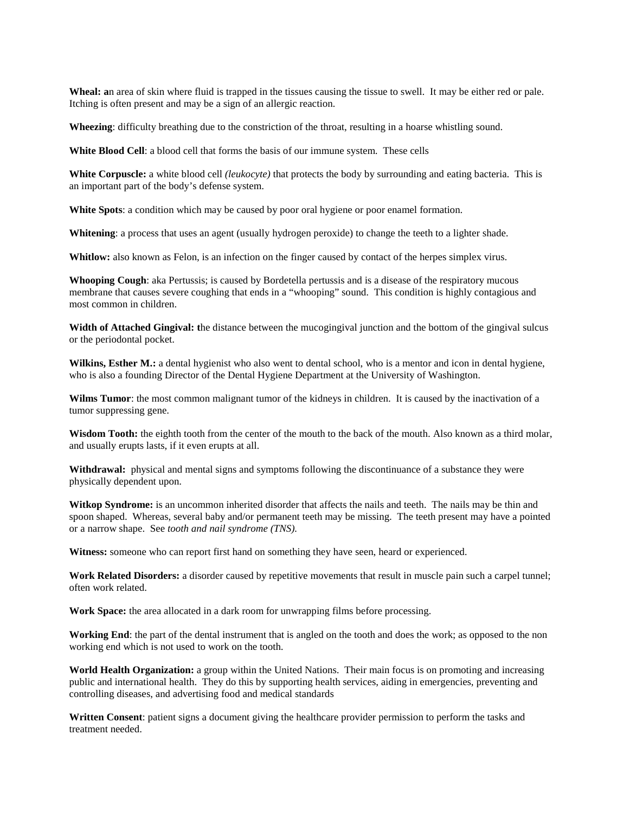**Wheal: a**n area of skin where fluid is trapped in the tissues causing the tissue to swell. It may be either red or pale. Itching is often present and may be a sign of an allergic reaction.

**Wheezing**: difficulty breathing due to the constriction of the throat, resulting in a hoarse whistling sound.

**White Blood Cell**: a blood cell that forms the basis of our immune system. These cells

**White Corpuscle:** a white blood cell *(leukocyte)* that protects the body by surrounding and eating bacteria. This is an important part of the body's defense system.

**White Spots**: a condition which may be caused by poor oral hygiene or poor enamel formation.

**Whitening**: a process that uses an agent (usually hydrogen peroxide) to change the teeth to a lighter shade.

**Whitlow:** also known as Felon, is an infection on the finger caused by contact of the herpes simplex virus.

**Whooping Cough**: aka Pertussis; is caused by Bordetella pertussis and is a disease of the respiratory mucous membrane that causes severe coughing that ends in a "whooping" sound. This condition is highly contagious and most common in children.

**Width of Attached Gingival: t**he distance between the mucogingival junction and the bottom of the gingival sulcus or the periodontal pocket.

Wilkins, Esther M.: a dental hygienist who also went to dental school, who is a mentor and icon in dental hygiene, who is also a founding Director of the Dental Hygiene Department at the University of Washington.

**Wilms Tumor**: the most common malignant tumor of the kidneys in children. It is caused by the inactivation of a tumor suppressing gene.

Wisdom Tooth: the eighth tooth from the center of the mouth to the back of the mouth. Also known as a third molar, and usually erupts lasts, if it even erupts at all.

**Withdrawal:** physical and mental signs and symptoms following the discontinuance of a substance they were physically dependent upon.

**Witkop Syndrome:** is an uncommon inherited disorder that affects the nails and teeth. The nails may be thin and spoon shaped. Whereas, several baby and/or permanent teeth may be missing. The teeth present may have a pointed or a narrow shape. See *tooth and nail syndrome (TNS).*

**Witness:** someone who can report first hand on something they have seen, heard or experienced.

**Work Related Disorders:** a disorder caused by repetitive movements that result in muscle pain such a carpel tunnel; often work related.

**Work Space:** the area allocated in a dark room for unwrapping films before processing.

**Working End**: the part of the dental instrument that is angled on the tooth and does the work; as opposed to the non working end which is not used to work on the tooth.

**World Health Organization:** a group within the United Nations. Their main focus is on promoting and increasing public and international health. They do this by supporting health services, aiding in emergencies, preventing and controlling diseases, and advertising food and medical standards

**Written Consent**: patient signs a document giving the healthcare provider permission to perform the tasks and treatment needed.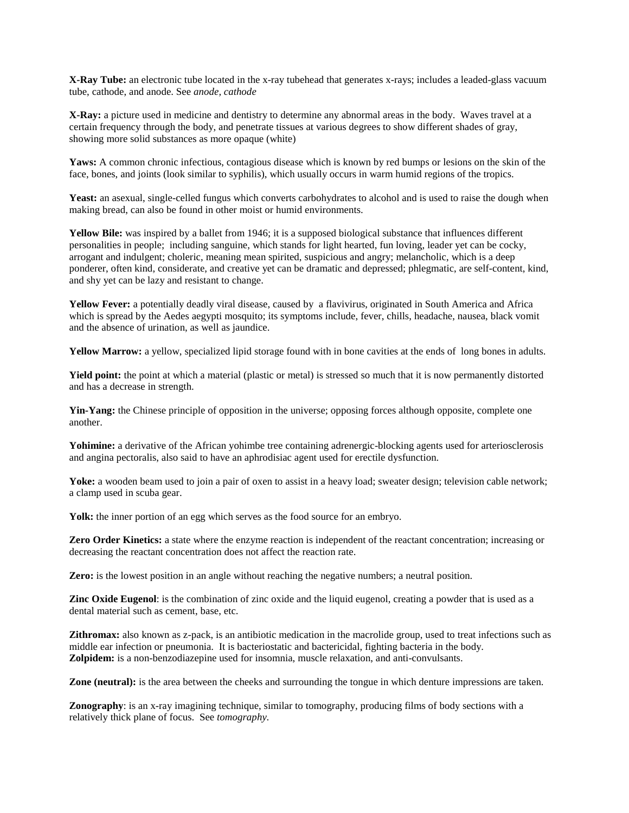**X-Ray Tube:** an electronic tube located in the x-ray tubehead that generates x-rays; includes a leaded-glass vacuum tube, cathode, and anode. See *anode, cathode*

**X-Ray:** a picture used in medicine and dentistry to determine any abnormal areas in the body. Waves travel at a certain frequency through the body, and penetrate tissues at various degrees to show different shades of gray, showing more solid substances as more opaque (white)

Yaws: A common chronic infectious, contagious disease which is known by red bumps or lesions on the skin of the face, bones, and joints (look similar to syphilis), which usually occurs in warm humid regions of the tropics.

Yeast: an asexual, single-celled fungus which converts carbohydrates to alcohol and is used to raise the dough when making bread, can also be found in other moist or humid environments.

**Yellow Bile:** was inspired by a ballet from 1946; it is a supposed biological substance that influences different personalities in people; including sanguine, which stands for light hearted, fun loving, leader yet can be cocky, arrogant and indulgent; choleric, meaning mean spirited, suspicious and angry; melancholic, which is a deep ponderer, often kind, considerate, and creative yet can be dramatic and depressed; phlegmatic, are self-content, kind, and shy yet can be lazy and resistant to change.

**Yellow Fever:** a potentially deadly viral disease, caused by a flavivirus, originated in South America and Africa which is spread by the Aedes aegypti mosquito; its symptoms include, fever, chills, headache, nausea, black vomit and the absence of urination, as well as jaundice.

**Yellow Marrow:** a yellow, specialized lipid storage found with in bone cavities at the ends of long bones in adults.

**Yield point:** the point at which a material (plastic or metal) is stressed so much that it is now permanently distorted and has a decrease in strength.

Yin-Yang: the Chinese principle of opposition in the universe; opposing forces although opposite, complete one another.

Yohimine: a derivative of the African yohimbe tree containing adrenergic-blocking agents used for arteriosclerosis and angina pectoralis, also said to have an aphrodisiac agent used for erectile dysfunction.

Yoke: a wooden beam used to join a pair of oxen to assist in a heavy load; sweater design; television cable network; a clamp used in scuba gear.

Yolk: the inner portion of an egg which serves as the food source for an embryo.

**Zero Order Kinetics:** a state where the enzyme reaction is independent of the reactant concentration; increasing or decreasing the reactant concentration does not affect the reaction rate.

**Zero:** is the lowest position in an angle without reaching the negative numbers; a neutral position.

**Zinc Oxide Eugenol**: is the combination of zinc oxide and the liquid eugenol, creating a powder that is used as a dental material such as cement, base, etc.

**Zithromax:** also known as z-pack, is an antibiotic medication in the macrolide group, used to treat infections such as middle ear infection or pneumonia. It is bacteriostatic and bactericidal, fighting bacteria in the body. **Zolpidem:** is a non-benzodiazepine used for insomnia, muscle relaxation, and anti-convulsants.

**Zone (neutral):** is the area between the cheeks and surrounding the tongue in which denture impressions are taken.

**Zonography**: is an x-ray imagining technique, similar to tomography, producing films of body sections with a relatively thick plane of focus. See *tomography*.